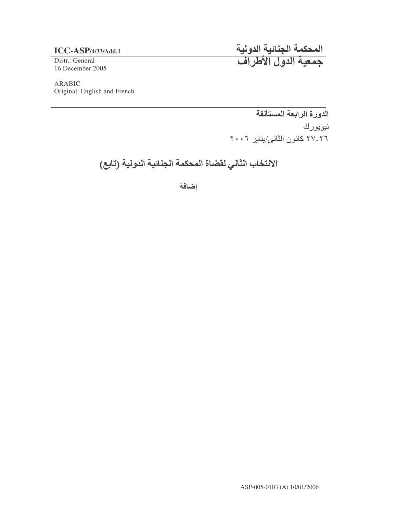### **ICC-ASP**/4/33/Add.1

Distr.: General 16 December 2005

المحكمة الجنائية الدول جمعية الدول الأطراف

ARABIC Original: English and French

> الدورة الرابعة المستأنفة نيويورك ٢٦-٢٧ كانون الثاني/يناير ٢٠٠٦

الانتخاب الثاني لقضاة المحكمة الجنائية الدولية (تابع)

اضافة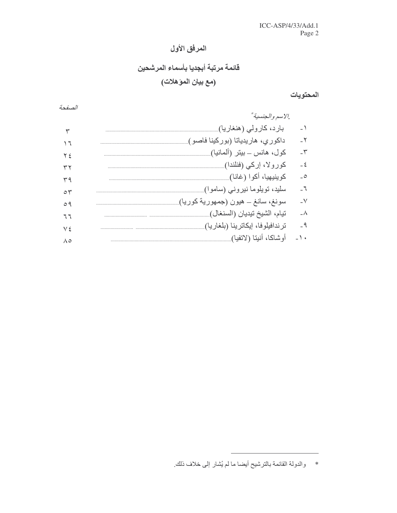# المرفق الأول

# قائمة مرتبة أبجديا بأسماء المرشحين

# (مع بيان المؤهلات)

#### المحتويات

الصفحة ./لاسم والجنسية\* بارد، کارولی (هنغاریا)...................  $-1$  $\overline{\mathbf{r}}$  $-\tau$  $\sqrt{7}$  $-\tau$  $Y \n\leq$  $-\xi$  $\tau\tau$  $\overline{\phantom{a}}$  $r q$  $\overline{J}$  $\circ \tau$  $-V$  $09$  $-\lambda$  $77$  $-9$  $V \xi$  $\Lambda$ 0

<sup>\*</sup> والدولة القائمة بالترشيح أيضا ما لم يُشار إلى خلاف ذلك.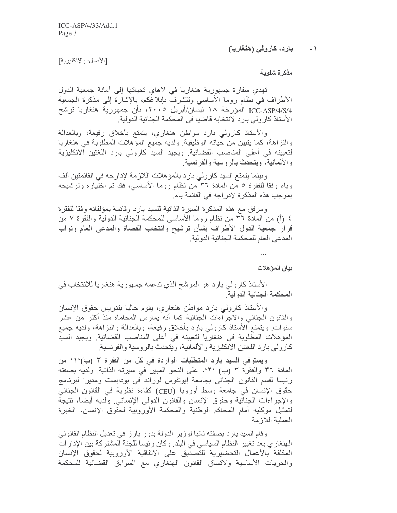#### بارد، کارولی (هنغاریا)  $\rightarrow$

[الأصل: بالإنكليزية]

مذكرة شفوية

تهدي سفارة جمهورية هنغاريا في لاهاي تحياتها إلى أمانة جمعية الدول الأطراف في نظام روما الأساسي وتتشرف بإبلاغكم، بالإشارة إلى مذكرة الجمعية ICC-ASP/4/S/4 المؤرخة ١٨ نيسان/أبريل ٢٠٠٥، بأن جمهورية هنغاريا ترشح الأستاذ كارولى بارد لانتخابه قاضيا في المحكمة الجنائية الدولية.

والأستاذ كارولبي بارد مواطن هنغاري، يتمتع بأخلاق رفيعة، وبالعدالة والنزاهة، كما يتبين من حياته الوظيفية ولديه جميع المؤهلات المطلوبة في هنغاريا لتعيينه في أعلى المناصب القضائية. ويجيد السيد كارولي بارد اللغتين الانكليزية والألمانية، ويتحدث بالروسية والفرنسية.

وبينما يتمتع السيد كارولي بارد بالمؤ هلات اللازمة لإدارجه في القائمتين ألف وباء وفقًا للفقرة ٥ من المُدة ٣٦ من نظام روما الأساسي، فقد تم اختياره وترشيحه بموجب هذه المذكرة لإدراجه في القائمة باء.

ومرفق مع هذه المذكرة السيرة الذاتية للسيد بارد وقائمة بمؤلفاته وفقا للفقرة ٤ (أ) من الممادة ٣٦ من نظام روما الأساسي للمحكمة الجنائية الدولية والفقرة ٧ من قرار جمعية الدول الأطراف بشأن ترشيح وانتخاب القضاة والمدعى العام ونواب المدعى العام للمحكمة الجنائية الدولية

بيان الموّ هلات

الأستاذ كارولي بارد هو المرشح الذي تدعمه جمهورية هنغاريا للانتخاب في المحكمة الجنائية الدولية

والأستاذ كارولي بارد مواطن هنغاري، يقوم حاليا بتدريس حقوق الإنسان والقانون الجنائبي والاجراءات الجنائية كما أنه يمارس المحاماة منذ أكثر من عشر سنوات ويتمتع الأستاذ كارولي بارد بأخلاق رفيعة، وبالعدالة والنزاهة، ولديه جميع المؤهلات المطلوبة في هنغاريا لتعيينه في أعلى المناصب القضائية ويجيد السيد كار ولي بار د اللغتين الانكليز ية والألمانية، ويتحدث بالر وسية و الفر نسية.

ويستوفى السيد بارد المتطلبات الواردة فى كل من الفقرة ٣ (ب) ١٠ من المادة ٣٦ والفقرة ٣ (ب) ٢٠، على النحو المبين في سيرته الذاتية. ولديه بصفته رئيسا لقسم القانون الجنائي بجامعة إيوتفوس لوراند في بودابست ومديرا لبرنامج حقوق الإنسان في جامعة وسط أوروبا (CEU) كفاءة نظرية في القانون الجنائي والإجراءات الجنائية وحقوق الإنسان والقانون الدولى الإنساني ولديه أيضا، نتيجة لتمثيل موكليه أمام المحاكم الوطنية والمحكمة الأوروبية لحقوق الإنسان، الخبرة العملية اللازمة

وقام السيد بارد بصفته نائبا لوزير الدولة بدور بارز في تعديل النظام القانوني الهنغاري بعد تغيير النظام السياسي في البلد. وكان رئيسا للجنة المشتركة بين الإدار ات المكلفة بالأعمال التحضيرية للتصديق على الاتفاقية الأوروبية لحقوق الإنسان والحريات الأساسية ولاتساق القانون الهنغاري مع السوابق القضائية للمحكمة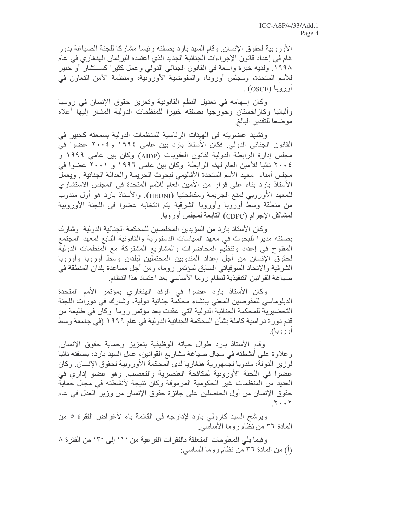الأور وبية لحقوق الإنسان. وقام السيد بار د بصفته رئيسا مشاركا للجنة الصياغة بدور هام في إعداد قانون الإجراءات الجنائية الجديد الذي اعتمده البرلمان الهنغار ي في عام ١٩٩٨. ولديه خبرة واسعة في القانون الجنائي الدولي وعمل كثيرا كمستشار أو خبير للأمم المتحدة، ومجلس أوروبا، والمفوضية الأوروبية، ومنظمة الأمن التعاون في أوروبا (OSCE) .

وكان إسهامه في تعديل النظم القانونية وتعزيز حقوق الإنسان في روسيا والبانيا وكازاخستان وجورجيا بصفته خبيرا للمنظمات الدولية المشار إليها أعلاه موضعا للتقدير البالغ

وتشهد عضويته في الهيئات الرئاسية للمنظمات الدولية بسمعته كخبير في القانون الجنائي الدولي. فكان الاستاذ بارد بين عامي ١٩٩٤ و٢٠٠٤ عضوا في مجلس إدارة الرابطة الدولية لقانون العقوبات (AIDP) وكان بين عامي ١٩٩٩ و ٢٠٠٤ نائبا للأمين العام لهذه الرابطة. وكان بين عامي ١٩٩٦ و ٢٠٠١ عضوا في مجلس أمناء ۖ معهد الأمم المتحدة الأقاليمي لبحوث الجريمة والعدالة الجنائية . ويعمل الأستاذ بارد بناء على قرار من الأمين العام للأمم المتحدة في المجلس الاستشاري للمعهد الأوروبي لمنع الجريمة ومكافحتها (HEUNI). والأستاذ بارد هو أول مندوب من منطقة وسط أوروبا وأوروبا الشرقية يتم انتخابه عضوا في اللجنة الأوروبية لمشاكل الإجرام (CDPC) التابعة لمجلس أوروبا.

وكان الأستاذ بارد من المؤيدين المخلصين للمحكمة الجنائية الدولية. وشارك بصفته مديرا للبحوث في معهد السياسات الدستورية والقانونية التابع لمعهد المجتمع المفتوح في إعداد وتنظيم المحاضرات والمشاريع المشتركة مع المنظمات الدولية لحقوق الإنسان من أجل إعداد المندوبين المحتملين لبلدان وسط أوروبا وأوروبا الشَّرْقية والاتَّحاد السُّوفياتي السَّابق لمؤتَّمر روماً، ومن أجلَّ مساعدة بلَّدان المنطقة في صباغة القوانين التنفيذية لنظام روما الأساسي بعد اعتماد هذا النظام

وكان الأستاذ بارد عضوا في الوفد الهنغاري بمؤتمر الأمم المتحدة الدبلوماسي للمفوضين المعنى بإنشاء محكمة جنائية دولية، وشارك في دورات اللجنة التحضيرية للمحكمة الجنائية الدولية التي عقدت بعد مؤتمر روما. وكان في طليعة من قدم دور ة در اسية كاملة بشأن المحكمة الجنائية الدولية في عام ١٩٩٩ (في جامعة وسط أوروبا).

وقام الأستاذ بارد طوال حياته الوظيفية بتعزيز وحماية حقوق الإنسان وعلاوة على أنشطته في مجال صياغة مشاريع القوانين، عمل السيد بارد، بصفته نائبا لوزير الدولة، مندوبا لجمهورية هنغاريا لدى المحكمة الأوروبية لحقوق الإنسان. وكان عضوا في اللجنة الأوروبية لمكافحة العنصرية والتعصب وهو عضو إداري في العديد من المنظمات غير الحكومية المرموقة وكان نتيجة لأنشطته في مجال حماية حقوق الإنسان من أول الحاصلين على جائزة حقوق الإنسان من وزير العدل في عام  $Y \cdot \cdot Y$ 

ويرشح السيد كارولي بارد لإدارجه في القائمة باء لأغراض الفقرة ٥ من المعادة ٣٦ من نظام روما الأساسي

وفيما يلِّي المعلِّومات المتعلِّقة بالفقرات الفرعية من ' ١ ْ إلى '٣ ْ من الفقرة ٨ (أ) من المادة ٣٦ من نظام روما الساسي: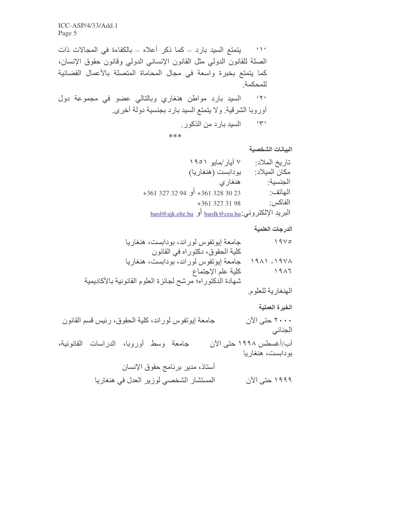يتمتع السيد بارد ــ كما ذكر أعلاه ــ بالكفاءة في المجالات ذات  $\left( \alpha \right)$ الصلة للقانون الدولي مثل القانون الإنساني الدولي وقانون حقوق الإنسان، كما يتمتع بخبرة واسعة في مجال المحاماة المتصلة بالأعمال القضائية للمحكمة السيد بارد مواطن هنغاري وبالتالي عضو في مجموعة دول  $c \gamma c$ أوروبا الشرقية. ولا يتمتع السيد بارد بجنسية دولة أخرى. ٣٠° السيد بار د من الذكور.

\*\*\*

البيانات الشخصية

| ۷ أيار ⁄مايو ۱۹۰۱                                   | تاريخ الملاد: |
|-----------------------------------------------------|---------------|
| بودابست (هنغاريا)                                   | مكان الميلاد: |
| هنغاري                                              | الجنسبة       |
| 32 328 361 324 أو 34 327 32 341+                    | الهاتف:       |
| +361 327 31 98                                      | الفاكس:       |
| البريد الإلكتروني: bardk@ceu.hu أو bard@ajk.elte.hu |               |

#### الدرجات العلمية

| جامعة إيوتفوس لوراند، بودابست، هنغاريا                    | ۱۹۷۵          |
|-----------------------------------------------------------|---------------|
| كلية الحقوق، دكتوراه في القانون                           |               |
| جامعة إيونفوس لوراند، بودابست، هنغاريا                    | $1911 - 1911$ |
| كلية علم الإجتماع                                         | ۱۹۸٦          |
| شهادة الدكتوراه؛ مرشح لجائزة العلوم القانونية بالأكاديمية |               |

الهنغارية للعلوم.

الخبرة العملية

٢٠٠٠ حتى الآن جامعة إيونفوس لوراند، كلية الحقوق، رئيس قسم القانون الجنائي آب/أغسطس ١٩٩٨ حتى الآن جامعة وسط أوروبا، الدراسات القانونية، بو دابست، هنغار يا أستاذ، مدير برنامج حقوق الإنسان المستشار الشخصي لوزير العدل في هنغاريا ۱۹۹۹ حتی الآن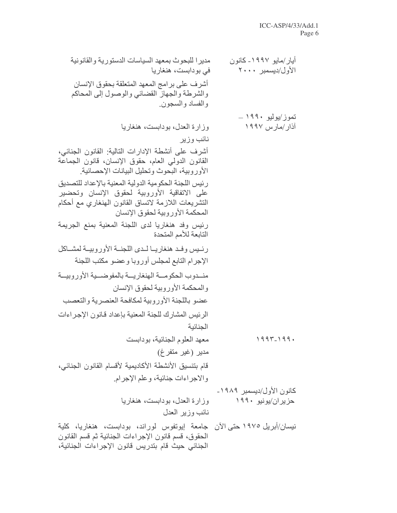| مديرا للبحوث بمعهد السياسات الدستورية والقانونية<br>فی بودابست، هنغاریا                                                                                                                        | أيار /مايو ١٩٩٧- كانون<br>الأول/ديسمبر ٢٠٠٠ |
|------------------------------------------------------------------------------------------------------------------------------------------------------------------------------------------------|---------------------------------------------|
| أشرف على برامج المعهد المتعلقة بحقوق الإنسان<br>والشرطة والجهاز القضائي والوصول إلى المحاكم<br>والفساد والسجون                                                                                 |                                             |
|                                                                                                                                                                                                | تموز/يوليو ١٩٩٠ ــ                          |
| وزارة العدل، بودابست، هنغاريا                                                                                                                                                                  | آذار/مارس ۱۹۹۷                              |
| نائب وزير                                                                                                                                                                                      |                                             |
| أشرف على أنشطة الإدارات التالية: القانون الجنائي،<br>القانون الدولمي العام، حقوق الإنسان، قانون الجماعة<br>الأوروبية، البحوث وتحليل البيانات الإحصائية.                                        |                                             |
| رئيس اللجنة الحكومية الدولية المعنية بالإعداد للتصديق<br>على الاتفاقية الأوروبية لحقوق الإنسان وتحضير<br>التشريعات اللازمة لاتساق القانون الهنغاري مع أحكام<br>المحكمة الأوروبية لحقوق الإنسان |                                             |
| رئيس وفد هنغاريا لدى اللجنة المعنية بمنع الجريمة<br>التابعة للأمم المتحدة                                                                                                                      |                                             |
| رئيس وفد هنغاريـا لـدى اللجنــة الأوروبيــة لمشــاكل                                                                                                                                           |                                             |
| الإجرام التابع لمجلس أوروبا وعضو مكتب اللجنة                                                                                                                                                   |                                             |
| منسدوب الحكومسة الهنغاريسة بالمفوضسية الأوروبيسة                                                                                                                                               |                                             |
| والمحكمة الأوروبية لحقوق الإنسان                                                                                                                                                               |                                             |
| عضو باللجنة الأوروبية لمكافحة العنصرية والتعصب                                                                                                                                                 |                                             |
| الرئيس المشارك للجنة المعنية بإعداد قانون الإجراءات                                                                                                                                            |                                             |
| الجنائية                                                                                                                                                                                       |                                             |
| معهد العلوم الجنائية، بودابست                                                                                                                                                                  | $1997 - 199.$                               |
| مدير (غير متفرغ)                                                                                                                                                                               |                                             |
| قام بتنسيق الأنشطة الأكاديمية لأقسام القانون الجنائي،                                                                                                                                          |                                             |
| والاجراءات جنائية، وعلم الإجرام                                                                                                                                                                |                                             |
|                                                                                                                                                                                                | كانون الأول/ديسمبر ١٩٨٩-                    |
| وزارة العدل، بودابست، هنغاريا                                                                                                                                                                  | حزيران/يونيو ١٩٩٠                           |
| نائب وزير العدل                                                                                                                                                                                |                                             |
| نيسان/أبريل ١٩٧٥ حتى الآن  جامعة  إيونفوس  لوراند،  بودابست،  هنغاريا،  كلية<br>الحقوق، قسم قانون الإجراءات الجنائية ثم قسم القانون<br>الجنائي حيث قام بتدريس قانون الإجراءات الجنائية،        |                                             |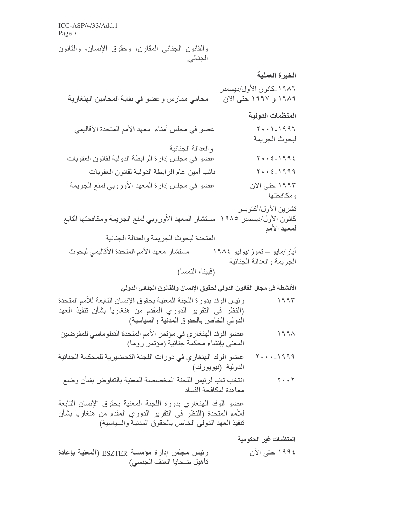والقانون الجنائبي المقارن، وحقوق الإنسان، والقانون الجنائي.

الخبر ة العملية ١٩٨٦ ـكانون الأول/ديسمبر ۱۹۸۹ و ۱۹۹۷ حتبی الآن محامي ممارس وعضو في نقابة المحامين الهنغارية المنظمات الدو لبة عضو في مجلس أمناء ۖ معهد الأمم المتحدة الأقاليمي  $Y + 1 - 1997$ لبحو ث الجر بمة و العدالة الجنائبة  $Y + 2 - 1992$ عضو في مجلس إدارة الرابطة الدولية لقانون العقوبات  $Y + 2 - 1999$ نـائب أمين عـام الر ابـطـة الدو ليـة لقانو ن الـعقو بـات عضو في مجلس إدارة المعهد الأوروبي لمنع الجريمة ۱۹۹۳ حتی الآن و مكافحتها تشرين الأول/أكتوبــر – كانون الأول/ديسمبر ١٩٨٥ مستشار المعهد الأوروبي لمنع الجريمة ومكافحتها التابع لمعهد الأمم المتحدة لبحوث الجريمة والعدالة الجنائية مستشار معهد الأمم المتحدة الأقاليمي لبحوث أيار/مايو – تموز/يوليو ١٩٨٤ الجربمة والعدالة الجنائبة (فيينا، النمسا)

الأنشطة في مجال القانون الدولي لحقوق الإنسان والقانون الجناني الدولي

- رئيس الوفد بدورة اللجنة المعنية بحقوق الإنسان التابعة للأمم المتحدة  $1995$ (النظر في التقرير الدوري المقدم من هنغاريا بشأن تنفيذ العهد الدولي الخاص بالحقوق المدنية والسياسية)
- عضو الوفد الهنغاري في مؤتمر الأمم المتحدة الدبلوماسي للمفوضين  $199\lambda$ المعنى بإنشاء محكمة جنائية (مؤتمر روما)
- ١٩٩٩-٢٠٠٠ حضو الوفد الهنغاري في دورات اللجنة التحضيرية للمحكمة الجنائية الدولية (نيويورك)
- انتخب نائبا لرئيس اللجنة المخصصة المعنية بالتفاوض بشأن وضع  $Y \cdot Y$ معاهدة لمكافحة الفساد

عضو الوفد الهنغاري بدورة اللجنة المعنية بحقوق الإنسان التابعة للأمم المتحدة (النظر في التقرير الدوري المقدم من هنغاريا بشأن تنفيذ العهد الدولي الخاص بالحقوق المدنية والسياسية)

المنظمات غير الحكومية

رئيس مجلس إدارة مؤسسة ESZTER (المعنية بإعادة ١٩٩٤ حتى الآن تأهيل ضحايا العنف الجنسي)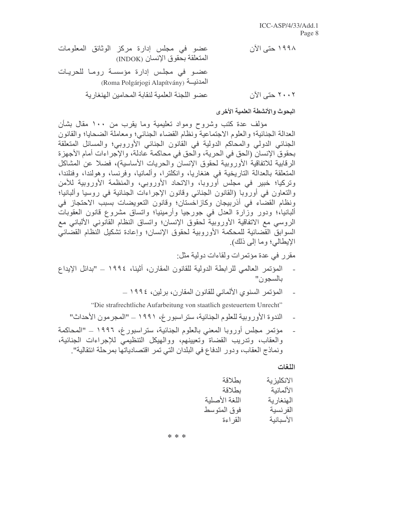البحوث والأنشطة العلمية الأخرى

مؤلَّف عدة كتب وشروح ومواد تعليمية وما يقرب من ١٠٠ مقال بشأن العدالة الجنائية؛ والعلوم الاجتماعية ونظام القضاء الجنائبي؛ ومعاملة الضحايا؛ والقانون الْجِنائِي الدولي والمحاكم الدولية في القانون الْجِنائِي الأوروبي؛ والمسائل المتعلقة بحقوق الإنسان (الحق في الحرية، والحق في محاكمة عادلة، والإجراءات أمام الأجهزة الرقابية للاتفاقية الأوروبية لحقوق الإنسان والحريات الأساسية)، فضلا عن المشاكل المتعلقة بالعدالة التاريخية في هنغاريا، وانكلترا، وألمانيا، وفرنسا، وهولندا، وفنلندا، وتركيا؛ خبير في مجلس أوروبا، والاتحاد الأوروبي، والمنظمة الأوروبية للأمن والنعاون في أوروبا (القانون الجنائبي وقانون الإجراءات الجنائية في روسيا وألبانيا؛ ونظام القضاء في أذربيجان وكازاخستان؛ وقانون التعويضات بسبب الاحتجاز في ألبانيا،؛ ودور وزارة العدل في جورجيا وأرمينيا؛ واتساق مشروع قانون العقوبات الروسي مع الاتفاقية الأوروبية لحقوق الإنسان؛ واتساق النظام القانوني الألباني مع السوابقُ القَّصَائية للمحكمة الأوروبية لحقوق الإنسان؛ وإعادة تشكيل النَّظام القضَّائيَّ الإيطالي؛ وما إلى ذلك).

مقرر في عدة مؤتمرات ولقاءات دولية مثل:

- المؤتمر العالمي للرابطة الدولية للقانون المقارن، أثينا، ١٩٩٤ ــ "بدائل الإيداع بالسجون"
	- المؤتمر السنو ي الألماني للقانون المقارن، بر لين، ١٩٩٤ ــ

"Die strafrechtliche Aufarbeitung von staatlich gesteuertem Unrecht"

- الندوة الأوروبية للعلوم الجنائية، ستر اسبور غ، ١٩٩١ ــ "المجر مون الأحداث"
- مؤتمر مجلس أوروبا المعنى بالعلوم الجنائية، ستراسبور غ، ١٩٩٦ ــ "المحاكمة والعقاب، وتدريب القضاة وتعيينهم، ووالهيكل التنظيمي للإجراءات الجنائية، ونماذج العقاب، ودور الدفاع في البلدان التي تمر اقتصادياتها بمرحلة انتقالية".

اللغات

\* \* \*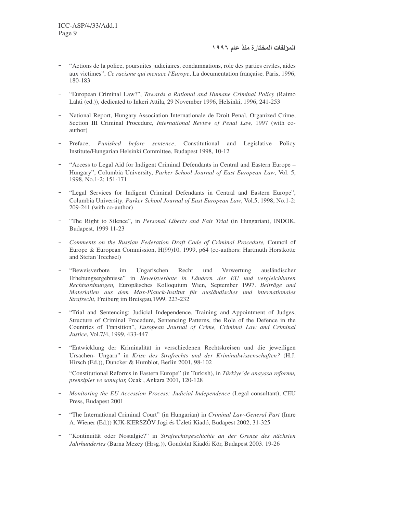- "Actions de la police, poursuites judiciaires, condamnations, role des parties civiles, aides aux victimes", *Ce racisme qui menace l'Europe*, La documentation française*,* Paris, 1996, 180-183
- "European Criminal Law?", *Towards <sup>a</sup> Rational and Humane Criminal Policy* (Raimo Lahti (ed.)), dedicated to Inkeri Attila, 29 November 1996, Helsinki, 1996, 241-253
- National Report, Hungary Association Internationale de Droit Penal, Organized Crime, Section III Criminal Procedure, *International Review of Penal Law,* 1997 (with coauthor)
- Preface, *Punished before sentence*, Constitutional and Legislative Policy Institute/Hungarian Helsinki Committee, Budapest 1998, 10-12
- "Access to Legal Aid for Indigent Criminal Defendants in Central and Eastern Europe Hungary", Columbia University, *Parker School Journal of East European Law*, Vol. 5, 1998, No.1-2; 151-171
- "Legal Services for Indigent Criminal Defendants in Central and Eastern Europe", Columbia University*, Parker School Journal of East European Law*, Vol.5, 1998, No.1-2: 209-241 (with co-author)
- "The Right to Silence", in *Personal Liberty and Fair Trial* (in Hungarian), INDOK, Budapest, 1999 11-23
- *Comments on the Russian Federation Draft Code of Criminal Procedure,* Council of Europe & European Commission, H(99)10, 1999, p64 (co-authors: Hartmuth Horstkotte and Stefan Trechsel)
- "Beweisverbote im Ungarischen Recht und Verwertung ausländischer Erhebungsergebnisse" in *Beweisverbote in Ländern der EU und vergleichbaren Rechtsordnungen,* Europäisches Kolloquium Wien, September 1997. *Beiträge und Materialien aus dem Max-Planck-Institut für ausländisches und internationales Strafrecht*, Freiburg im Breisgau,1999, 223-232
- "Trial and Sentencing: Judicial Independence, Training and Appointment of Judges, Structure of Criminal Procedure, Sentencing Patterns, the Role of the Defence in the Countries of Transition", *European Journal of Crime, Criminal Law and Criminal Justice*, Vol.7/4, 1999, 433-447
- "Entwicklung der Kriminalität in verschiedenen Rechtskreisen und die jeweiligen Ursachen- Ungarn" in *Krise des Strafrechts und der Kriminalwissenschaften?* (H.J. Hirsch (Ed.)), Duncker & Humblot, Berlin 2001, 98-102

"Constitutional Reforms in Eastern Europe" (in Turkish), in *Türkiye'de anayasa reformu, prensipler ve sonuçlar,* Ocak , Ankara 2001, 120-128

- *Monitoring the EU Accession Process: Judicial Independence* (Legal consultant), CEU Press, Budapest 2001
- "The International Criminal Court" (in Hungarian) in *Criminal Law-General Part* (Imre A. Wiener (Ed.)) KJK-KERSZÖV Jogi és Üzleti Kiadó, Budapest 2002, 31-325
- "Kontinuität oder Nostalgie?" in *Strafrechtsgeschichte an der Grenze des nächsten Jahrhundertes* (Barna Mezey (Hrsg.)), Gondolat Kiadói Kör, Budapest 2003. 19-26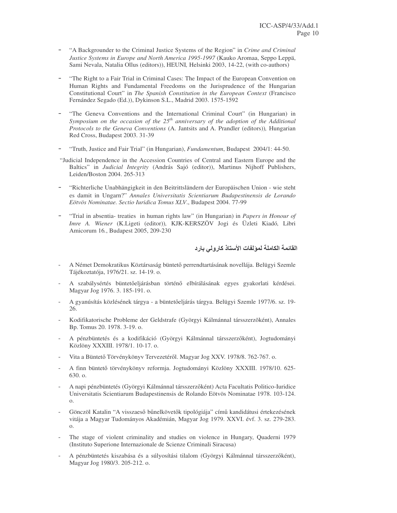- "A Backgrounder to the Criminal Justice Systems of the Region" in *Crime and Criminal Justice Systems in Europe and North America 1995-1997* (Kauko Aromaa, Seppo Leppä, Sami Nevala, Natalia Ollus (editors)), HEUNI*,* Helsinki 2003, 14-22, (with co-authors)
- "The Right to a Fair Trial in Criminal Cases: The Impact of the European Convention on Human Rights and Fundamental Freedoms on the Jurisprudence of the Hungarian Constitutional Court" in *The Spanish Constitution in the European Context* (Francisco Fernández Segado (Ed.)), Dykinson S.L., Madrid 2003. 1575-1592
- "The Geneva Conventions and the International Criminal Court" (in Hungarian) in *Symposium on the occasion of the 25 th anniversary of the adoption of the Additional Protocols to the Geneva Conventions* (A. Jantsits and A. Prandler (editors))*,* Hungarian Red Cross, Budapest 2003. 31-39
- "Truth, Justice and Fair Trial" (in Hungarian), *Fundamentum*, Budapest 2004/1: 44-50.
- "Judicial Independence in the Accession Countries of Central and Eastern Europe and the Baltics" in *Judicial Integrity* (András Sajó (editor)), Martinus Nijhoff Publishers, Leiden/Boston 2004. 265-313
- "Richterliche Unabhängigkeit in den Beitrittsländern der Europäischen Union wie steht es damit in Ungarn?" *Annales Universitatis Scientiarum Budapestinensis de Lorando Eötvös Nominatae. Sectio Iuridica Tomus XLV*., Budapest 2004. 77-99
- "Trial in absentia- treaties in human rights law" (in Hungarian) in *Papers in Honour of Imre A. Wiener* (K.Ligeti (editor))*,* KJK-KERSZÖV Jogi és Üzleti Kiadó*,* Libri Amicorum 16*.*, Budapest 2005, 209-230

القائمة الكاملة لمولفات الأستاذ كارولي بارد

- A Német Demokratikus Köztársaság büntető perrendtartásának novellája. Belügyi Szemle Tájékoztatója, 1976/21. sz. 14-19. o.
- A szabálysértés büntetőeljárásban történő elbírálásának egyes gyakorlati kérdései. Magyar Jog 1976. 3. 185-191. o.
- A gyanúsítás közlésének tárgya a büntetőeljárás tárgya. Belügyi Szemle 1977/6. sz. 19-26.
- Kodifikatorische Probleme der Geldstrafe (Györgyi Kálmánnal társszerzõként), Annales Bp. Tomus 20. 1978. 3-19. o.
- A pénzbüntetés és a kodifikáció (Györgyi Kálmánnal társszerzçként), Jogtudományi Közlöny XXXIII. 1978/1. 10-17. o.
- Vita a Büntető Törvénykönyv Tervezetéről. Magyar Jog XXV. 1978/8. 762-767. o.
- A finn büntető törvénykönyv reformja. Jogtudományi Közlöny XXXIII. 1978/10. 625-630. o.
- A napi pénzbüntetés (Györgyi Kálmánnal társszerzçként) Acta Facultatis Politico-Iuridice Universitatis Scientiarum Budapestinensis de Rolando Eötvös Nominatae 1978. 103-124. o.
- Gönczöl Katalin "A visszaeső bűnelkövetők tipológiája" című kandidátusi értekezésének vitája a Magyar Tudományos Akadémián, Magyar Jog 1979. XXVI. évf. 3. sz. 279-283. o.
- The stage of violent criminality and studies on violence in Hungary, Quaderni 1979 (Instituto Superione Internazionale de Scienze Criminali Siracusa)
- A pénzbüntetés kiszabása és a súlyosítási tilalom (Györgyi Kálmánnal társszerzőként), Magyar Jog 1980/3. 205-212. o.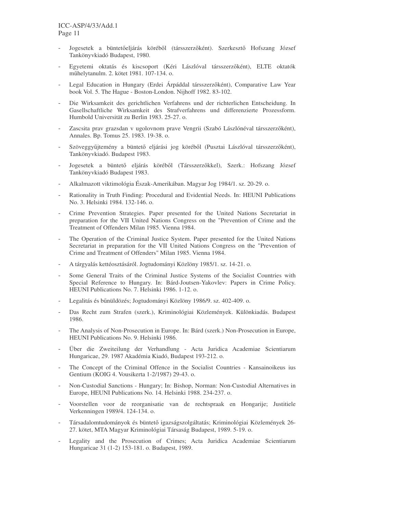- Jogesetek a büntetőeljárás köréből (társszerzőként). Szerkesztő Hofszang József Tankönyvkiadó Budapest, 1980.
- Egyetemi oktatás és kiscsoport (Kéri Lászlóval társszerzçként), ELTE oktatók méhelytanulm. 2. kötet 1981. 107-134. o.
- Legal Education in Hungary (Erdei Árpáddal társszerzőként), Comparative Law Year book Vol. 5. The Hague - Boston-London. Nijhoff 1982. 83-102.
- Die Wirksamkeit des gerichtlichen Verfahrens und der richterlichen Entscheidung. In Gasellschaftliche Wirksamkeit des Strafverfahrens und differenzierte Prozessform. Humbold Universität zu Berlin 1983. 25-27. o.
- Zascsita prav grazsdan v ugolovnom prave Vengrii (Szabó Lászlónéval társszerzőként), Annales. Bp. Tomus 25. 1983. 19-38. o.
- Szöveggyűjtemény a büntető eljárási jog köréből (Pusztai Lászlóval társszerzőként), Tankönyvkiadó. Budapest 1983.
- Jogesetek a büntető eljárás köréből (Társszerzőkkel), Szerk.: Hofszang József Tankönyvkiadó Budapest 1983.
- Alkalmazott viktimológia Észak-Amerikában. Magyar Jog 1984/1. sz. 20-29. o.
- Rationality in Truth Finding: Procedural and Evidential Needs. In: HEUNI Publications No. 3. Helsinki 1984. 132-146. o.
- Crime Prevention Strategies. Paper presented for the United Nations Secretariat in preparation for the VII United Nations Congress on the "Prevention of Crime and the Treatment of Offenders Milan 1985. Vienna 1984.
- The Operation of the Criminal Justice System. Paper presented for the United Nations Secretariat in preparation for the VII United Nations Congress on the "Prevention of Crime and Treatment of Offenders" Milan 1985. Vienna 1984.
- A tárgyalás kettéosztásáról. Jogtudományi Közlöny 1985/1. sz. 14-21. o.
- Some General Traits of the Criminal Justice Systems of the Socialist Countries with Special Reference to Hungary. In: Bárd-Joutsen-Yakovlev: Papers in Crime Policy. HEUNI Publications No. 7. Helsinki 1986. 1-12. o.
- Legalitás és bénüldözés; Jogtudományi Közlöny 1986/9. sz. 402-409. o.
- Das Recht zum Strafen (szerk.), Kriminológiai Közlemények. Különkiadás. Budapest 1986.
- The Analysis of Non-Prosecution in Europe. In: Bárd (szerk.) Non-Prosecution in Europe, HEUNI Publications No. 9. Helsinki 1986.
- Über die Zweiteilung der Verhandlung Acta Juridica Academiae Scientiarum Hungaricae, 29. 1987 Akadémia Kiadó, Budapest 193-212. o.
- The Concept of the Criminal Offence in the Socialist Countries Kansainoikeus ius Gentium (KOIG 4. Vousikerta 1-2/1987) 29-43. o.
- Non-Custodial Sanctions Hungary; In: Bishop, Norman: Non-Custodial Alternatives in Europe, HEUNI Publications No. 14. Helsinki 1988. 234-237. o.
- Voorstellen voor de reorganisatie van de rechtspraak en Hongarije; Justitiele Verkenningen 1989/4. 124-134. o.
- Társadalomtudományok és büntető igazságszolgáltatás; Kriminológiai Közlemények 26-27. kötet, MTA Magyar Kriminológiai Társaság Budapest, 1989. 5-19. o.
- Legality and the Prosecution of Crimes; Acta Juridica Academiae Scientiarum Hungaricae 31 (1-2) 153-181. o. Budapest, 1989.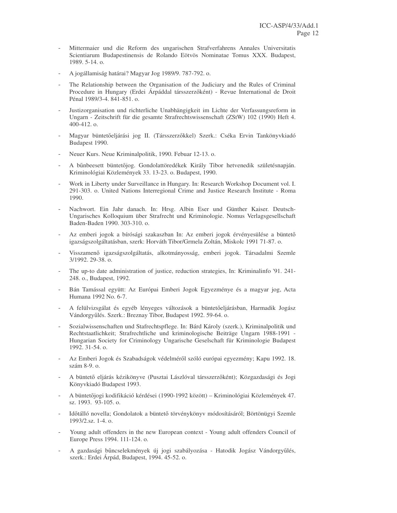- Mittermaier und die Reform des ungarischen Strafverfahrens Annales Universitatis Scientiarum Budapestinensis de Rolando Eötvös Nominatae Tomus XXX. Budapest, 1989. 5-14. o.
- A jogállamiság határai? Magyar Jog 1989/9. 787-792. o.
- The Relationship between the Organisation of the Judiciary and the Rules of Criminal Procedure in Hungary (Erdei Árpáddal társszerzçként) - Revue International de Droit Pénal 1989/3-4. 841-851. o.
- Justizorganisation und richterliche Unabhängigkeit im Lichte der Verfassungsreform in Ungarn - Zeitschrift für die gesamte Strafrechtswissenschaft (ZStW) 102 (1990) Heft 4. 400-412. o.
- Magyar büntetőeljárási jog II. (Társszerzőkkel) Szerk.: Cséka Ervin Tankönyvkiadó Budapest 1990.
- Neuer Kurs. Neue Kriminalpolitik, 1990. Febuar 12-13. o.
- A bűnbeesett büntetőjog. Gondolattöredékek Király Tibor hetvenedik születésnapján. Kriminológiai Közlemények 33. 13-23. o. Budapest, 1990.
- Work in Liberty under Surveillance in Hungary. In: Research Workshop Document vol. I. 291-303. o. United Nations Interregional Crime and Justice Research Institute - Roma 1990.
- Nachwort. Ein Jahr danach. In: Hrsg. Albin Eser und Günther Kaiser. Deutsch-Ungarisches Kolloquium über Strafrecht und Kriminologie. Nomus Verlagsgesellschaft Baden-Baden 1990. 303-310. o.
- Az emberi jogok a bírósági szakaszban In: Az emberi jogok érvényesülése a büntető igazságszolgáltatásban, szerk: Horváth Tibor/Grmela Zoltán, Miskolc 1991 71-87. o.
- Visszamenç igazságszolgáltatás, alkotmányosság, emberi jogok. Társadalmi Szemle 3/1992. 29-38. o.
- The up-to date administration of justice, reduction strategies, In: Kriminalinfo '91. 241-248. o., Budapest, 1992.
- Bán Tamással együtt: Az Európai Emberi Jogok Egyezménye és a magyar jog, Acta Humana 1992 No. 6-7.
- A felülvizsgálat és egyéb lényeges változások a büntetőeljárásban, Harmadik Jogász Vándorgyélés. Szerk.: Breznay Tibor, Budapest 1992. 59-64. o.
- Sozialwissenschaften und Stafrechtspflege. In: Bárd Károly (szerk.), Kriminalpolitik und Rechtstaatlichkeit; Strafrechtliche und kriminologische Beiträge Ungarn 1988-1991 - Hungarian Society for Criminology Ungarische Geselschaft für Kriminologie Budapest 1992. 31-54. o.
- Az Emberi Jogok és Szabadságok védelméről szóló európai egyezmény; Kapu 1992. 18. szám 8-9. o.
- A büntető eljárás kézikönyve (Pusztai Lászlóval társszerzőként); Közgazdasági és Jogi Könyvkiadó Budapest 1993.
- A büntetőjogi kodifikáció kérdései (1990-1992 között) Kriminológiai Közlemények 47. sz. 1993. 93-105. o.
- Időtálló novella; Gondolatok a büntető törvénykönyv módosításáról; Börtönügyi Szemle 1993/2.sz. 1-4. o.
- Young adult offenders in the new European context Young adult offenders Council of Europe Press 1994. 111-124. o.
- A gazdasági bűncselekmények új jogi szabályozása Hatodik Jogász Vándorgyűlés, szerk.: Erdei Árpád, Budapest, 1994. 45-52. o.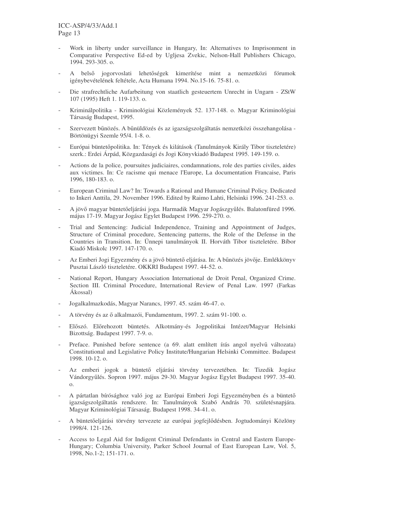- Work in liberty under surveillance in Hungary, In: Alternatives to Imprisonment in Comparative Perspective Ed-ed by Ugljesa Zvekic, Nelson-Hall Publishers Chicago, 1994. 293-305. o.
- A belső jogorvoslati lehetőségek kimerítése mint a nemzetközi fórumok igénybevételének feltétele, Acta Humana 1994. No.15-16. 75-81. o.
- Die strafrechtliche Aufarbeitung von staatlich gesteuertem Unrecht in Ungarn ZStW 107 (1995) Heft 1. 119-133. o.
- Kriminálpolitika Kriminológiai Közlemények 52. 137-148. o. Magyar Kriminológiai Társaság Budapest, 1995.
- Szervezett bénözés. A bénüldözés és az igazságszolgáltatás nemzetközi összehangolása Börtönügyi Szemle 95/4. 1-8. o.
- Európai büntetőpolitika. In: Tények és kilátások (Tanulmányok Király Tibor tiszteletére) szerk.: Erdei Árpád, Közgazdasági és Jogi Könyvkiadó Budapest 1995. 149-159. o.
- Actions de la police, poursuites judiciaires, condamnations, role des parties civiles, aides aux victimes. In: Ce racisme qui menace l'Europe, La documentation Francaise, Paris 1996, 180-183. o.
- European Criminal Law? In: Towards a Rational and Humane Criminal Policy. Dedicated to Inkeri Anttila, 29. November 1996. Edited by Raimo Lahti, Helsinki 1996. 241-253. o.
- A jövő magyar büntetőeljárási joga. Harmadik Magyar Jogászgyűlés. Balatonfüred 1996. május 17-19. Magyar Jogász Egylet Budapest 1996. 259-270. o.
- Trial and Sentencing: Judicial Independence, Training and Appointment of Judges, Structure of Criminal procedure, Sentencing patterns, the Role of the Defense in the Countries in Transition. In: Ünnepi tanulmányok II. Horváth Tibor tiszteletére. Bíbor Kiadó Miskolc 1997. 147-170. o.
- Az Emberi Jogi Egyezmény és a jövő büntető eljárása. In: A bűnözés jövője. Emlékkönyv Pusztai László tiszteletére. OKKRI Budapest 1997. 44-52. o.
- National Report, Hungary Association International de Droit Penal, Organized Crime. Section III. Criminal Procedure, International Review of Penal Law. 1997 (Farkas Ákossal)
- Jogalkalmazkodás, Magyar Narancs, 1997. 45. szám 46-47. o.
- A törvény és az ő alkalmazói, Fundamentum, 1997. 2. szám 91-100. o.
- Előszó. Előrehozott büntetés. Alkotmány-és Jogpolitikai Intézet/Magyar Helsinki Bizottság. Budapest 1997. 7-9. o.
- Preface. Punished before sentence (a 69. alatt említett írás angol nyelvű változata) Constitutional and Legislative Policy Institute/Hungarian Helsinki Committee. Budapest 1998. 10-12. o.
- Az emberi jogok a büntető eljárási törvény tervezetében. In: Tizedik Jogász Vándorgyélés. Sopron 1997. május 29-30. Magyar Jogász Egylet Budapest 1997. 35-40. o.
- A pártatlan bírósághoz való jog az Európai Emberi Jogi Egyezményben és a büntető igazságszolgáltatás rendszere. In: Tanulmányok Szabó András 70. születésnapjára. Magyar Kriminológiai Társaság. Budapest 1998. 34-41. o.
- A büntetőeljárási törvény tervezete az európai jogfejlődésben. Jogtudományi Közlöny 1998/4. 121-126.
- Access to Legal Aid for Indigent Criminal Defendants in Central and Eastern Europe-Hungary; Columbia University, Parker School Journal of East European Law, Vol. 5, 1998, No.1-2; 151-171. o.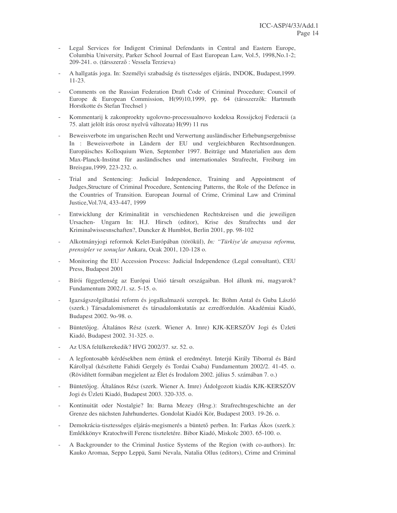- Legal Services for Indigent Criminal Defendants in Central and Eastern Europe, Columbia University, Parker School Journal of East European Law, Vol.5, 1998,No.1-2; 209-241. o. (társszerző : Vessela Terzieva)
- A hallgatás joga. In: Személyi szabadság és tisztességes eljárás, INDOK, Budapest,1999. 11-23.
- Comments on the Russian Federation Draft Code of Criminal Procedure; Council of Europe & European Commission, H(99)10,1999, pp. 64 (társszerzők: Hartmuth Horstkotte és Stefan Trechsel )
- Kommentarij k zakonproekty ugolovno-processualnovo kodeksa Rossijckoj Federacii (a 75. alatt jelölt írás orosz nyelvé változata) H(99) 11 rus
- Beweisverbote im ungarischen Recht und Verwertung ausländischer Erhebungsergebnisse In : Beweisverbote in Ländern der EU und vergleichbaren Rechtsordnungen. Europäisches Kolloquium Wien, September 1997. Beiträge und Materialien aus dem Max-Planck-Institut für ausländisches und internationales Strafrecht, Freiburg im Breisgau,1999, 223-232. o.
- Trial and Sentencing: Judicial Independence, Training and Appointment of Judges,Structure of Criminal Procedure, Sentencing Patterns, the Role of the Defence in the Countries of Transition. European Journal of Crime, Criminal Law and Criminal Justice,Vol.7/4, 433-447, 1999
- Entwicklung der Kriminalität in verschiedenen Rechtskreisen und die jeweiligen Ursachen- Ungarn In: H.J. Hirsch (editor), Krise des Strafrechts und der Kriminalwissesnschaften?, Duncker & Humblot, Berlin 2001, pp. 98-102
- Alkotmányjogi reformok Kelet-Európában (törökül), *In: "Türkiye'de anayasa reformu, prensipler ve sonuçlar* Ankara, Ocak 2001, 120-128 o.
- Monitoring the EU Accession Process: Judicial Independence (Legal consultant), CEU Press, Budapest 2001
- Bírói függetlenség az Európai Unió társult országaiban. Hol állunk mi, magyarok? Fundamentum 2002./1. sz. 5-15. o.
- Igazságszolgáltatási reform és jogalkalmazói szerepek. In: Böhm Antal és Guba László (szerk.) Társadalomismeret és társadalomkutatás az ezredfordulón. Akadémiai Kiadó, Budapest 2002. 9o-98. o.
- Büntetőjog. Általános Rész (szerk. Wiener A. Imre) KJK-KERSZÖV Jogi és Üzleti Kiadó, Budapest 2002. 31-325. o.
- Az USA felülkerekedik? HVG 2002/37. sz. 52. o.
- A legfontosabb kérdésekben nem értünk el eredményt. Interjú Király Tiborral és Bárd Károllyal (készítette Fahidi Gergely és Tordai Csaba) Fundamentum 2002/2. 41-45. o. (Rövidített formában megjelent az Élet és Irodalom 2002. július 5. számában 7. o.)
- Büntetőjog. Általános Rész (szerk. Wiener A. Imre) Átdolgozott kiadás KJK-KERSZÖV Jogi és Üzleti Kiadó, Budapest 2003. 320-335. o.
- Kontinuität oder Nostalgie? In: Barna Mezey (Hrsg.): Strafrechtsgeschichte an der Grenze des nächsten Jahrhundertes. Gondolat Kiadói Kör, Budapest 2003. 19-26. o.
- Demokrácia-tisztességes eljárás-megismerés a büntető perben. In: Farkas Ákos (szerk.): Emlékkönyv Kratochwill Ferenc tiszteletére. Bibor Kiadó, Miskolc 2003. 65-100. o.
- A Backgrounder to the Criminal Justice Systems of the Region (with co-authors). In: Kauko Aromaa, Seppo Leppä, Sami Nevala, Natalia Ollus (editors), Crime and Criminal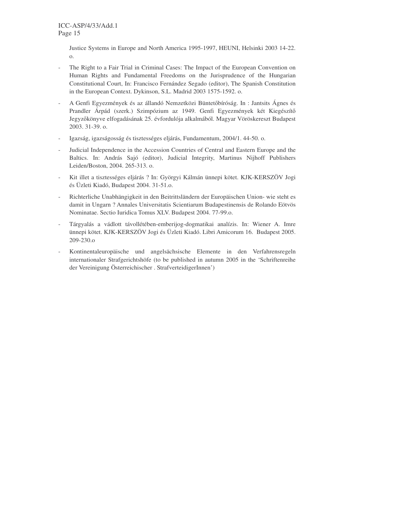Justice Systems in Europe and North America 1995-1997, HEUNI, Helsinki 2003 14-22. o.

- The Right to a Fair Trial in Criminal Cases: The Impact of the European Convention on Human Rights and Fundamental Freedoms on the Jurisprudence of the Hungarian Constitutional Court, In: Francisco Fernández Segado (editor), The Spanish Constitution in the European Context. Dykinson, S.L. Madrid 2003 1575-1592. o.
- A Genfi Egyezmények és az állandó Nemzetközi Büntetőbíróság. In : Jantsits Ágnes és Prandler Árpád (szerk.) Szimpózium az 1949. Genfi Egyezmények két Kiegészítç Jegyzçkönyve elfogadásának 25. évfordulója alkalmából. Magyar Vöröskereszt Budapest 2003. 31-39. o.
- Igazság, igazságosság és tisztességes eljárás, Fundamentum, 2004/1. 44-50. o.
- Judicial Independence in the Accession Countries of Central and Eastern Europe and the Baltics. In: András Sajó (editor), Judicial Integrity, Martinus Nijhoff Publishers Leiden/Boston, 2004. 265-313. o.
- Kit illet a tisztességes eljárás ? In: Györgyi Kálmán ünnepi kötet. KJK-KERSZÖV Jogi és Üzleti Kiadó, Budapest 2004. 31-51.o.
- Richterliche Unabhängigkeit in den Beitrittsländern der Europäischen Union- wie steht es damit in Ungarn ? Annales Universitatis Scientiarum Budapestinensis de Rolando Eötvös Nominatae. Sectio Iuridica Tomus XLV. Budapest 2004. 77-99.o.
- Tárgyalás a vádlott távollétében-emberijog-dogmatikai analízis. In: Wiener A. Imre ünnepi kötet. KJK-KERSZÖV Jogi és Üzleti Kiadó. Libri Amicorum 16. Budapest 2005. 209-230.o
- Kontinentaleuropäische und angelsächsische Elemente in den Verfahrensregeln internationaler Strafgerichtshöfe (to be published in autumn 2005 in the 'Schriftenreihe der Vereinigung Österreichischer . StrafverteidigerInnen')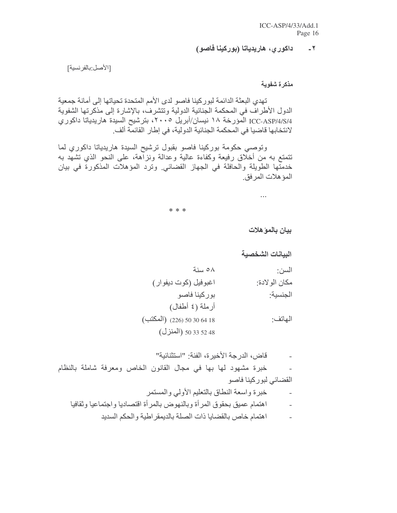#### داكور ي، هاريدياتا (بوركينا فاصو)  $-7$

[الأصل:بالفرنسية]

مذكرة شفوية

تهدى البعثة الدائمة لبور كينا فاصو لدى الأمم المتحدة تحياتها إلى أمانة جمعية الدول الأطراف في المحكمة الجنائية الدولية وتتشرف، بالإشارة إلى مذكرتها الشفوية ICC-ASP/4/S/4 المؤرخة ١٨ نيسان/أبريل ٢٠٠٥، بترشيح السيدة هاريدياتا داكوري لانتخابها قاضبا في المحكمة الجنائية الدولية، في إطار القائمة ألف.

وتوصبي حكومة بوركينا فاصو بقبول ترشيح السيدة هاريدياتا داكوري لما نتمتع به من أخلاق رفيعة وكفاءة عالية وعدالة ونزاهة، على النحو الذي نشهد به خدمتها الطويلة والحافلة في الجهاز القضائي وترد المؤهلات المذكورة في بيان المؤهلات المرفق.

\* \* \*

بيان بالمو هلات

الببانات الشخصبة

| السن:         | ∧٥ سنة                     |
|---------------|----------------------------|
| مكان الولادة: | اغبوفيل (كوت ديفوار)       |
| الجنسية:      | بوركينا فاصو               |
|               | أرملة (٤ أطفال)            |
| الهاتف:       | (المكتب) (226) 50 30 64 18 |
|               | 50 33 52 48 (المنزل)       |

قاض، الدرجة الأخيرة، الفئة: "استثنائية" خبرة مشهود لها بها في مجال القانون الخاص ومعرفة شاملة بالنظام  $\overline{a}$ القضائي لبوركينا فاصو خبرة واسعة النطاق بالتعليم الأولى والمستمر اهتمام عميق بحقوق المرأة وبالنهوض بالمرأة اقتصاديا واجتماعيا وثقافيا اهتمام خاص بالقضايا ذات الصلة بالديمقر اطية والحكم السديد  $\overline{a}$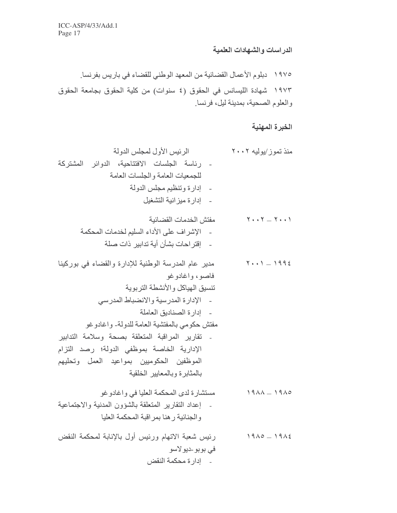# الدراسات والشهادات العلمية

# الخبرة المهنية

## - إدارة محكمة النقض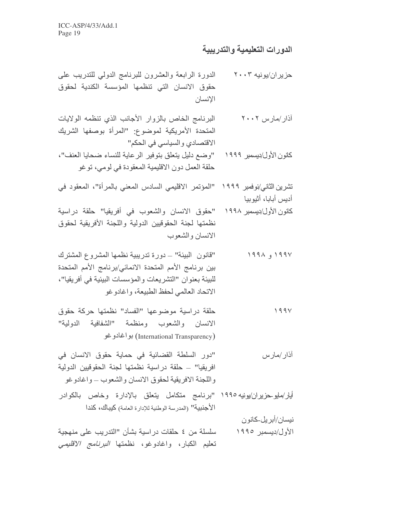### الدورات التعليمية والتدريبية

- الدورة الرابعة والعشرون للبرنامج الدولى للتدريب على حز پر ان/يو نيه ۲۰۰۳ حقوق الانسان التى تنظمها المؤسسة الكندية لحقوق الإنسان
- البرنامج الخاص بالزوار الأجانب الذي تنظمه الولايات آذار ⁄مارس ۲۰۰۲ المتحدة الأمريكية لموضوع: "المرأة بوصفها الشريك الاقتصادي والسباسي في الحكم"
- كانون الأول/ديسمبر ١٩٩٩ "وضع دليل يتعلق بتوفير الرعاية للنساء ضحايا العنف"، حلقة العمل دون الاقليمية المعقودة في لومي، توغو
- تشرين الثاني/نوفمبر ١٩٩٩ "المؤتمر الاقليمي السادس المعنى بالمرأة"، المعقود في أديس أبابا، أثيوبيا
- كانون الأول/ديسمبر ١٩٩٨ "حقوق الانسان والشعوب في أفريقيا" حلقة دراسية نظمتها لجنة الحقوقيين الدولية واللجنة الأفريقية لحقوق الانسان والشعوب
- "قانون البيئة" ــ دورة تدريبية نظمها المشروع المشترك  $199 \wedge q$ بين برنامج الأمم المتحدة الانمائي/برنامج الأمم المتحدة للبيئة بعنوان "التشريعات والمؤسسات البيئية في أفريقيا"، الاتحاد العالمي لحفظ الطبيعة، واغادوغو
- حلقة دراسية موضوعها "الفساد" نظمتها حركة حقوق  $199V$ الانسان والشعوب ومنظمة "الشفافية الدولية" (International Transparency) بواغادوغو
- "دور السلطة القضائية في حماية حقوق الانسان في اذار /مارس افريقيا" ــ حلقة دراسية نظمتها لجنة الحقوقيين الدولية واللجنة الافريقية لحقوق الانسان والشعوب ـ واغادوغو
- أيار/مايوحزير ان/يونيه ١٩٩٥ "برنامج متكامل يتعلق بالإدار ة وخاص بالكوادر الأجنبية" (المدرسة الوطنية للإدارة العامة) كيباك، كندا

نيسان/أبر پل-كانو ن

الأول/ديسمبر ١٩٩٥ سلسلة من ٤ حلقات دراسية بشأن "الندريب على منهجية تعليم الكبار، واغادوغو، نظمتها *البرنامج الاقليمي*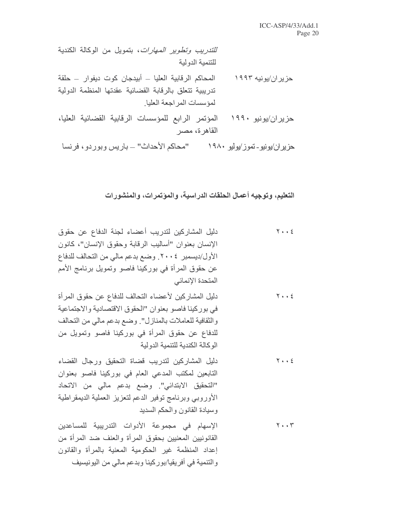*للتدريب وتطوير المهارات*، بتمويل من الوكالة الكندبة للتنمبة الدولبة

- المحاكم الرقابية العليا ـ أبيدجان كوت ديفوار ـ حلقة حز پر ان/يو نپه ۱۹۹۳ تدريبية تتعلق بالرقابة القضائية عقدتها المنظمة الدولية لمؤسسات المراجعة العليا
- المؤتمر الرابع للمؤسسات الرقابية القضائية العليا، حزیر ان/یونیو ۱۹۹۰ القاهر ة، مصر

حز پر اِن/يو نيو - تمو ز /يو ليو ١٩٨٠ "محاكم الأحداث" — بار پس و بو ر دو ، فر نسا

التعليم، وتوجيه أعمال الحلقات الدراسية، والمؤتمرات، والمنشورات

- دليل المشاركين لتدريب أعضاء لجنة الدفاع عن حقوق  $Y + 2E$ الإنسان بعنوان "أساليب الرقابة وحقوق الإنسان"، كانون الأول/ديسمبر ٢٠٠٤. وضع بدعم مالي من التحالف للدفاع عن حقوق المرأة في بوركينا فاصو وتمويل برنامج الأمم المتحدة الإنمائي
- دليل المشاركين لأعضاء التحالف للدفاع عن حقوق المرأة  $Y \cdot \cdot 2$ في بوركينا فاصو بعنوان "الحقوق الاقتصادية والاجتماعية وِ الثقافية للعاملات بالمنازل". وضع بدعم مالي من التحالف للدفاع عن حقوق المرأة في بوركينا فاصو وتمويل من الوكالة الكندية للتنمية الدولية
- دليل المشاركين لتدريب قضاة التحقيق ورجال القضاء  $Y \cdot \cdot 2$ التابعين لمكتب المدعى العام في بوركينا فاصو بعنوان "التحقيق الابتدائي". وضع بدعم مالي من الاتحاد الأوروبي وبرنامج توفير الدعم لتعزيز العملية الديمقراطية وسيادة القانون والحكم السديد
- الإسهام في مجموعة الأدوات التدريبية للمساعدين  $Y \cdot Y$ القانونيين المعنيين بحقوق المرأة والعنف ضد المرأة من إعداد المنظمة غير الحكومية المعنية بالمرأة والقانون وِ النّنمية في أفريقيا/بوركينا وبدعم مالي من اليونيسيف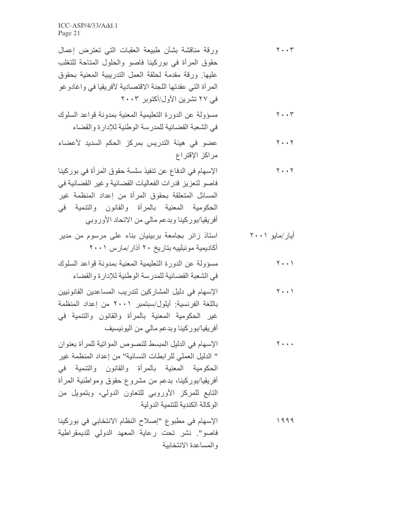| ورقة مناقشة بشأن طبيعة العقبات التي تعترض إعمال<br>حقوق المرأة في بوركينا فاصو والحلول المتاحة للتغلب<br>عليها ورقة مقدمة لحلقة العمل التدريبية المعنية بحقوق<br>المرأة التي عقدتها اللجنة الاقتصادية لأفريقيا في واغادوغو<br>فی ۲۷ تشرین الأول/أكتوبر ۲۰۰۳                                                       | $Y \cdot \cdot Y$                   |
|-------------------------------------------------------------------------------------------------------------------------------------------------------------------------------------------------------------------------------------------------------------------------------------------------------------------|-------------------------------------|
| مسؤولة عن الدورة التعليمية المعنية بمدونة قواعد السلوك<br>في الشعبة القضائية للمدرسة الوطنية للإدارة والقضاء                                                                                                                                                                                                      | $Y \cdot \cdot Y$                   |
| عضو في هيئة التدريس بمركز الحكم السديد لأعضاء<br>مراكز الإقتراع                                                                                                                                                                                                                                                   | $Y \cdot \cdot Y$                   |
| الإسهام في الدفاع عن تنفيذ سلسة حقوق المرأة في بوركينا<br>فاصو لتعزيز قدرات الفعاليات القضائية وغير القضائية في<br>المسائل المتعلقة بحقوق المرأة من إعداد المنظمة غير<br>الحكومية المعنية بالمرأة والقانون والتنمية في<br>أفريقيا/بوركينا وبدعم مالي من الاتحاد الأوروبي                                          | $Y \cdot \cdot Y$                   |
| استاذ زائر بجامعة بربينيان بناء على مرسوم من مدير<br>أكاديمية مونبلييه بتاريخ ٢٠ آذار /مارس ٢٠٠١                                                                                                                                                                                                                  | أيار/مايو ۲۰۰۱                      |
| مسؤولة عن الدورة التعليمية المعنية بمدونة قواعد السلوك<br>في الشعبة القضائية للمدرسة الوطنية للإدارة والقضاء                                                                                                                                                                                                      | $\mathbf{Y} \cdot \cdot \mathbf{Y}$ |
| الإسهام في دليل المشاركين لتدريب المساعدين القانونيين<br>باللغة الفرنسية: أيلول/سبتمبر ٢٠٠١ من إعداد المنظمة<br>غير الحكومية المعنية بالمرأة والقانون والتنمية في<br>أفريقيا/بوركينا وبدعم مالي من اليونيسيف                                                                                                      | $Y \cdot \cdot Y$                   |
| الإسهام في الدليل المبسط للنصوص المؤاتية للمرأة بعنوان<br>" الدليل العملي للرابطات النسائية" من إعداد المنظمة غير<br>الحكومية المعنية بالمرأة والقانون والتنمية في<br>أفريقيا/بوركينا، بدعم من مشروع حقوق ومواطنية المرأة<br>التابع للمركز الأوروبي للتعاون الدولي، وبتمويل من<br>الوكالة الكندية للتنمية الدولية | $Y \leftrightarrow \star$           |
| الإسهام في مطبوع "إصلاح النظام الانتخابي في بوركينا<br>فاصو". نشر تحت رعاية المعهد الدولي للديمقراطية<br>والمساعدة الانتخابية                                                                                                                                                                                     | 1999                                |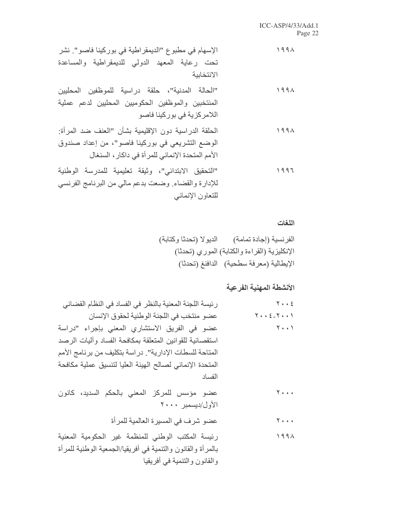### اللغات

# الأنشطة المهنية الفرعية

| رئيسة اللجنة المعنية بالنظر في الفساد في النظام القضائي                                                         | $Y \cdot \cdot \xi$                           |
|-----------------------------------------------------------------------------------------------------------------|-----------------------------------------------|
| عضو منتخب في اللجنة الوطنية لحقوق الإنسان                                                                       | $Y \cdot \cdot \xi_{-} Y \cdot \cdot \cdot$   |
| عضو في الفريق الاستشاري المعنى بإجراء "دراسة                                                                    | $Y \cdot \cdot Y$                             |
| استقصائية للقوانين المتعلقة بمكافحة الفساد وأليات الرصد                                                         |                                               |
| المتاحة للسطات الإدارية". در اسة بتكليف من برنامج الأمم                                                         |                                               |
| المتحدة الإنمائي لصالح الهيئة العليا لتنسيق عملية مكافحة                                                        |                                               |
| الفساد                                                                                                          |                                               |
| عضو مؤسس للمركز المعنى بالحكم السديد، كانون<br>الأول/ديسمبر ٢٠٠٠                                                | $\mathbf{Y} \leftarrow \mathbf{X} \mathbf{X}$ |
| عضو شرف في المسيرة العالمية للمرأة                                                                              | $\mathbf{Y}$ + + +                            |
| رئيسة المكتب الوطني للمنظمة غير الحكومية المعنية<br>بالمرأة والقانون والتنمية في أفريقيا/الجمعية الوطنية للمرأة | 1991                                          |
| والقانون والتنمية في أفريقيا                                                                                    |                                               |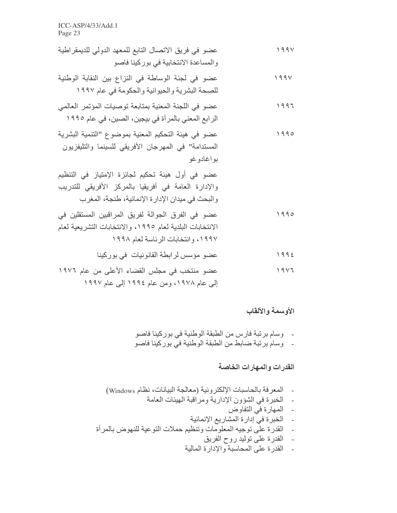- عضو في فريق الاتصال التابع للمعهد الدولي للديمقر اطية  $199V$ والمساعدة الانتخابية في بوركينا فاصو
- عضو في لجنة الوساطة في النزاع بين النقابة الوطنية  $199V$ للصحة البشرية والحيوانية والحكومة في عام ١٩٩٧
- عضو في اللجنة المعنية بمتابعة توصيات المؤتمر العالمي 1997 الرابع المعنى بالمرأة في بيجين، الصين، في عام ١٩٩٥
- عضو في هيئة التحكيم المعنية بموضوع "التنمية البشرية 1990 المستدامة" في المهرجان الأفريقي للسينما والتليفزيون بو اغادو غو

- عضو في الفرق الجوالة لفريق المراقبين المستقلين في 1990 الانتخابات البلدية لعام ١٩٩٥، والانتخابات التشريعية لعام ١٩٩٧، وانتخابات الرئاسة لعام ١٩٩٨
	- عضو مؤسس لرابطة القانونيات في بوركينا  $1992$
- عضو منتخب في مجلس القضاء الأعلى من عام ١٩٧٦  $1917$ 
	- إلى عام ١٩٧٨، ومن عام ١٩٩٤ إلى عام ١٩٩٧

### الأوسمة والألقاب

- وسام برنبة فارس من الطبقة الوطنية في بوركينا فاصو - وسام برنبة ضابط من الطبقة الوطنية في بوركينا فاصو

### القدر ات و المهار ات الخاصة

- المعرفة بالحاسبات الإلكتر ونية (معالجة البيانات، نظام Windows)  $\sim$ - الخبرة في الشؤون الإدارية ومراقبة الهيئات العامة - المهارة في التفاوض - الخبرة فيّ إدارة المشاريع الإنمائية - القدرة علَّى توجيه المعلوماتُ وتنظيم حملات النَّوعية للنَّهوض بالمرأة ۔ القدرۃ علی تولید روح الفریق
	- القدر ة على المحاسبة والإدار ة المالية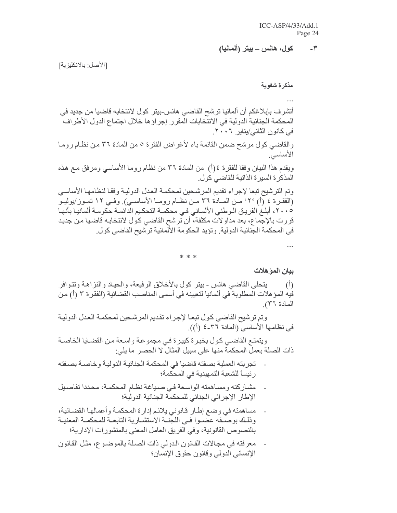#### كول، هانس ـــ بيتر (ألمانيا)  $-\tau$

[الأصل: بالانكليزية]

مذكرة شفوية

أتشرف بإبلاغكم أن ألمانيا ترشح القاضي هانس-بيتر كول لانتخابه قاضيا من جديد في المحكمة الجنائية الدولية في الانتخابات المقرر إجراؤها خلال اجتماع الدول الأطراف في كانون الثاني/يناير ٢٠٠٦. والقاضي كول مرشح ضمن القائمة باء لأغراض الفقرة ٥ من المادة ٣٦ من نظـام رومـا الأساسى

ويقدم هذا البيان وفقا للفقرة ٤(أ) من المادة ٣٦ من نظام روما الأساسي ومرفق مـع هذه المذكر ة السير ة الذاتية للقاضى كول.

وتم الترشيح تبعا لإجراء تقديم المرشحين لمحكمة العدل الدولية وفقا لنظامها الأساسي (الفقـرة ٤ (أ) ٢٠، مـن المـادة ٣٦ مـن نظــام رومــا الأساســي) وفــي ١٢ تمـوز/يوليـو ١٠٠٥، أبلغَ الفريق الـوطني الألمـاني فـي محكمـة التحكيم الدائمـة حكومـة ألمانيـا بأنهـا قررت بالإجماع، بعد مداولات مكثفة، أن ترشح القاضي كول لانتخابـه قاضـيا مـن جديد في المحكمة الجنائية الدولية. وتؤيد الحكومة الألمانية ترشيح القاضي كول.

\* \* \*

بيان المو هلات

يتحلَّى القاضـي هانس ـ بيتر كول بالأخلاق الرفيعة، والحيـاد والنزاهـة وتتـوافر  $(\mathfrak{h})$ فيه المؤ هلات المطلوبة في ألمانيا لتعيينه في أسمي المناصب القضائية (الفقر ة ٣ (أ) من المادة ٣٦)

وتم ترشيح القاضي كول تبعا لإجراء تقديم المرشحين لمحكمة العدل الدولية في نظامها الأساسي (المادة ٣٦-٤ (أ)).

ويتمتع القاضي كول بخبرة كبيرة في مجموعة واسعة من القضبايا الخاصية ذات الصلة بعمل المحكمة منها على سبيل المثال لا الحصر ٍ ما يلي:

- تجربته العملية بصفته قاضيا في المحكمة الجنائية الدولية وخاصـة بصـفته رِ ئيساً للشعبة التمهيدية في المحكمة؛
- مشاركته ومساهمته الواسعة في صباغة نظام المحكمة، محددا تفاصيل  $\overline{a}$ الإطار الإجرائي الجنائي للمحكمة الجنائية الدولية؛
- مساهمته في وضع إطار قانوني يلائم إدارة المحكمة وأعمالها القضائية، وذلك بوصـفه عضـوا فـي اللجنــة الاستشــارية التابعــة للمحكمــة المعنيــة بالنصوص القانونية، وفي الفريق العامل المعنى بالمنشورات الإدارية؛
- معرفته في مجالات القانون الدولي ذات الصلة بالموضوع، مثل القانون الإنساني الدولي وقانون حقوق الإنسان؛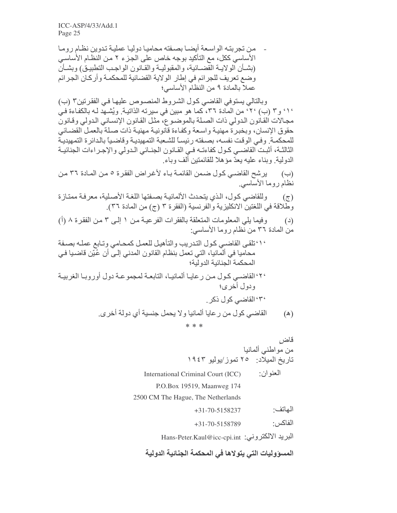من نجر بنـه الو اسـعة أبضـا بصـفته محامبـا دو لبـا عملبـة تـدو بن نظـام ر و مـا الأساسي ككل، مع التأكيد بوجه خاص على الجزء ٢ من النظام الأساسي (بشــأن الولايــة القضــائية، والمقبوليــة والقـانون الواجـب التطبيـق) وبشــأنّ وضع تعريف للجرائم في إطار الولاية القضائية للمحكمة وأركان الجرائم عملا بالمادة ٩ من النظام الأساسي؛

وبالتالي يستوفي القاضي كول الشروط المنصوص عليها في الفقرتين٣ (ب) ٬۱٬ و۳ (ب) ٬۲٬ من المادة ۳۲، كما هو مبين في سيرته الذاتية. ويُشهد لـه بالكفاءة فـي مجالات القانون الدولي ذات الصلة بالموضوع، مثل القانون الإنساني الدولي وقانون حقوق الإنسان، وبخبرة مهنية واسعة وكفاءة قانونية مهنية ذات صلة بالعمل القضائي للمحكمـة. وفـي الوقت نفسـه، بصـفته رئيسـاً للشـعبة التمهيديـة وقاضـياً بالدائرة التمهيديـة الثالثــة، أثبـت القاضــي كـول كفاءتــه فـي القــانون الجنــائي الـدولي والإجـراءات الجنائيــة الدولية. وبناء عليه يعدّ مؤهلا للقائمتين ألف وباء.

(ب) ليرشح القاضي كول ضمن القائمة باء لأغراض الفقرة ٥ من المادة ٣٦ من نظام روما الأساسي

وللقاضي كول، الذي يتحدث الألمانية بصفتها اللغة الأصلية، معرفة ممتازة  $(\tau)$ وَطَّلاقة في اللغتين الانكليزية والفرنسية (الفقرة ٣ (ج) من المادة ٣٦).

- وفيما يلي المعلومات المتعلقة بالفقرات الفرعية من ١ إلى ٣ من الفقرة ٨ (أ)  $\left( \begin{array}{c} 2 \end{array} \right)$ من المادة ٣٦ من نظام روما الأساسي:
- ٬٬٬ تلقى القاضي كول التدريب والتأهيل للعمل كمحامى وتابع عمله بصفة محاميا في ألمانيا، التي تعمل بنظام القانون المدني إلى أن عُيّن قاضيا في المحكمة الجنائبة الدو لبة؛
- ٢٠ القاضـي كـول مـن ر عايـا ألمانيـا، النابعـة لمجموعـة دول أوروبـا الغربيـة و دو ل أخر ي؛ ۳٬ القاضبي کول ذکر القاضي كول من رعايا ألمانيا ولا يحمل جنسية أي دولة أخرى.  $(\mathbb{A})$

\* \* \*

قاض من مواطنبي ألمانيا تاريخ الميلَّاد: ٢٥ تموز/يوليو ١٩٤٣ العنوان: International Criminal Court (ICC) P.O.Box 19519, Maanweg 174 2500 CM The Hague, The Netherlands الهاتف:  $+31-70-5158237$ الفاكس +31-70-5158789 البريد الالكتروني: Hans-Peter.Kaul@icc-cpi.int

المسووليات التي يتولاها في المحكمة الجنائية الدولية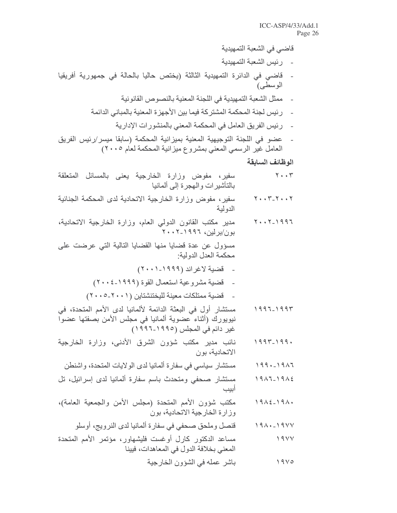قاضي في الشعبة التمهيدية

- رئيس الشعبة التمهيدية
- قاضي في الدائرة التمهيدية الثالثة (يختص حاليا بالحالة في جمهورية أفريقيا الوسطى)
	- ممثل الشعبة التمهيدية في اللجنة المعنية بالنصوص القانونية
	- رئيس لجنة المحكمة المشتركة فيما بين الأجهزة المعنية بالمباني الدائمة
		- رئيس الفريق العامل في المحكمة المعنى بالمنشورات الإدارية
- عضو في اللجنة التوجيهية المعنية بميزانية المحكمة (سابقا ميسر/رئيس الفريق العامل غير الرسمي المعني بمشروع ميزانية المحكمة لعاَم ٢٠٠٥)

الوظائف السابقة

- $Y \cdot Y$ سفير، مفوض وزارة الخارجية يعنى بالمسائل المتعلقة بالتأشيرات والمجرة إلى ألمانيا
- سفير، مفوض وزارة الخارجية الاتحادية لدى المحكمة الجنائية  $Y \cdot Y - Y - Y \cdot Y$ الدو لية
- مدير مكتب القانون الدولى العام، وزارة الخارجية الاتحادية،  $Y \cdot Y - 1997$ بون/برلین، ۱۹۹۲-۲۰۰۲

مسؤول عن عدة قضايا منها القضايا التالية التي عرضت على محكمة العدل الدولية:

- قضبة لاغراند (١٩٩٩-٢٠٠١)
- قضية مشروعية استعمال القوة (١٩٩٩-٢٠٠٤)
- قضية ممتلكات معينة للبختنشتاين (٢٠٠١-٢٠٠٥)
- مستشار أول في البعثة الدائمة لألمانيا لدى الأمم المتحدة، في  $1997 - 1997$ نيويورك (أثناء عضوية ألمانيا في مجلس الأمن بصفتها عضوا غير دائم في المجلس (١٩٩٥-١٩٩٦)
- نائب مدير مكتب شؤون الشرق الأدنى، وزارة الخارجية  $1997 - 199.$ الاتحادية، بو ن
- مستشار سياسي في سفارة ألمانيا لدى الولايات المتحدة، واشنطن  $199. - 1917$
- مستشار صحفي ومتحدث باسم سفارة ألمانيا لدى إسرائيل، تل  $1911-1912$ أىيت
- مكتب شؤون الأمم المتحدة (مجلس الأمن والجمعية العامة)،  $19\lambda \xi - 19\lambda$ وزارة الخارجية الاتحادية، بون
	- قنصل وملحق صحفي في سفارة ألمانيا لدى النرويج، أوسلو  $191 \cdot 1911$
- مساعد الدكتور كارل أوغست فليشهاور، مؤتمر الأمم المتحدة  $19YY$ المعنى بخلافة الدول في المعاهدات، فيينا

باشر عمله في الشؤون الخارجية  $19V0$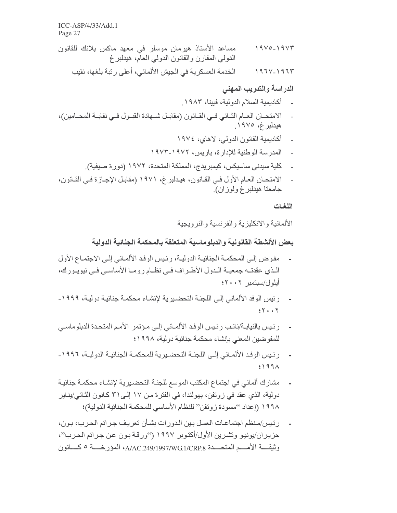مساعد الأسناذ هيرمان موسلر في معهد ماكس بلانك للقانون  $19V0 - 19V5$ الدولمي المقارن والقانون الدولمي العام، هيدلبر غ الخدمة العسكر بة في الجبش الألماني، أعلى ر تبة بلغها، نقبب  $1971' - 1971'$ 

#### الدراسة والتدريب المهنى

- أكاديمية السلام الدولية، فيينا، ١٩٨٣.
- الامتحــان العــام الثــاني فــي القــانون (مقابــل شــهادة القبــول فــي نقابــة المحــامين)، هبدلبرغ، ١٩٧٥.
	- أكاديمية القانو ن الدو لي، لاهاي، ١٩٧٤
	- المدرسة الوطنية للإدارة، باريس، ١٩٧٢-١٩٧٣
	- كلية سيدنى ساسيكس، كيمبريدج، المملكة المتحدة، ١٩٧٢ (دورة صيفية).
- الامتحـان العـام الأول فـي القـانون، هيـدلبر غ، ١٩٧١ (مقابـل الإجـاز ة فـي القـانون، جامعتا هيدلبرغ ولوزان).

اللغات

الألمانية والانكليزية والفرنسية والنرويجية

بعض الأنشطة القانونية والدبلوماسية المتعلقة بالمحكمة الجنائية الدولية

- مفوض إلى المحكمــة الجنائيــة الدوليــة، رئـيس الوفـد الألمــاني إلـي الاجتمــاع الأول الذي عقدتــه جمعيــة الــدول الأطــراف فــي نظــام رومــا الأساســي فــي نيويــورك، أبلول/سيتمير ٢٠٠٢؛
- رِ ئِيسِ الْوِفِدِ الأَلْمَانِي إِلَـى الْلَجِنْـةِ الْتَحِصْدِرِ بِهْ لِإِنشَاءِ محكمـة جِنائِيـة دوليـة، ١٩٩٩- $5Y + Y$
- رئيس بالنيابـة/نائب رئيس الوفد الألمـاني إلـى مـؤتمر الأمـم المتحدة الدبلوماسـي للمفو ضبين المعنى بإنشاء محكمة جنائية دولية، ١٩٩٨؛
- ر ئيس الو فد الألمـاني إلـى اللجنــة التحضـير بـة للمحكمــة الجنائيــة الدو ليــة، ١٩٩٦ ـ  $5199A$
- مشارك ألماني في اجتماع المكتب الموسع للجنـة التحضـيرية لإنشـاء محكمـة جنائيـة دولية، الذي عقد في زوتفن، بهولندا، في الفترة من ١٧ إلـي٢١ كـانون الثـانـي/ينـاير ١٩٩٨ (إعداد ''مسودة زوتفن'' للنظام الأساسي للمحكمة الجنائية الدولية)؛
- رئيس/منظم اجتماعات العمل بين الدورات بشأن تعريف جرائم الحرب، بون، حزير إن/يونيو. وتشرين الأول/أكتوبر ١٩٩٧ (''ورقة بون عن جرائم الحرب''،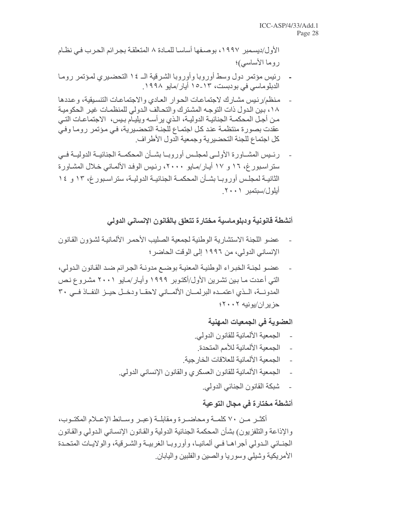الأول/ديسمبر ١٩٩٧، بوصـفها أساسـا للمـادة ٨ المتعلقـة بجـر ائم الـحر ب فـي نظـام روما الأساسي)؛

- رئيس مؤتمر دول وسط أوروبا وأوروبا الشرقية الـ ١٤ التحضيري لمؤتمر روما الدبلو ماسی فی بو دبست، ۱۳-۱۵ أبار /مابو ۱۹۹۸
- منظم/ر ئيس مشار ك لاجتماعات الحوار العادي والاجتماعات التنسيقية، و عددها ١٨، بين الدول ذات التوجه المشترك والتحالف الدولي للمنظمات غير الحكومية من أجل المحكمــة الجنائيــة الدوليــة، الـذي ير أســه ويليــاّم بـيس، الاجتماعــات التــى عقدت بصورة منتظمة عند كل اجتماع للجنة التحضيرية، في مؤتمر روما وفي كل اجتماع للجنة التحضير ية و جمعية الدو ل الأطر اف ِ
- رئيس المشــاورة الأولــي لمجلـس أوروبــا بشــأن المحكمــة الجنائيــة الدوليــة فــي ستر اسبور غ، ١٦ و ١٧ أيـار /مـايو ٢٠٠٠، رئيس الوفد الألمـاني خـلال المشـاورة الثانيــة لمجلـس أوروبــا بشــأن المـحكمــة الـجنائيــة الدوليــة، ستر اسـبور غ، ١٣ و ١٤ ا أيلول/سبتمبر ٢٠٠١.

أنشطة قانونية ودبلوماسية مختارة تتعلق بالقانون الإنساني الدولي

- عضو اللجنة الاستشار بة الوطنبة لجمعبة الصلبب الأحمر الألمانيـة لشـؤون القـانون الإنساني الدولي، من ١٩٩٦ إلى الوقت الحاضر ؛
- عضو لجنة الخبراء الوطنية المعنية بوضع مدونة الجرائم ضد القانون الدولي، التي أعدت مـا بـين تشرين الأول/أكتوبر ١٩٩٩ وأيـار/مـايو ٢٠٠١ مشروع نـص المدونـــة، الــذي اعتمــده البرلمـــان الألمـــاني لاحقــا ودخــل حيــز النفــاذ فــي ٣٠ حز بر ان/يو نيه ٢٠٠٢؛

## العضوية في الجمعيات المهنية

- الجمعية الألمانية للقانون الدولي.
- الجمعبة الألمانية للأمم المتحدة
- الجمعية الألمانية للعلاقات الخارجية.  $\mathbb{R}^2$
- الجمعية الألمانية للقانون العسكري والقانون الإنساني الدولي.
	- شبكة القانون الجنائي الدولي.

## أنشطة مختارة في مجال التوعية

أكثــر مــن ٧٠ كلمــة ومحاضــرة ومقابلــة (عبــر وســائط الإعــلام المكتــوب، والإذاعة والتلفزيون) بشأن المحكمة الجنائية الدولية والقانون الإنساني الدولي والقانون الجنـائي الـدولي أجراهـا فـي ألمانيـا، وأوروبـا الغربيــة والشـرقية، والولايــات المتحـدة الأمريكية وشيلى وسوريا والصين والفلبين والبابان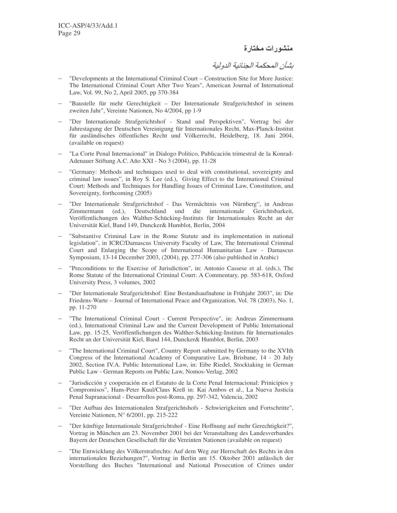منشورات مختارة

بشأن المحكمة الجنائية الدولية

- − "Developments at the International Criminal Court Construction Site for More Justice: The International Criminal Court After Two Years", American Journal of International Law, Vol. 99, No 2, April 2005, pp 370-384
- − "Baustelle für mehr Gerechtigkeit Der Internationale Strafgerichtshof in seinem zweiten Jahr", Vereinte Nationen, No 4/2004, pp 1-9
- − "Der Internationale Strafgerichtshof Stand und Perspektiven", Vortrag bei der Jahrestagung der Deutschen Vereinigung für Internationales Recht, Max-Planck-Institut für ausländisches öffentliches Recht und Völkerrecht, Heidelberg, 18. Juni 2004, (available on request)
- − "La Corte Penal Internacional" in Dialogo Politico, Publicación trimestral de la Konrad-Adenauer Stiftung A.C. Año XXI - No 3 (2004), pp. 11-28
- "Germany: Methods and techniques used to deal with constitutional, sovereignty and criminal law issues", in Roy S. Lee (ed.), Giving Effect to the International Criminal Court: Methods and Techniques for Handling Issues of Criminal Law, Constitution, and Sovereignty, forthcoming (2005)
- − "Der Internationale Strafgerichtshof Das Vermächtnis von Nürnberg", in Andreas Zimmermann (ed.), Deutschland und die internationale Gerichtsbarkeit, Veröffentlichungen des Walther-Schücking-Instituts für Internationales Recht an der Universität Kiel, Band 149, Duncker& Humblot, Berlin, 2004
- − "Substantive Criminal Law in the Rome Statute and its implementation in national legislation", in ICRC/Damascus University Faculty of Law, The International Criminal Court and Enlarging the Scope of International Humanitarian Law - Damascus Symposium, 13-14 December 2003, (2004), pp. 277-306 (also published in Arabic)
- − "Preconditions to the Exercise of Jurisdiction", in: Antonio Cassese et al. (eds.), The Rome Statute of the International Criminal Court: A Commentary, pp. 583-618, Oxford University Press, 3 volumes, 2002
- − "Der Internationale Strafgerichtshof: Eine Bestandsaufnahme in Frühjahr 2003", in: Die Friedens-Warte – Journal of International Peace and Organization, Vol. 78 (2003), No. 1, pp. 11-270
- "The International Criminal Court Current Perspective", in: Andreas Zimmermann (ed.), International Criminal Law and the Current Development of Public International Law, pp. 15-25, Veröffentlichungen des Walther-Schücking-Instituts für Internationales Recht an der Universität Kiel, Band 144, Duncker& Humblot, Berlin, 2003
- "The International Criminal Court", Country Report submitted by Germany to the XVIth Congress of the International Academy of Comparative Law, Brisbane, 14 - 20 July 2002, Section IV.A. Public International Law, in: Eibe Riedel, Stocktaking in German Public Law - German Reports on Public Law, Nomos-Verlag, 2002
- − "Jurisdicción y cooperación en el Estatuto de la Corte Penal Internacional: Prinicipios y Compromisos", Hans-Peter Kaul/Claus Kreß in: Kai Ambos et al., La Nueva Justicia Penal Supranacional - Desarrollos post-Roma, pp. 297-342, Valencia, 2002
- − "Der Aufbau des Internationalen Strafgerichtshofs Schwierigkeiten und Fortschritte", Vereinte Nationen, N° 6/2001, pp. 215-222
- − "Der künftige Internationale Strafgerichtshof Eine Hoffnung auf mehr Gerechtigkeit?", Vortrag in München am 23. November 2001 bei der Veranstaltung des Landesverbandes Bayern der Deutschen Gesellschaft für die Vereinten Nationen (available on request)
- − "Die Entwicklung des Völkerstrafrechts: Auf dem Weg zur Herrschaft des Rechts in den internationalen Beziehungen?", Vortrag in Berlin am 15. Oktober 2001 anlässlich der Vorstellung des Buches "International and National Prosecution of Crimes under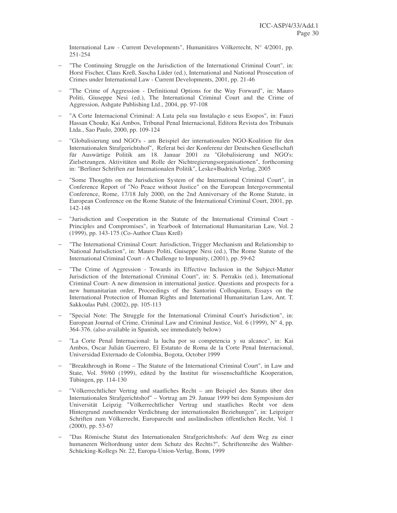International Law - Current Developments", Humanitäres Völkerrecht, N° 4/2001, pp. 251-254

- The Continuing Struggle on the Jurisdiction of the International Criminal Court", in: Horst Fischer, Claus Kreß, Sascha Lüder (ed.), International and National Prosecution of Crimes under International Law - Current Developments, 2001, pp. 21-46
- "The Crime of Aggression Definitional Options for the Way Forward", in: Mauro Politi, Giuseppe Nesi (ed.), The International Criminal Court and the Crime of Aggression, Ashgate Publishing Ltd., 2004, pp. 97-108
- − "A Corte Internacional Criminal: A Luta pela sua Instalação e seus Esopos", in: Fauzi Hassan Choukr, Kai Ambos, Tribunal Penal Internacional, Editora Revista dos Tribunais Ltda., Sao Paulo, 2000, pp. 109-124
- − "Globalisierung und NGO's am Beispiel der internationalen NGO-Koalition für den Internationalen Strafgerichtshof", Referat bei der Konferenz der Deutschen Gesellschaft für Auswärtige Politik am 18. Januar 2001 zu "Globalisierung und NGO's: Zielsetzungen, Aktivitäten und Rolle der Nichtregierungsorganisationen", forthcoming in: "Berliner Schriften zur Internationalen Politik", Leske+Budrich Verlag, 2005
- "Some Thoughts on the Jurisdiction System of the International Criminal Court", in Conference Report of "No Peace without Justice" on the European Intergovernmental Conference, Rome, 17/18 July 2000, on the 2nd Anniversary of the Rome Statute, in European Conference on the Rome Statute of the International Criminal Court, 2001, pp. 142-148
- − "Jurisdiction and Cooperation in the Statute of the International Criminal Court Principles and Compromises", in Yearbook of International Humanitarian Law, Vol. 2 (1999), pp. 143-175 (Co-Author Claus Kreß)
- − "The International Criminal Court: Jurisdiction, Trigger Mechanism and Relationship to National Jurisdiction", in: Mauro Politi, Guiseppe Nesi (ed.), The Rome Statute of the International Criminal Court - A Challenge to Impunity, (2001), pp. 59-62
- "The Crime of Aggression Towards its Effective Inclusion in the Subject-Matter Jurisdiction of the International Criminal Court", in: S. Perrakis (ed.), International Criminal Court- A new dimension in international justice. Questions and prospects for a new humanitarian order, Proceedings of the Santorini Colloquium, Essays on the International Protection of Human Rights and International Humanitarian Law, Ant. T. Sakkoulas Publ. (2002), pp. 105-113
- "Special Note: The Struggle for the International Criminal Court's Jurisdiction", in: European Journal of Crime, Criminal Law and Criminal Justice, Vol. 6 (1999),  $N^{\circ}$  4, pp. 364-376. (also available in Spanish, see immediately below)
- − "La Corte Penal Internacional: la lucha por su competencia y su alcance", in: Kai Ambos, Oscar Julián Guerrero, El Estatuto de Roma de la Corte Penal Internacional, Universidad Externado de Colombia, Bogota, October 1999
- − "Breakthrough in Rome The Statute of the International Criminal Court", in Law and State, Vol. 59/60 (1999), edited by the Institut für wissenschaftliche Kooperation, Tübingen, pp. 114-130
- − "Völkerrechtlicher Vertrag und staatliches Recht am Beispiel des Statuts über den Internationalen Strafgerichtshof" – Vortrag am 29. Januar 1999 bei dem Symposium der Universität Leipzig "Völkerrechtlicher Vertrag und staatliches Recht vor dem Hintergrund zunehmender Verdichtung der internationalen Beziehungen", in: Leipziger Schriften zum Völkerrecht, Europarecht und ausländischen öffentlichen Recht, Vol. 1 (2000), pp. 53-67
- − "Das Römische Statut des Internationalen Strafgerichtshofs: Auf dem Weg zu einer humaneren Weltordnung unter dem Schutz des Rechts?", Schriftenreihe des Walther-Schücking-Kollegs Nr. 22, Europa-Union-Verlag, Bonn, 1999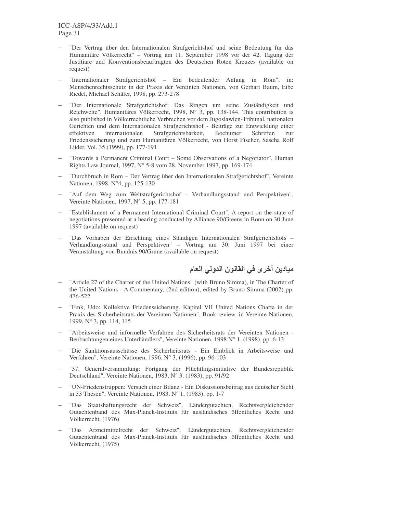- − "Der Vertrag über den Internationalen Strafgerichtshof und seine Bedeutung für das Humanitäre Völkerrecht" – Vortrag am 11. September 1998 vor der 42. Tagung der Justitiare und Konventionsbeauftragten des Deutschen Roten Kreuzes (available on request)
- − "Internationaler Strafgerichtshof Ein bedeutender Anfang in Rom", in: Menschenrechtsschutz in der Praxis der Vereinten Nationen, von Gerhart Baum, Eibe Riedel, Michael Schäfer, 1998, pp. 273-278
- − "Der Internationale Strafgerichtshof: Das Ringen um seine Zuständigkeit und Reichweite", Humanitäres Völkerrecht, 1998, N° 3, pp. 138-144. This contribution is also published in Völkerrechtliche Verbrechen vor dem Jugoslawien-Tribunal, nationalen Gerichten und dem Internationalen Strafgerichtshof - Beiträge zur Entwicklung einer effektiven internationalen Strafgerichtsbarkeit, Bochumer Schriften zur Friedenssicherung und zum Humanitären Völkerrecht, von Horst Fischer, Sascha Rolf Lüder, Vol. 35 (1999), pp. 177-191
- "Towards a Permanent Criminal Court Some Observations of a Negotiator", Human Rights Law Journal, 1997, N° 5-8 vom 28. November 1997, pp. 169-174
- − "Durchbruch in Rom Der Vertrag über den Internationalen Strafgerichtshof", Vereinte Nationen, 1998, N°4, pp. 125-130
- "Auf dem Weg zum Weltstrafgerichtshof Verhandlungsstand und Perspektiven", Vereinte Nationen, 1997, N° 5, pp. 177-181
- − "Establishment of a Permanent International Criminal Court", A report on the state of negotiations presented at a hearing conducted by Alliance 90/Greens in Bonn on 30 June 1997 (available on request)
- − "Das Vorhaben der Errichtung eines Ständigen Internationalen Strafgerichtshofs Verhandlungsstand und Perspektiven" – Vortrag am 30. Juni 1997 bei einer Veranstaltung von Bündnis 90/Grüne (available on request)

ـ ميـادين أخر ى في الـقانـون الدولي الـعام

- − "Article 27 of the Charter of the United Nations" (with Bruno Simma), in The Charter of the United Nations - A Commentary, (2nd edition), edited by Bruno Simma (2002) pp. 476-522
- − "Fink, Udo: Kollektive Friedenssicherung. Kapitel VII United Nations Charta in der Praxis des Sicherheitsrats der Vereinten Nationen", Book review, in Vereinte Nationen, 1999, N° 3, pp. 114, 115
- − "Arbeitsweise und informelle Verfahren des Sicherheitsrats der Vereinten Nationen Beobachtungen eines Unterhändlers", Vereinte Nationen, 1998 N° 1, (1998), pp. 6-13
- − "Die Sanktionsausschüsse des Sicherheitsrats Ein Einblick in Arbeitsweise und Verfahren", Vereinte Nationen, 1996, N° 3, (1996), pp. 96-103
- − "37. Generalversammlung: Fortgang der Flüchtlingsinitiative der Bundesrepublik Deutschland", Vereinte Nationen, 1983, N° 3, (1983), pp. 91/92
- − "UN-Friedenstruppen: Versuch einer Bilanz Ein Diskussionsbeitrag aus deutscher Sicht in 33 Thesen", Vereinte Nationen, 1983, N° 1, (1983), pp. 1-7
- − "Das Staatshaftungsrecht der Schweiz", Ländergutachten, Rechtsvergleichender Gutachtenband des Max-Planck-Instituts für ausländisches öffentliches Recht und Völkerrecht, (1976)
- − "Das Arzneimittelrecht der Schweiz", Ländergutachten, Rechtsvergleichender Gutachtenband des Max-Planck-Instituts für ausländisches öffentliches Recht und Völkerrecht, (1975)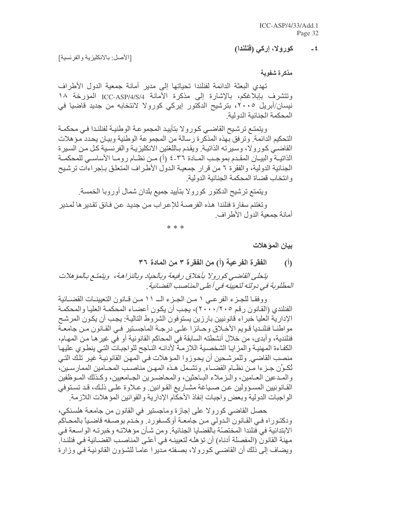#### كورولا، إركى (فَنَلْنَدا)  $=$   $\frac{2}{3}$

[الأصل: بالانكليزية والفرنسية]

مذكر ة شفوية

تهدى البعثة الدائمة لفنلندا تحياتها إلى مدير أمانة جمعية الدول الأطراف وتتشرف بإبلاغكم، بالإشارة إلى مذكرة الأمانة ICC-ASP/4/S/4 نیسان/أبریل ۲۰۰۰، بترشیح الدکتور إیرکی کورولا لانتخابه من جدید قاضیا فی المحكمة الحنائية الدولية

ويتمتع ترشيح القاضي كورولا بتأييد المجموعة الوطنية لفنلندا في محكمة التحكيم الدائمة. وتر فق بهذه المذكر ة ر سالة من المجموعة الوطنية وبيـان يحدد مـؤ هلات القاضـي كـورولا، وسيرته الذاتيـة. ويقدم بـاللغتين الانكليزيـة والفرنسـية كـل مـن السـيرة الذاتيــة والبيــان المقـدم بموجـب المــادة ٣٦ـ ٤ (أ) مــن نظــام رومــا الأساســي للمحكمــة الْجِنائِية الدولية، والفقرة ٦ من قرار جمعية الدول الأطراف المتعلِّق بـإجراءات ترشيح و انتخاب قضاة المحكمة الجنائية الدو لية

ويتمتع ترشيح الدكتور كورولا بتأييد جميع بلدان شمال أوروبا الخمسة

وتغتنم سفارة فنلندا هذه الفرصــة للإعـراب مـن جديد عـن فـائق تقدير ها لمـدير أمانة جمعية الدول الأطراف.

 $* * *$ 

بيان المؤهلات

الفقر ة الفرعية (أ) من الفقر ة ٣ من المادة ٣٦  $\mathcal{L}$ 

يتحلى القاضي كورولا بأخلاق رفيعة وبالحياد وبالنزاهة، ويتمتع بالمؤهلات المطلوبة في دولته لتعيينه في أعلى المناصب القضائية .

ووفقـا للجـز ء الفر عـى ١ مـن الجـز ء الـــ ١١ مـن قــانون التعيينــات القضــائية الفنلندي (القانون رقم ٢٠٠٠/٢٠٠)، يجب أن يكون أعضـاء المحكمـة العليـا والمحكمـة الإدارية العليا خبراء قانونيين بارزين يستوفون الشروط التالية: يجب أن يكون المرشح مواطنــا فنلنـديـا قـويم الأخــلاق وحــائز ا علــى در جــة المـاجسـتير ِ فــى القــانون مـن جامعــة فنلندية، وأبدى، من خلال أنشطته السابقة في المحاكم القانونية أو في غير هـا مـن المهـام، الكفاءة المهنية والمزايا الشخصية اللازمة لأدائه الناجح للواجبات التي ينطوي عليها منصب القاضي وللمرشحين أن يحوزوا المؤهلات في المهن القانونية غير تلك التي تُكوِّن جـزءا مـن نظـام القضــاء. وتشـمل هـذه المهـن مناصـب المحـامين الممارسـين، والمـدعين العــامين، والــزملاء البــاحثين، والمحاضــرين الـجــامعيين، وكــذلك المــوظفين القـانونيين المسـؤولين عـن صـياغة مشـاريع القـوانين وعـلاوة علـى ذلـك، قـد تسـتوفي الواجبات الدولية وبعض واجبات إنفاذ الأحكام الإدارية والقوانين المؤهلات اللازمة

حصل القاضي كورولا على إجازة وماجستير في القانون من جامعة هلسنكي، ودكتـوراه فـي القـانون الـدولي مـن جامعـة أوكسـفورد. وخـدم بوصـفه قاضـباً بالمحـاكم الابتدائية في فنلندا المختصّة بالقضايا الجنائية. ومن شـأن مؤهلاتـه وخبرتـه الواسـعة فـي مهنة القانون (المفصلة أدناه) أن تؤ هلـه لتعيينـه فـي أعلـى المناصـب القضـائية فـي فنلنـدا ِ ويضاف إلى ذلك أن القاضـي كـورولا، بصـفته مـدير ا عامـا للشـؤون القانونيـة فـي وزارة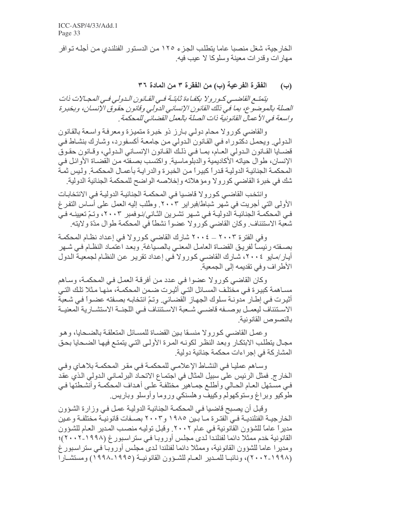الخار جية، شغل منصبا عاما يتطلب الجزء ١٢٥ من الدستور ِ الفنلندي من أجلـه تو افر مهارات وقدرات معينة وسلوكا لا عيب فيه.

> الفقرة الفرعية (ب) من الفقرة ٣ من المادة ٣٦  $(\div)$

يتمتـع القاضــي كـور ولا بكفـاءة ثابتـة فـي القـانون الـدولـي فـي المجـالات ذات الصلة بالموضوع، بما في ذلك القانون الإنساني الدولي وقانون حقوق الإنسان، وبخبرة واسعة في الأعمال القانونية ذات الصلة بالعمل القضائي للمحكمة .

والقاضي كورولا محام دولي بارز ذو خبرة متميزة ومعرفة واسعة بالقانون الدولي ِ ويحمل دكتوراه في القانون الدولي من جامعة أكسفورد، وشارك بنشاط في قضبايا القانون الدولي العام، بما في ذلك القانون الإنساني الدولي، وقانون حقوق الإنسان، طوال حياته الأكاديمية والدبلوماسية. واكتسب بصـفته مـن القضـاة الأوائـل فـي المحكمة الجنائية الدولية قدراً كبيراً من الخبرة والدراية بأعمال المحكمة. وليس ثمة شك في خبرة القاضي كورولا ومؤهلاته وإخلاصه الواضح للمحكمة الجنائية الدولية

وانتخب القاضيي كورولا قاضيا في المحكمة الجنائية الدولية في الانتخابات الأولى التي أجريت في شهر شباط/فبراير ٢٠٠٣. وطُلب إليه العمل على أساس التفر غ في المحكمــة الجنائيــة الدوليــة فــي شــهر تشـرين الثــانـي/نــوفمبر ٢٠٠٣، وتـمّ تعيينــه فــي شعبة الاستئناف وكان القاضي كورولا عضواً نشطاً في المحكمة طوال مدّة ولايته ِ

وفي الفترة ٢٠٠٣ ــ ٢٠٠٤ شارك القاضي كورولا في إعداد نظام المحكمة بصفته رئيساً لفريق القضاة العامل المعنى بالصباغة. وبعد اعتماد النظام في شهر أيار/مايو ٢٠٠٤، شارك القاضي كورولا في إعداد تقرير عن النظام لجمعية الدول الأطراف وفي تقديمه إلى الجمعية.

وكان القاضيي كورولا عضوا في عدد من أفرقة العمل في المحكمة، وساهم مســاهمة كبيرـة فــى مختلـف المســائل التــى أثيـرت ضـمن المحكمــة، منـهـا مـثلا تلك التــى أثيرت في إطار مدونة سلوك الجهاز القضائي وتمّ انتخابه بصفته عضوأ في شعبة الاستئناف ليعمـل بوصــفه قاضــي شــعبة الاسـتئناف فــي اللـجنــة الاستشــارية المعنيــة بالنصوص القانو نية

وعمل القاضيي كورولا منسقا ببن القضباة للمسائل المتعلقة بالضحايا، وهو مجال يتطلب الابتكار وبعد النظر لكونه المرة الأولى التي يتمتع فيها الضحايا بحق المشاركة في إجراءات محكمة جنائية دولية.

وساهم عمليا في النشاط الإعلامي للمحكمة في مقر المحكمة بلاهاي وفي الخارج. فمثل الرئيس على سبيل المثال في اجتمـاع الاتحـاد البرلمـاني الـدولي الـذي عقد في مستهل العـام الحـالي وأطلـع جمـاهير مختلفـة علـى أهداف المحكمـة وأنشطتها فـي طوکيو ويراغ وستوکھولم وکيپف وهلسنکي وروما وأوسلو وباريس.

وقبل أن يصبح قاضيا في المحكمة الجنائية الدولية عمل في وزارة الشؤون الخار جيــة الفنلنديــة فــي الفتـر ة مــا بـين ١٩٨٥ و ٢٠٠٣ بصــفات قانو نيــة مختلفــة و عـين مديراً عاماً للشؤون القانونية في عام ٢٠٠٢. وقبل توليه منصب المدير العام للشؤون القانونية خدم ممثلا دائما لفنلندا لدى مجلس أوروبـا في ستر اسبور غ (١٩٩٨-٢٠٠٢)؛ ومديرا عاما للشؤون القانونية، وممثلا دائما لفنلندا لدي مجلس أوروبـا فـي سنر اسبور غ (٢٠٠٧-٢٠٠٢)، ونائبــا للمــدير العــام للشــؤون القانونيــة (١٩٩٥-١٩٩٨) ومستشــار ا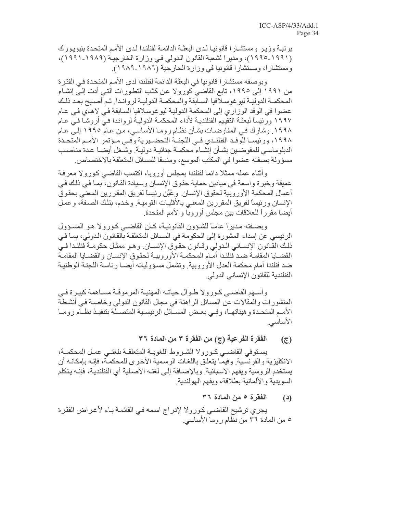برتبـة وزير ومستشـارا قانونيـا لدى البعثـة الدائمـة لفنلندا لدى الأمـم المتحدة بنيويـورك (١٩٩١-١٩٩٥)، ومديرا لشعبة القانون الدولي في وزارة الخارجية (١٩٨٩-١٩٩١)، ومستشارا، ومستشارا قانونيا في وزارة الخارجية (١٩٨٦-١٩٨٩).

وبوصفه مستشارا قانونيا في البعثة الدائمة لفنلندا لدى الأمم المتحدة في الفترة من ١٩٩١ إلى ١٩٩٥، تابع القاضي كورولا عن كثب التطورات التي أدت إلى إنشاء المحكمـة الدوليـة ليوغوسـلافيا السـابقة والمحكمـة الدوليـة لروانـدا تـم أصـبح بعـد ذلـك عضوا في الوفد الوزاري إلى المحكمة الدولية ليوغوسلافيا السابقة في لاهاي في عام ١٩٩٧ ور ئيساً لبعثــة التقييم الفنلنديــة لأداء المـحكمــة الدوليــة لر و انـدا فـي أر و شــا فـي عـام ١٩٩٨. وشارك في المفاوضـات بشـأن نظـام رومـا الأساسـي، مـن عـام ١٩٩٥ إلـي عـام ١٩٩٨، ورئيســا للوفـد الفنلنـدي فـي اللجنــة التحضــيرية وفـي مـؤتمر الأمـم المتحـدة الدبلوماسي للمفوضين بشأن إنشاء محكمة جنائية دولية وشغل أيضا عدة مناصب مسؤولة بصفته عضوا في المكتب الموسع، ومنسقا للمسائل المتعلقة بالاختصاص.

وأثناء عمله ممثلا دائما لفنلندا بمجلس أوروبا، اكتسب القاضيي كورولا معرفة عميقة وخبرة واسعة في ميادين حماية حقوق الإنسـان وسيادة القـانون، بمـا فـي ذلك فـي أعمال المحكمة الأوروبية لحقوق الإنسان وعُيِّن رئيساً لفريق المقررين المعنى بحقوق الإنسان ورئيساً لفريق المقررين المعنى بالأقليات القومية وخدم، بتلك الصفة، وعمل أيضا مقررأ للعلاقات بين مجلس أوروبا والأمم المتحدة

وبصفته مديراً عاماً للشؤون القانونية، كان القاضي كورولا هو المسؤول الرئيسي عن إسداء المشورة إلى الحكومة في المسائل المتعلقة بالقانون الدولي، بمـا فـي ذلك القانون الإنساني الدولي وقانون حقوق الإنسان وهو ممثل حكومة فنلندا في القضبايا المقامة ضد فنلندا أمام المحكمة الأوروبية لحقوق الإنسان والقضبايا المقامة ضد فنلندا أمام محكمة العدل الأوروبية. وتشمل مسؤولياته أيضـا رئاسـة اللجنـة الوطنيـة الفنلندية للقانون الإنساني الدولي.

وأســهم القاضــي كـورولا طــوال حياتــه المـهنيــة المرموقــة مســاهمة كبيـرة فــي المنشور ات والمقالات عن المسائل الراهنة في مجال القانون الدولي وخاصــة فـي أنشـطة الأمم المتحدة وهيئاتها، وفي بعض المسائل الرئيسية المتصلة بتنفيذ نظام روما الأساسي

#### الفقرة الفرعية (ج) من الفقرة ٣ من المادة ٣٦  $(\overline{c})$

يسنوفي القاضمي كورولا الشروط اللغويبة المتعلقية بلغتمي عمل المحكمية، الانكليزية والفرنسية. وفيمـا يتعلق باللغـات الرسمية الأخرى للمحكمـة، فإنـه بإمكانـه أن يستخدم الروسية ويفهم الاسبانية. وبالإضافة إلى لغتـه الأصـلية أي الفنلنديـة، فإنـه يـتكلم السويدية والألمانية بطلاقة، ويفهم الهولندية.

#### الفقرة ٥ من المادة ٣٦  $(4)$

يجري ترشيح القاضـي كـورولا لإدراج اسـمه فـي القائمـة بـاء لأغراض الفقرة ٥ من المادة ٣٦ من نظام روما الأساسي.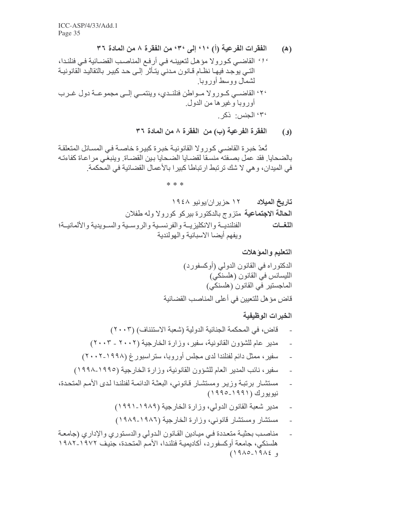تُعدّ خبرة القاضـي كورولا القانونيـة خبرة كبيرة خاصـة فـي المسـائل المتعلقـة بالضحايا فقد عمل بصفته منسقا لقضايا الضحايا بين القضاة وينبغي مراعاة كفاءته في المدان، و هي لا شك تر تبط ار تباطا كبير ا بالأعمال القضائية في المحكمة.

 $* * *$ 

التعليم والمؤهلات

الخبرات الوظيفية

- مدير عام للشؤون القانونية، سفير، وزارة الخارجية (٢٠٠٢ ٢٠٠٣)
- سفیر ، ممثل دائم لفنلندا لدی مجلس أوروبا، سنر اسبورغ (۱۹۹۸-۲۰۰۲)
- سفير، نائب المدير العام للشؤون القانونية، وزارة الخارجية (١٩٩٥-١٩٩٨)
- مستشار برتبة وزير ومستشار قانوني، البعثة الدائمة لفنلندا لدى الأمم المتحدة،  $\overline{a}$ نيويورك (١٩٩١-١٩٩٥)
	- مدير شعبة القانون الدولي، وزارة الخارجية (١٩٨٩-١٩٩١)
	- مستشار ومستشار قانوني، وزارة الخارجية (١٩٨٦-١٩٨٩)
- مناصب بحثية متعددة في ميادين القانون الدولي والدستوري والإداري (جامعة هلسنكي، جامعة أوكسفورد، أكاديمية فنلندا، الأمم المتحدة، جنَّبِف ١٩٧٢-١٩٨٢  $(19\lambda0-19\lambda\epsilon)$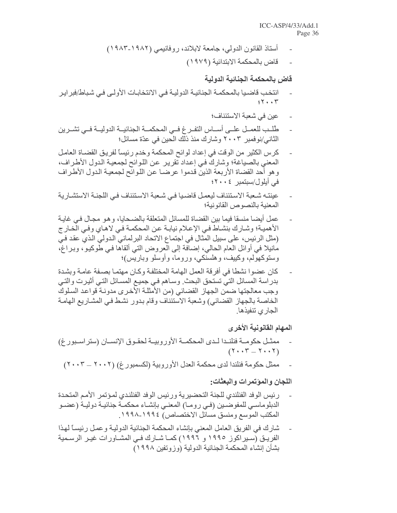- أستاذ القانون الدولي، جامعة لابلاند، روفانيمي (١٩٨٢-١٩٨٣)
	- قاض بالمحكمة الابتدائية (١٩٧٩)

#### قاض بالمحكمة الجنائية الدولية

- انتخب قاضيا بالمحكمة الجنائية الدولية في الانتخابات الأولى في شباط/فبر اير  $55.7$ 
	- عين في شعبة الاستئناف؛
- طلب للعمــل علــي أســـاس النفــر غ فــي المحكمــة الجنائيــة الدوليــة فــي تشــرين الثاني/نوفمبر ٢٠٠٣ وشارك منذ ذلك الحين في عدّة مسائل؛
- كرس الكثير من الوقت في إعداد لوائح المحكمة وخدم رئيساً لفريق القضـاة العامـل المعنى بالصياغة؛ وشارك في إعداد تقرير عن اللوائح لجمعية الدول الأطراف، وهو أحد القضاة الأربعة الذين قدموا عرضـا عن اللوائح لجمعيـة الدول الأطراف في أبلول/سبتمبر ٤٠٠٢٠
- عينته شـعبة الاسـتئناف ليعمـل قاضـيـا فـي شـعبة الاسـتئناف فـي اللـجنـة الاستشـار يـة المعنبة بالنصوص القانو نبة؛
- عمل أيضا منسقا فيما بين القضاة للمسائل المتعلقة بالضحايا، وهو مجال في غايـة الأهمية؛ وشارك بنشاط في الإعلام نيابة عن المحكمة في لاهاي وفي الخارج (مثل الرئيس، على سبيل المثال في اجتماع الاتحاد البرلماني الدولي الذي عقد في مانيلا في أوائل العام الحالي، إضافة إلى العروض التي ألقاها في طوكيو، وبراغ، وستوكهولم، وكبيف، وهلسنكي، وروما، وأوسلو وباريس)؛
- كان عضوا نشطا في أفريقة العمل الهامة المختلفة وكـان مهتمـا بصـفة عامـة وبشدة بدراسة المسائل التي تستحق البحث وساهم في جميع المسائل التي أثيرت والتي وجب معالجتها ضمن الجهاز القضائي (من الأمثلة الأخرى مدونـة قواعد السلوك الخاصة بالجهاز القضائي) وشعبة الاستئناف وقام بدور نشط في المشاريع الهامة الجا*ر ي* تنفيذها ِ

### المهام القانونية الأخرى

- ممثــل حكومــة فنلنــدا لــدى المحكمــة الأوروبيــة لحقـوق الإنســان (ستر اســبور غ)  $(Y \cdot \cdot Y = Y \cdot \cdot Y)$
- ممثل حكومة فنلندا لدى محكمة العدل الأوروبية (لكسمبورغ) (٢٠٠٢ ــ ٢٠٠٣)

### اللجان والمؤتمرات والبعثات:

- رئيس الوفد الفنلندي للجنة التحضيرية ورئيس الوفد الفنلندي لمؤتمر الأمم المتحدة الدبلوماسي للمفوضـين (فـي رومــا) المعنـي بإنشــاء محكمــة جنائيــة دوليــة (عضــو المكتب الموسع ومنسق مسائل الاختصاص) ١٩٩٤-١٩٩٨.
- شارك في الفريق العامل المعنى بإنشاء المحكمة الجنائية الدولية وعمل رئيساً لهذا الفريـق (سـبر اكوز ١٩٩٥ و ١٩٩٦) كمـا شـار ك فـي المشـاور ات غيـر الرسـمية بشأن إنشاء المحكمة الجنائية الدولية (وزوتفين ١٩٩٨)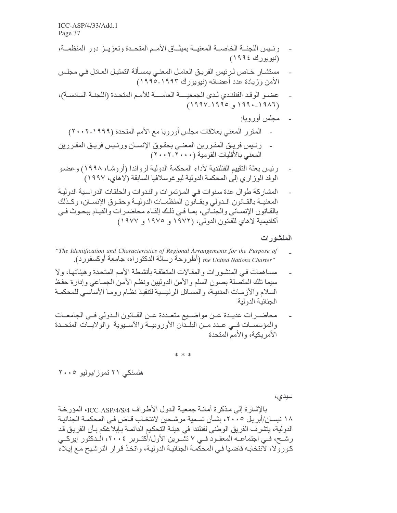ICC-ASP/4/33/Add.1 Page 37

- رئيس اللجنــة الخاصــة المعنيــة بميثــاق الأمــم المتحــدة وتعزيــز دور المنظمــة، (نيويورك ١٩٩٤)
- مستشــار ِ خــاص لـر ئيس الفر يـق الـعامـل المـعنــى بمسـألـة التمثيـل الـعـادل فـي مـجلـس الأمن وزيادة عدد أعضائه (نيويورك ١٩٩٣-١٩٩٥)

- مجلس أور وبا:
- المقرر المعنى بعلاقات مجلس أوروبا مع الأمم المتحدة (١٩٩٩-٢٠٠٢)
- رئـيس فريـق المقـررين المعنـي بحقـوق الإنسـان ورئـيس فريـق المقـررين المعنى بالأقليات القومية (٢٠٠٠-٢٠٠٢)
- رِئيس بعثة التقييم الفنلندية لأداء المحكمة الدولية لرواندا (أروشـا، ١٩٩٨) وعضـو الوفد الوزاري إلى المحكمة الدولية ليو غوسلافيا السابقة (لاهاي، ١٩٩٧)
- المشاركة طوال عدة سنوات في المؤتمرات والندوات والحلقات الدراسية الدولية المعنيــة بالقــانون الـدولي وبقـانون المنظمــات الدوليــة وحقـوق الإنســان، وكـذلك بالقانون الإنساني والجنائي، بما في ذلك إلقاء محاضرات والقيام ببحوث في أكاديمية لاهاي للقانون الدولي، (١٩٧٢ و ١٩٧٥)

#### المنشورات

- "The Identification and Characteristics of Regional Arrangements for the Purpose of "the United Nations Charter (أطروحة رسالة الدكتوراه، جامعة أوكسفورد).
- مساهمات في المنشورات والمقالات المتعلقة بأنشطة الأمم المتحدة وهيئاتها، ولا سيما تلك المتصلة بصون السلم والأمن الدوليين ونظم الأمن الجماعي وإدارة حفظ السلام والأز مات المدنيـة، والمسـائل الرئيسية لتنفيذ نظـام ر ومـا الأساسـي للمحكمـة الجنائبة الدولبة
- محاضـرات عديـدة عـن مواضـيع متعـددة عـن القـانون الـدولي فـي الجامعـات والمؤسســات فــي عــدد مــن البلــدان الأوروبيــة والأســيوية والولايــات المتحــدة الأمر بكبة، والأمم المتحدة

 $**$  \*

هلسنکی ۲۱ تموز/یولیو ۲۰۰۰

سيدي،

بالإشارة إلى مذكرة أمانـة جمعيـة الدول الأطـراف ICC-ASP/4/S/4، المؤرخـة ١٨ نيسـان/أبريـل ٢٠٠٥، بشـأن تسـمية مرشـحين لانتخـاب قـاض فـى المحكمــة الـجنائيــة الدولية، يتشرف الفريق الوطني لفنلندا في هيئـة التحكيم الدائمـة بـإبلاغكم بـأن الفريـق قد رشـح، فـي اجتماعــه المعقـود فــي ٧ تشّـرين الأول/أكتـوبر ٢٠٠٤، الـدكتور إيركــي كورو لا، لانتخابه قاضيا في المحكمة الجنائية الدولية، واتخذ قرار الترشيح مع إيلاء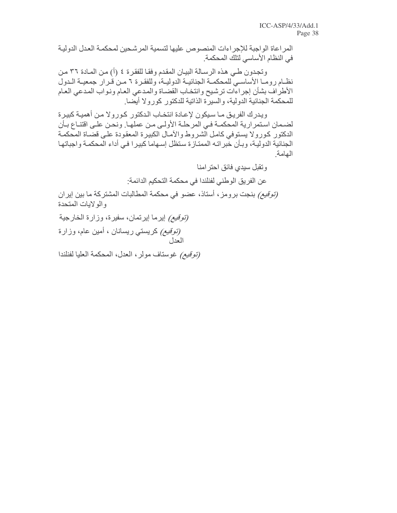المر اعاة الواجبة للإجر اءات المنصوص عليها لتسمية المر شحين لمحكمـة العدل الدوليـة في النظام الأساسي لتلك المحكمة.

وتجدون طي هذه الرسالة البيان المقدم وفقا للفقرة ٤ (أ) من المـادة ٣٦ من نظـام رومـا الأساسـي للمحكمـة الجنائيـة الدوليـة، وللفقـرة ٦ مـن قـرار جمعيـة الـدول الأطراف بشأن إجراءات ترشيح وانتخاب القضاة والمدعي العام ونواب المدعي العام للمحكمة الجنائية الدولية، والسيرة الذاتية للدكتور كورولا أيضا

ويدرك الفريق مـا سبكون لإعـادة انتخـاب الدكتور كـورولا مـن أهميـة كبيرة لضمان استمرارية المحكمـة فـي المرحلـة الأولـي مـن عملهـا. ونحـن علـي اقتنـاع بـأن الدكتور كورولا يستوفى كامل الشروط والأمال الكبيرة المعقودة على قضاة المحكمة الجنائية الدولية، وبـأن خبراتـه الممتـازة سنظل إسـهاما كبيرا فـي أداء المحكمـة واجباتهـا الهامة

> ونقبل سيدى فائق احترامنا عن الفريق الوطني لفنلندا في محكمة التحكيم الدائمة:

*(توقيع)* بنجت برومز ، أستاذ، عضو في محكمة المطالبات المشتركة ما بين إير ان والولايات المتحدة

*(توقيع)* إيرما إيرتمان، سفيرة، وزارة الخارجية (*توقیع)* کریستی ریسانان ، أمین عام، وزارة العدل

(توقيع) غوستاف مولر، العدل، المحكمة العليا لفنلندا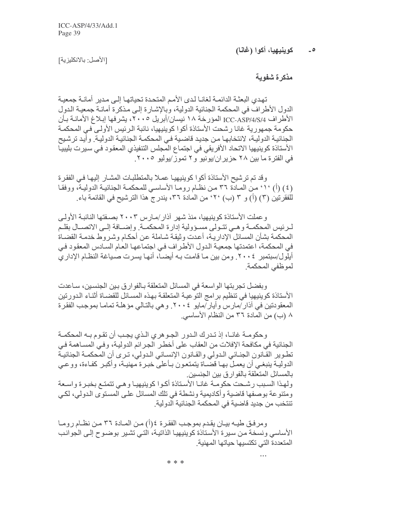كوينيهيا، أكوا (غانا)  $\overline{\phantom{a}}$ 

[الأصل: بالانكليزية]

مذكر ة شفوبة

تهدى البعثـة الدائمـة لغانـا لـدى الأمـم المتحدة تحياتهـا إلـى مـدير ِ أمانـة جمعيـة الدول الأطراف في المحكمة الجنائية الدولية، وبالإشـارة إلـي مـذكرة أمانـة جمعيـة الدول الأطراف ICC-ASP/4/S/4 المؤرخة ١٨ نيسان/أبريل ٢٠٠٥، يشرفها إبلاغ الأمانـة بـأن حكومة جمهورية غانا رشحت الأستاذة أكوا كوينيهيا، نائبة الرئيس الأولى في المحكمـة الجنائية الدولية، لانتخابها من جديد قاضية في المحكمة الجنائية الدولية. وأيد ترشيح الأستاذة كوينيهيا الاتحاد الأفريقي في اجتماع المجلس التنفيذي المعقود في سيرت بليبيـا في الفترة ما بين ٢٨ حزير ان/يونيو و٢ تموز/يوليو ٢٠٠٥.

وقد تم ترشيح الأستاذة أكوا كوينيهيا عملا بالمتطلبات المشـار إليهـا فـي الفقر ة (٤) (أ) '١° من المادة ٣٦ من نظام روما الأساسي للمحكمـة الجنائيـة الدوليـة، ووفقـا للفقرِ تين (٣) (أ) و ٣ (ب) ٢٠° من المادة ٣٦، يندر ج هذا التر شيح في القائمة باء.

و عملت الأستاذة كو بنيهيا، منذ شهر آذار /مـار س ٢٠٠٣ بصـفتها النائبـة الأولـي لـرئيس المحكمــة و هــي تتــولـي مســؤولية إدار ة المحكمــة. وإضـــافة إلــي الاتصـــال بقلــم المحكمة بشأن المسائل الإداريـة، أعدت وثيقـة شـاملة عن أحكـام وشـروط خدمـة القضـاة في المحكمة، اعتمدتها جمعية الدول الأطراف في اجتماعها العام السادس المعقود في أيلول/سبتمبر ٢٠٠٤. ومن بين مـا قامت بـه أيضـا، أنهـا يسرت صـياغة النظـام الإدار ي لموظفي المحكمة

وبفضل تجربتها الواسعة في المسائل المتعلقة بـالفوارق بـين الجنسـين، سـاعدت الأستاذة كوينيهيا في تنظيم بر امج التوعيـة المتعلقـة بـهـذه المسـائل للقضـاة أثنـاء الـدور نين المعقودتين في أذار /مارس وأيار /مايو ٢٠٠٤. وهي بالتالي مؤهلة تماما بموجب الفقرة ٨ (ب) من المادة ٣٦ من النظام الأساسي.

وحكومـة غانــا، إذ تـدرك الـدور الجـوهري الـذي بجـب أن تقـوم بـه المحكمـة الجنائية في مكافحة الإفلات من العقاب على أخطر الجرائم الدولية، وفي المساهمة في تطوير القانون الجنائي الدولي والقانون الإنساني الدولي، ترى أن المحكمة الجنائية الدوليـة ينبغـي أن يعمـل بـهـا قضـاة يتمتعـون بـأعلـي خبـرة مـهنيـة، وأكبـر كفـاءة، ووعـي بالمسائل المتعلقة بالفوارق بين الجنسين ولهذا السبب رشحت حكومة غانا الأسناذة أكوا كوينيهيا وهي تتمتع بخبرة واسعة ومتنوعة بوصفها قاضية وأكاديمية ونشطة في تلك المسائل على المستوى الدولي، لكي تنتخب من جديد قاضية في المحكمة الجنائية الدولية.

ومرفق طيـه بيـان يقدم بموجب الفقرة ٤(أ) مـن المـادة ٣٦ مـن نظـام رومـا الأساسي ونسخة من سيرة الأستاذة كوينيهيا الذاتية، التي تشير بوضوح إلى الجوانب المتعددة التي تكتسبها حباتها المهنبة

\* \* \*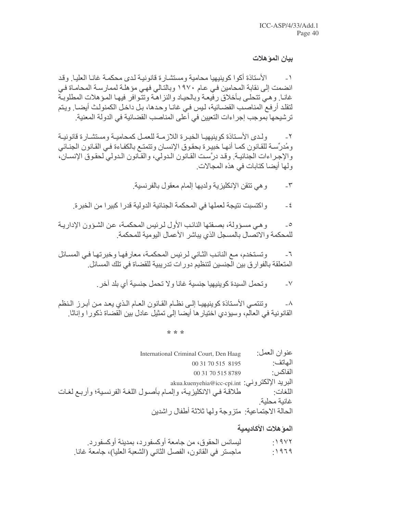#### بيان المؤهلات

الأستاذة أكوا كوينيهيا محامية ومستشارة قانونية لدى محكمة غانـا العليـا وقد  $-1$ انضمت إلى نقابة المحامين في عام ١٩٧٠ وبالتالي فهي مؤ هلة لممارسة المحامـاة في غانـا وهيي تتحلـى بـأخلاق رفيعـة وبالحيـاد والنزاهـة وتتوافر فيهـا المـؤهلات المطلوبـة لتقلد أرفع المناصب القضائية، ليس في غانـا وحدها، بـل داخل الكمنولث أيضـا ويتم ترشيحها بموجب إجراءات التعبين في أعلى المناصب القضائية في الدولة المعنية.

ولدى الأستاذة كوينيهيا الخبرة اللازمة للعمل كمحامية ومستشارة قانونية ومُدرِّسة للقانون كمـا أنهـا خبيرة بحقوق الإنسـان وتتمتـع بالكفـاءة فـي القـانون الجنـائي والإجراءات الجنائية. وقد درَّست القانون الدولي، والقانون الدولي لحقوق الإنسان، ولها أيضا كتابات في هذه المجالات ِ

> و هي تتقن الإنكليز بة ولديها إلمام معقول بالفر نسبة.  $-\tau$

واكتسبت نتيجة لعملها في المحكمة الجنائية الدولية قدرا كبيرا من الخبرة.  $-\xi$ 

و هي مسؤولة، بصفتها النائب الأول لرئيس المحكمـة، عن الشـؤون الإداريـة  $\overline{\phantom{a}}$ للمحكمة والاتصال بالمسجل الذي يباشر الأعمال اليومية للمحكمة

وتستخدم، مـع النائب الثَّاني لرئيس المحكمـة، معارفهـا وخبرتهـا فـي المسـائل  $-7$ المتعلقة بالفوارق بين الجنسين لتنظيم دورات تدريبية للقضاة في تلك المسائل.

> وتحمل السيدة كوينيهيا جنسية غانا ولا تحمل جنسية أي بلد آخر.  $-V$

وتنتمي الأستاذة كوينيهيا إلى نظام القانون العام الذي يعد من أبرز النظم  $-\lambda$ القانونية في العالم، وسيؤدي اختيار ها أيضا إلى تمثيل عادل بين القضاة ذكور ا وإناثا.

\* \* \*

| عنو ان العمل: | International Criminal Court, Den Haag                        |
|---------------|---------------------------------------------------------------|
| الهاتف:       | 00 31 70 515 8195                                             |
| الفاكس        | 00 31 70 515 8789                                             |
|               | akua.kuenyehia@icc-cpi.int ألبريد الإلكتروني:                 |
| اللغات·       | طلاقة فيي الانكليزية، وإلمام بأصول اللغة الفرنسية؛ وأربع لغات |
| غانبة محلبة   |                                                               |
|               | الحالة الاجتماعية: متزوجة ولها ثلاثة أطفال ر اشدين            |

# المو هلات الأكاديمية

| ليسانس الحقوق، من جامعة أوكسفورد، بمدينة أوكسفورد.           | :19YY |
|--------------------------------------------------------------|-------|
| ماجستر في القانون، الفصل الثاني (الشعبة العليا)، جامعة غانـا | :1979 |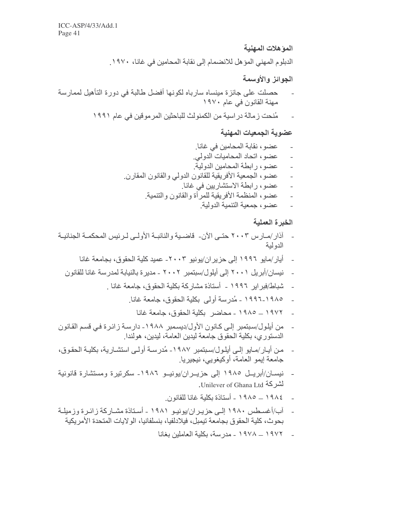#### المو هلات المهنية

الدبلوم المهني المؤهل للانضمام إلى نقابة المحامين في غانـا، ١٩٧٠.

# الجوائز والأوسمة

- حصلت على جائزة مينساه سارباه لكونها أفضل طالبة في دورة التأهيل لممارسة مهنة القانون في عام ١٩٧٠
	- مُنحت زمالة دراسية من الكمنولث للباحثين المرموقين في عام ١٩٩١

### عضوية الجمعيات المهنية

- عضو، نقابة المحامين في غانا.
- عضو، اتحاد المحاميات الدولي.
- عضو ، ر ابطة المحامين الدو لبة  $\overline{a}$
- عضو، الجمعية الأفريقية للقانون الدولي والقانون المقارن.  $\overline{a}$ 
	- عضو، رابطة الاستشاريين في غانا.
	- عضو ، المنظمة الأفريقية للمر أة والقانون والتنمية.  $\overline{a}$ 
		- عضو ، جمعبة التنمبة الدولبة

# الخبرة العملية

- آذار /مــار س ٢٠٠٣ حتــي الآن- قاضــيـة و النائبــة الأو لــي لـر ئيس المحكمــة الجنائيــة الدو لبة
	- أيار /مايو ١٩٩٦ إلى حزير ان/يونيو ٢٠٠٣- عميد كلية الحقوق، بجامعة غانا
	- نيسان/أبريل ٢٠٠١ إلى أيلول/سبتمبر ٢٠٠٢ ـ مديرة بالنيابة لمدرسة غانا للقانون
		- شباط/فبر ابر ١٩٩٦ أستاذة مشاركة بكلية الحقوق، جامعة غانا .
			- ١٩٨٥-١٩٩٦ مُدرِ سة أولى بِكلِّبةِ الْحقوقِ، جامعةِ غانا ِ
				- ١٩٧٢ \_ ١٩٨٥ محاضر بكلية الحقوق، جامعة غانا
- من أيلول/سبتمبر إلى كانون الأول/ديسمبر ١٩٨٨- دارسة زائرة في قسم القانون الدستوري، بكلية الحقوق جامعة ليدين العامة، ليدين، هولندا ِ
- من أيـار /مـايو إلـى أيلـول/سـبتمبر ١٩٨٧- مُدرسـة أولـى استشـارية، بكليـة الحقـوق، جامعة إيمو العامة، أوكيغويي، نيجيريا.
- نيســان/أبريــل ١٩٨٥ إلى حزيــران/يونيــو ١٩٨٦- سكرتيرة ومستشارة قانونية لشركة Unilever of Ghana Ltd.
	- ـ ١٩٨٤ ــ ١٩٨٥ أستاذة بكلية غانا للقانون
- آب/أغسطس ١٩٨٠ إلـي حزيـران/يونيـو ١٩٨١ ـ أسـتاذة مشـاركة زائـرة وزميلـة  $\sim$ بحوث، كلية الحقوق بجامعة تيمبل، فيلادلفيا، بنسلفانيا، الولايات المتحدة الأمر يكية
	- ـ ١٩٧٢ ــ ١٩٧٨ ـ مدر سة، بكلية العاملين بغانـا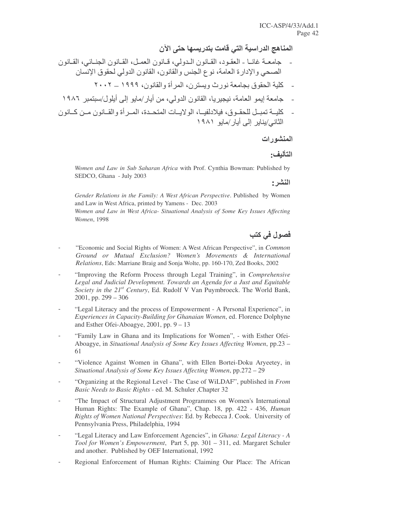المناهج الدراسية التي قامت بتدريسها حتى الآن

- جامعــة غانــا العقـود، القــانون الــدولي، قــانون العقـانون الـجنــائـي، القــانون الصحي والإدارة العامة، نوع الجنس والقانون، القانون الدولي لحقوق الإنسان
	- كلية الحقوق بجامعة نورث ويسترن، المرأة والقانون، ١٩٩٩ ــ ٢٠٠٢
- جامعة إيمو العامة، نيجيريا، القانون الدولي، من أيار/مايو إلى أيلول/سبتمبر ١٩٨٦
- كليـــة تمبــل للحقــو ق، فيلادلفيـــا، الو لايـــات المتحــدة، المــر أة و القـــانون مــن كـــانو ن الثاني/يناير إلى أيار/مايو ١٩٨١

# المنشورات

# التأليف:

*Women and Law in Sub Saharan Africa* with Prof. Cynthia Bowman: Published by SEDCO, Ghana - July 2003

النشر:

*Gender Relations in the Family: A West African Perspective*. Published by Women and Law in West Africa, printed by Yamens - Dec. 2003

*Women and Law in West Africa- Situational Analysis of Some Key Issues Affecting Women*, 1998

# فصول في كتب

- "Economic and Social Rights of Women: A West African Perspective", in *Common Ground or Mutual Exclusion? Women's Movements & International Relations*, Eds: Marriane Braig and Sonja Wolte, pp. 160-170, Zed Books, 2002
- "Improving the Reform Process through Legal Training", in *Comprehensive Legal and Judicial Development. Towards an Agenda for a Just and Equitable Society in the 21 st Century*, Ed. Rudolf V Van Puymbroeck. The World Bank, 2001, pp.  $299 - 306$
- "Legal Literacy and the process of Empowerment A Personal Experience", in *Experiences in Capacity-Building for Ghanaian Women*, ed. Florence Dolphyne and Esther Ofei-Aboagye, 2001, pp. 9 – 13
- "Family Law in Ghana and its Implications for Women", with Esther Ofei-Aboagye, in *Situational Analysis of Some Key Issues Affecting Women*, pp.23 – 61
- "Violence Against Women in Ghana", with Ellen Bortei-Doku Aryeetey, in *Situational Analysis of Some Key Issues Affecting Women*, pp.272 – 29
- "Organizing at the Regional Level The Case of WiLDAF", published in *From Basic Needs to Basic Rights* - ed. M. Schuler ,Chapter 32
- "The Impact of Structural Adjustment Programmes on Women's International Human Rights: The Example of Ghana", Chap. 18, pp. 422 - 436, *Human Rights of Women National Perspectives*: Ed. by Rebecca J. Cook. University of Pennsylvania Press, Philadelphia, 1994
- "Legal Literacy and Law Enforcement Agencies", in *Ghana: Legal Literacy - A Tool for Women's Empowerment*, Part 5, pp. 301 – 311, ed. Margaret Schuler and another. Published by OEF International, 1992
- Regional Enforcement of Human Rights: Claiming Our Place: The African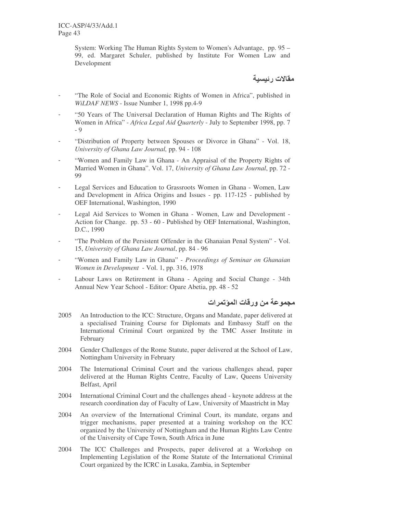System: Working The Human Rights System to Women's Advantage, pp. 95 – 99, ed. Margaret Schuler, published by Institute For Women Law and Development

مقالات رئيسية

- "The Role of Social and Economic Rights of Women in Africa", published in *WiLDAF NEWS* - Issue Number 1, 1998 pp.4-9
- "50 Years of The Universal Declaration of Human Rights and The Rights of Women in Africa" - *Africa Legal Aid Quarterly* - July to September 1998, pp. 7 - 9
- "Distribution of Property between Spouses or Divorce in Ghana" Vol. 18, *University of Ghana Law Journal,* pp. 94 - 108
- "Women and Family Law in Ghana An Appraisal of the Property Rights of Married Women in Ghana". Vol. 17, *University of Ghana Law Journal*, pp. 72 - 99
- Legal Services and Education to Grassroots Women in Ghana Women, Law and Development in Africa Origins and Issues - pp. 117-125 - published by OEF International, Washington, 1990
- Legal Aid Services to Women in Ghana Women, Law and Development -Action for Change. pp. 53 - 60 - Published by OEF International, Washington, D.C., 1990
- "The Problem of the Persistent Offender in the Ghanaian Penal System" Vol. 15, *University of Ghana Law Journal*, pp. 84 - 96
- "Women and Family Law in Ghana" *Proceedings of Seminar on Ghanaian Women in Development* - Vol. 1, pp. 316, 1978
- Labour Laws on Retirement in Ghana Ageing and Social Change 34th Annual New Year School - Editor: Opare Abetia, pp. 48 - 52

مجموعة من ورقات المؤتمرات

- 2005 An Introduction to the ICC: Structure, Organs and Mandate, paper delivered at a specialised Training Course for Diplomats and Embassy Staff on the International Criminal Court organized by the TMC Asser Institute in February
- 2004 Gender Challenges of the Rome Statute, paper delivered at the School of Law, Nottingham University in February
- 2004 The International Criminal Court and the various challenges ahead, paper delivered at the Human Rights Centre, Faculty of Law, Queens University Belfast, April
- 2004 International Criminal Court and the challenges ahead keynote address at the research coordination day of Faculty of Law, University of Maastricht in May
- 2004 An overview of the International Criminal Court, its mandate, organs and trigger mechanisms, paper presented at a training workshop on the ICC organized by the University of Nottingham and the Human Rights Law Centre of the University of Cape Town, South Africa in June
- 2004 The ICC Challenges and Prospects, paper delivered at a Workshop on Implementing Legislation of the Rome Statute of the International Criminal Court organized by the ICRC in Lusaka, Zambia, in September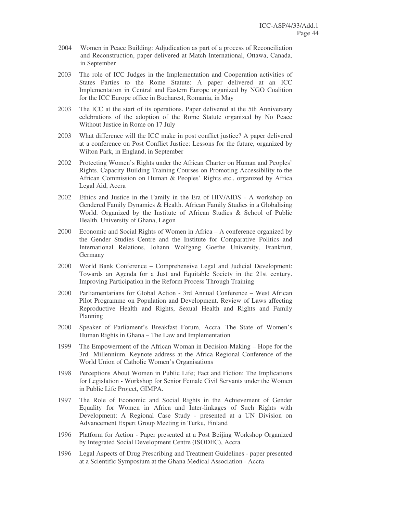- 2004 Women in Peace Building: Adjudication as part of a process of Reconciliation and Reconstruction, paper delivered at Match International, Ottawa, Canada, in September
- 2003 The role of ICC Judges in the Implementation and Cooperation activities of States Parties to the Rome Statute: A paper delivered at an ICC Implementation in Central and Eastern Europe organized by NGO Coalition for the ICC Europe office in Bucharest, Romania, in May
- 2003 The ICC at the start of its operations. Paper delivered at the 5th Anniversary celebrations of the adoption of the Rome Statute organized by No Peace Without Justice in Rome on 17 July
- 2003 What difference will the ICC make in post conflict justice? A paper delivered at a conference on Post Conflict Justice: Lessons for the future, organized by Wilton Park, in England, in September
- 2002 Protecting Women's Rights under the African Charter on Human and Peoples' Rights. Capacity Building Training Courses on Promoting Accessibility to the African Commission on Human & Peoples' Rights etc., organized by Africa Legal Aid, Accra
- 2002 Ethics and Justice in the Family in the Era of HIV/AIDS A workshop on Gendered Family Dynamics & Health. African Family Studies in a Globalising World. Organized by the Institute of African Studies & School of Public Health. University of Ghana, Legon
- 2000 Economic and Social Rights of Women in Africa A conference organized by the Gender Studies Centre and the Institute for Comparative Politics and International Relations, Johann Wolfgang Goethe University, Frankfurt, Germany
- 2000 World Bank Conference Comprehensive Legal and Judicial Development: Towards an Agenda for a Just and Equitable Society in the 21st century. Improving Participation in the Reform Process Through Training
- 2000 Parliamentarians for Global Action 3rd Annual Conference West African Pilot Programme on Population and Development. Review of Laws affecting Reproductive Health and Rights, Sexual Health and Rights and Family Planning
- 2000 Speaker of Parliament's Breakfast Forum, Accra. The State of Women's Human Rights in Ghana – The Law and Implementation
- 1999 The Empowerment of the African Woman in Decision-Making Hope for the 3rd Millennium. Keynote address at the Africa Regional Conference of the World Union of Catholic Women's Organisations
- 1998 Perceptions About Women in Public Life; Fact and Fiction: The Implications for Legislation - Workshop for Senior Female Civil Servants under the Women in Public Life Project, GIMPA.
- 1997 The Role of Economic and Social Rights in the Achievement of Gender Equality for Women in Africa and Inter-linkages of Such Rights with Development: A Regional Case Study - presented at a UN Division on Advancement Expert Group Meeting in Turku, Finland
- 1996 Platform for Action Paper presented at a Post Beijing Workshop Organized by Integrated Social Development Centre (ISODEC), Accra
- 1996 Legal Aspects of Drug Prescribing and Treatment Guidelines paper presented at a Scientific Symposium at the Ghana Medical Association - Accra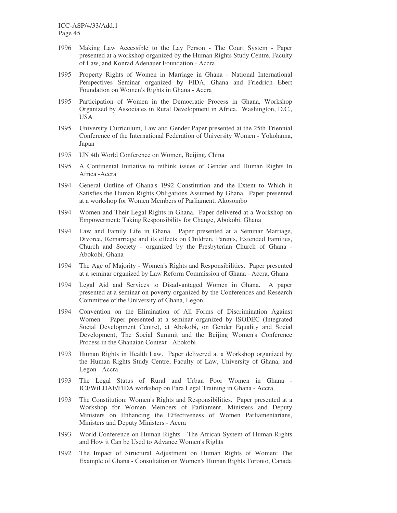- 1996 Making Law Accessible to the Lay Person The Court System Paper presented at a workshop organized by the Human Rights Study Centre, Faculty of Law, and Konrad Adenauer Foundation - Accra
- 1995 Property Rights of Women in Marriage in Ghana National International Perspectives Seminar organized by FIDA, Ghana and Friedrich Ebert Foundation on Women's Rights in Ghana - Accra
- 1995 Participation of Women in the Democratic Process in Ghana, Workshop Organized by Associates in Rural Development in Africa. Washington, D.C., USA
- 1995 University Curriculum, Law and Gender Paper presented at the 25th Triennial Conference of the International Federation of University Women - Yokohama, Japan
- 1995 UN 4th World Conference on Women, Beijing, China
- 1995 A Continental Initiative to rethink issues of Gender and Human Rights In Africa -Accra
- 1994 General Outline of Ghana's 1992 Constitution and the Extent to Which it Satisfies the Human Rights Obligations Assumed by Ghana. Paper presented at a workshop for Women Members of Parliament, Akosombo
- 1994 Women and Their Legal Rights in Ghana. Paper delivered at a Workshop on Empowerment: Taking Responsibility for Change, Abokobi, Ghana
- 1994 Law and Family Life in Ghana. Paper presented at a Seminar Marriage, Divorce, Remarriage and its effects on Children, Parents, Extended Families, Church and Society - organized by the Presbyterian Church of Ghana - Abokobi, Ghana
- 1994 The Age of Majority Women's Rights and Responsibilities. Paper presented at a seminar organized by Law Reform Commission of Ghana - Accra, Ghana
- 1994 Legal Aid and Services to Disadvantaged Women in Ghana. A paper presented at a seminar on poverty organized by the Conferences and Research Committee of the University of Ghana, Legon
- 1994 Convention on the Elimination of All Forms of Discrimination Against Women – Paper presented at a seminar organized by ISODEC (Integrated Social Development Centre), at Abokobi, on Gender Equality and Social Development, The Social Summit and the Beijing Women's Conference Process in the Ghanaian Context - Abokobi
- 1993 Human Rights in Health Law. Paper delivered at a Workshop organized by the Human Rights Study Centre, Faculty of Law, University of Ghana, and Legon - Accra
- 1993 The Legal Status of Rural and Urban Poor Women in Ghana ICJ/WiLDAF/FIDA workshop on Para Legal Training in Ghana - Accra
- 1993 The Constitution: Women's Rights and Responsibilities. Paper presented at a Workshop for Women Members of Parliament, Ministers and Deputy Ministers on Enhancing the Effectiveness of Women Parliamentarians, Ministers and Deputy Ministers - Accra
- 1993 World Conference on Human Rights The African System of Human Rights and How it Can be Used to Advance Women's Rights
- 1992 The Impact of Structural Adjustment on Human Rights of Women: The Example of Ghana - Consultation on Women's Human Rights Toronto, Canada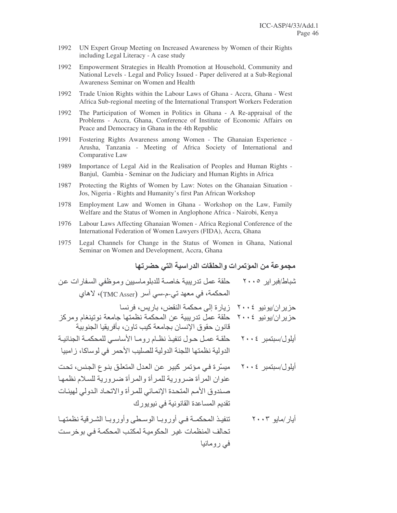- 1992 UN Expert Group Meeting on Increased Awareness by Women of their Rights including Legal Literacy - A case study
- 1992 Empowerment Strategies in Health Promotion at Household, Community and National Levels - Legal and Policy Issued - Paper delivered at a Sub-Regional Awareness Seminar on Women and Health
- 1992 Trade Union Rights within the Labour Laws of Ghana - Accra, Ghana - West Africa Sub-regional meeting of the International Transport Workers Federation
- 1992 The Participation of Women in Politics in Ghana - A Re-appraisal of the Problems - Accra, Ghana, Conference of Institute of Economic Affairs on Peace and Democracy in Ghana in the 4th Republic
- Fostering Rights Awareness among Women The Ghanaian Experience -1991 Arusha, Tanzania - Meeting of Africa Society of International and Comparative Law
- 1989 Importance of Legal Aid in the Realisation of Peoples and Human Rights -Banjul, Gambia - Seminar on the Judiciary and Human Rights in Africa
- 1987 Protecting the Rights of Women by Law: Notes on the Ghanaian Situation -Jos, Nigeria - Rights and Humanity's first Pan African Workshop
- Employment Law and Women in Ghana Workshop on the Law, Family 1978 Welfare and the Status of Women in Anglophone Africa - Nairobi, Kenya
- 1976 Labour Laws Affecting Ghanaian Women - Africa Regional Conference of the International Federation of Women Lawyers (FIDA), Accra, Ghana
- 1975 Legal Channels for Change in the Status of Women in Ghana, National Seminar on Women and Development, Accra, Ghana

#### مجموعة من المؤتمرات والحلقات الدر اسية التي حضر تها

تحالف المنظمات غير الحكومية لمكتب المحكمة في بو خر ست في رومانيا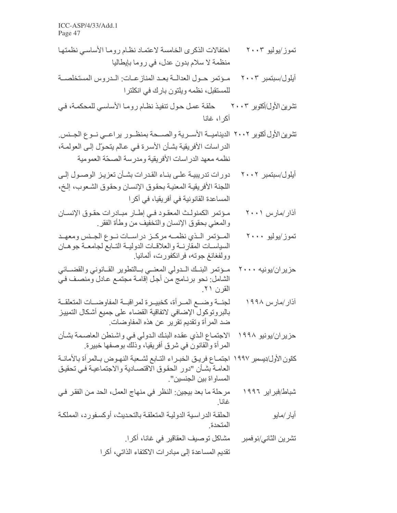ICC-ASP/4/33/Add.1 Page 47

- احتفالات الذكرى الخامسة لاعتماد نظام روما الأساسي نظمتها تموز ⁄بولبو ۲۰۰۳ منظمة لا سلام بدون عدل، في روما بإيطاليا
- مـوَتَمر حـول العدالــة بعـد المناز عــات: الــدر وس المستخلصـــة أيلول/سبتمبر ٢٠٠٣ للمستقبل، نظمه ويلتون بارك في انكلترا
- تشرين الأول/أكتوبر ٢٠٠٣ مسلم حول تنفيذ نظـام رومـا الأساسـي للمحكمـة، فـي أكر ا، غانا
- تشرين الأول أكتوبر ٢٠٠٢ الديناميـــة الأســرية والصــــحة بمنظــور يراعـــى نــوع الجــنس. الدراسات الأفريقية بشـأن الأسرة فـي عـالم يتحوّل إلـي العولمـة، نظمه معهد الدراسات الأفريقية ومدرسة الصحّة العمومية
- دور ات تدر ببيــة علــي بنــاء القـدر ات بشــأن تعز بـز الوصــول إلــي أبلول/سبتمبر ٢٠٠٢ اللجنة الأفريقية المعنية بحقوق الإنسان وحقوق الشعوب، إلخ، المساعدة القانونية في أفريقيا، في أكرا
- مؤتمر الكمنولث المعقود في إطار مبادرات حقوق الإنسان اذار/مارس ۲۰۰۱ والمعنى بحقوق الإنسان والتخفيف من وطأة الفقر
- تموز/يوليو ۲۰۰۰ المؤتمر اللذى نظمه مركز دراسات نوع الجنس ومعهد السياسات المقارنة والعلاقات الدولية التلبع لجامعة جوهان وولفغانغ جوته، فرانكفورت، ألمانيا ِ
- مئومر البنك المدولي المعنسي بسالتطوير القبانوني والقضبائي حزیران/یونیه ۲۰۰۰ الشامل: نحو برنـامج مّن أجل إقامـة مجتمـع عـادل ومنصـف فـيّ القرن ۲۱.
- لجنسة وضبع المبرأة، كخبيبرة لمراقبية المفاوضيات المتعلقية آذار /مار س ۱۹۹۸ بالبروتوكول الإضافي لاتفاقية القضاء على جميع أشكال التمييز ضد المرأة وتقديم تقرير عن هذه المفاوضات.
- حزير ان/يونيو ١٩٩٨ الاجتمـاع الـذي عقده البنـك الـدولي فـي واشـنطن العاصـمـة بشـأن المر أة والقانون في شرق أفريقيا، وذلك بوصفها خبيرة.
- كانون الأول/بسمبر ١٩٩٧ اجتمــاع فريــق الخبــراء التــابع لشــعبة النهـوض بــالمرأة بـالأمانــة العامة بشأن "دور الحقوق الاقتصادية والاجتماعية في تحقيق المساو اة بين الجنسين".
- مرحلة ما بعد بيجين: النظر في منهاج العمل، الحد من الفقر في شباط/فبر ایر ۱۹۹۲ غانا
- الحلقة الدر اسبية الدوليـة المتعلقـة بالتحديث، أو كسفور د، المملكـة أيار /مايو المتحدة
	- مشاكل توصبف العقاقير في غانـا، أكر ل تشر ين الثاني/نو فمبر تقديم المساعدة إلى مبادر ات الاكتفاء الذاتي، أكر ا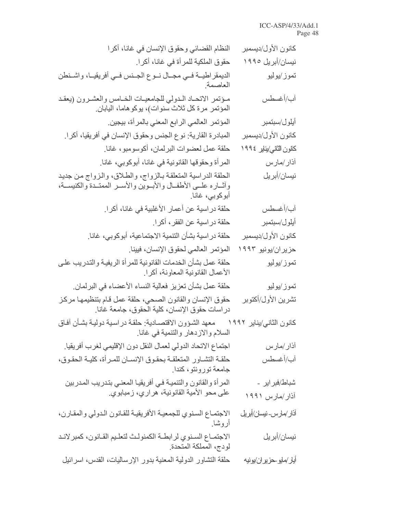#### ICC-ASP/4/33/Add.1 Page 48

| كانون الأول/ديسمبر              | النظام القضائي وحقوق الإنسان في غانا، أكرا                                                                                                          |
|---------------------------------|-----------------------------------------------------------------------------------------------------------------------------------------------------|
| نیسان/أبریل ۱۹۹۰                | حقوق الملكية للمر أة في غانـا، أكر ا.                                                                                                               |
| تموز/يوليو                      | الديمقر اطيــة فــي مجــال نــوع الجــنس فــي أفريقيــا، واشــنطن<br>العاصمة                                                                        |
| أب/أغسطس                        | مـؤتمر الاتحـاد الـدولي للجامعيـات الخـامس والعشـرون (يعقـد<br>المؤتمر مرة كل ثلاث سنوات)، يوكوهاما، اليابان                                        |
| أيلول/سبتمبر                    | المؤتمر العالمي الرابع المعني بالمرأة، بيجين                                                                                                        |
| كانون الأول/ديسمبر              | المبادر ة القارية: نوع الجنس وحقوق الإنسان في أفريقيا، أكرا.                                                                                        |
| كانون الثاني/يناير ١٩٩٤         | حلقة عمل لعضوات البرلمان، أكوسومبو، غانا ِ                                                                                                          |
| أذار/مارس                       | المر أة وحقوقها القانونية في غانا، أبوكوبي، غانـا.                                                                                                  |
| نیسا <i>ن/</i> أبریل            | الحلقة الدراسية المنعلقة بالزواج، والطلاق، والزواج من جديد<br>وأثــاره علــي الأطفــال والأبــوين والأســر الممتــدة والكنيســة،<br>أبوكوبي، غانا ِ |
| أب/أغسطس                        | حلقة در اسية عن أعمار الأغلبية في غانا، أكر ا.                                                                                                      |
| أيلول/سبتمبر                    | حلقة در اسية عن الفقر ، أكرا ِ                                                                                                                      |
| كانون الأول/ديسمبر              | حلقة در اسية بشأن التنمية الاجتماعية، أبوكوبي، غانا ِ                                                                                               |
| حزیران/یونیو ۱۹۹۳               | المؤتمر العالمي لحقوق الإنسان، فيينا                                                                                                                |
| تموز/يوليو                      | حلقة عمل بشأن الخدمات القانونية للمرأة الريفية والتدريب على<br>الأعمال القانونية المعاونة، أكرا.                                                    |
| تموز/يوليو                      | حلقة عمل بشأن تعزيز فعالية النساء الأعضاء في البرلمان                                                                                               |
| تشرين الأول/أكتوبر              | حقوق الإنسان والقانون الصحي، حلقة عمل قام بتنظيمها مركز<br>دراسات حقوق الإنسان، كلية الحقوق، جامعة غانا                                             |
| كانون الثاني/يناير ١٩٩٢         | معهد الشؤون الاقتصادية: حلقة دراسية دولية بشأن أفاق<br>السلام والازدهار والتنمية في غانا.                                                           |
| أذار ⁄مارس                      | اجتماع الاتحاد الدولي لعمال النقل دون الإقليمي لغرب أفريقيا.                                                                                        |
| آب/أغسطس                        | حلقـة التشـاور المتعلقـة بحقـوق الإنسـان للمـراة، كليـة الحقـوق،<br>جامعة تورونتو، كندا                                                             |
| شباط/فبراير ۔<br>آذار/مارس ۱۹۹۱ | المرأة والقانون والتنمية في أفريقيا المعني بتدريب المدربين<br>على محو الأمية القانونية، هراري، زمبابوي ِ                                            |
| آذار/مارس-نيسان/أبريل           | الاجتماع السنوي للجمعية الأفريقية للقانون الدولي والمقارن،<br>أروشاً.                                                                               |
| نیسان/أبریل                     | الاجتماع السنوي لرابطة الكمنولث لتعليم القانون، كمبرلاند<br>لودج، المملكة المتحدة.                                                                  |
| أبار/مابوحزبران/بونبه           | حلقة التشاور الدولية المعنية بدور الإرساليات، القدس، اسرائيل                                                                                        |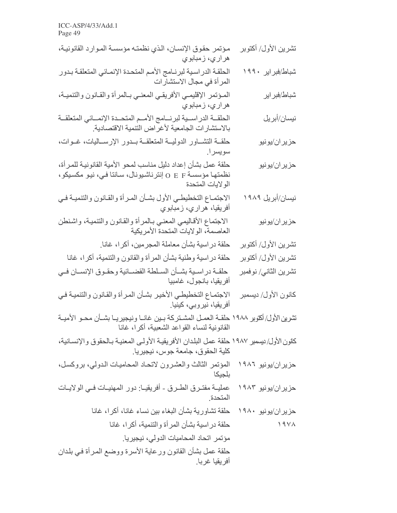| مؤتمر حقوق الإنسان، الذي نظمته مؤسسة الموارد القانونية،<br>هراري، زمبابوي                                                                               | تشرين الأول/ أكتوبر       |
|---------------------------------------------------------------------------------------------------------------------------------------------------------|---------------------------|
| الحلقة الدراسية لبرنـامج الأمم المتحدة الإنمـائي المتعلقـة بـدور<br>المر أة في مجال الاستشار ات                                                         | شباط/فبراير ۱۹۹۰          |
| المؤتمر الإقليمي الأفريقي المعني بالمرأة والقانون والتنمية،<br>هراري، زمبابوي                                                                           | شباط/فبراير               |
| الحلقــة الدر اســية لبرنـــامج الأمـــم المنحــدة الإنمـــائي المتعلقــة<br>بالاستشارات الجامعية لأغراض التنمية الاقتصادية                             | نيسان/أبريل               |
| حلقــة التشــاور الدوليــة المتعلقــة بــدور الإرســاليات، غــوات،<br>سويسرا                                                                            | حزيران/يونيو              |
| حلقة عمل بشأن إعداد دليل مناسب لمحو الأمية القانونية للمرأة،<br>نظمتها مؤسسة O E F إنترناشيونال، سـانتا فـي، نيو مكسيكو،<br>الو لايات المتحدة           | حزيران/يونيو              |
| الاجتماع التخطيطي الأول بشأن المرأة والقانون والتنمية في<br>أفريقيا، هراري، زمبابوي                                                                     | نیسا <i>ن/أبر</i> یل ۱۹۸۹ |
| الاجتماع الأقاليمي المعني بـالمرأة والقانون والتتمية، واشنطن<br>العاصمة، الولايات المتحدة الأمريكية                                                     | حزيران/يونيو              |
| حلقة دراسية بشأن معاملة المجرمين، أكرا، غانا ِ                                                                                                          | تشرين الأول/ أكتوبر       |
| حلقة دراسية وطنية بشأن المرأة والقانون والتنمية، أكرا، غانا                                                                                             | تشرين الأول/ أكتوبر       |
| حلقــة در اســية بشــأن الســلطة القضـــائية وحقــوق الإنســان فــي<br>أفريقيا، بانجول، غامبيا                                                          | تشرين الثاني/ نوفمبر      |
| الاجتماع التخطيطي الأخير بشأن المرأة والقانون والتنمية في<br>أفريقيا، نيروبي، كينيا.                                                                    | كانون الأول/ ديسمبر       |
| تشرين الأول/ أكموير ١٩٨٨ حلقـــة العمــل المشــتر كـة بــين غـانـــا ونيجيريـــا بشــأن محــو الأميــة<br>القانونية لنساء القواعد الشعبية، أكر ا، غانـا |                           |
| كانون الأول/ بيسمبر ١٩٨٧ حلقة عمل البلدان الأفريقية الأولى المعنية بـالحقوق والإنسـانية،<br>كلية الحقوق، جامعة جوس، نيجيريا.                            |                           |
| المؤتمر الثالث والعشرون لاتحاد المحاميات الدولي، بروكسل،<br>بلجيكا                                                                                      | حزیر ان/یونیو ۱۹۸٦        |
| عمليـــة مفتــرـق الطــرـق ــ أفريقيــا: دور المـهنيــات فــي الولايــات<br>المتحدة                                                                     | حزیر ان/یونیو ۱۹۸۳        |
| حزيران/يونيو ١٩٨٠ حلقة تشاورية بشأن البغاء بين نساء غانا، أكرا، غانا                                                                                    |                           |
| حلقة دراسية بشأن المرأة والتنمية، أكرا، غانا                                                                                                            | 19YA                      |
| مؤتمر اتحاد المحاميات الدولى، نيجيريا.                                                                                                                  |                           |
| حلقة عمل بشأن القانون ورعاية الأسرة ووضع المرأة في بلدان<br>أفريقيا غربا.                                                                               |                           |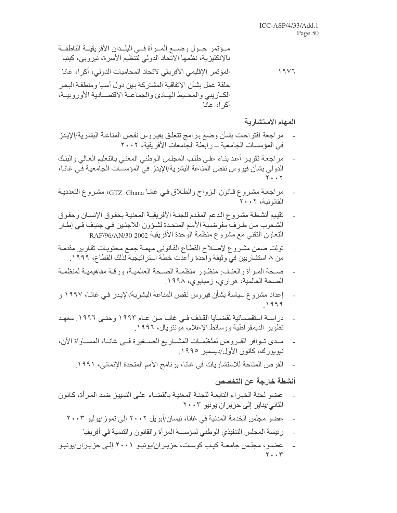المهام الاستشارية

- مراجعة اقتراحات بشأن وضع برامج تتعلق بفيروس نقص المناعة البشرية/الإيدز في المؤسسات الجامعية ـــ رابطة الجامعات الأفريقية، ٢٠٠٢
- مر اجعة نقرير أعد بنـاء علـى طلب المجلس الـوطني المعنـى بـالنعليم العـالي والبنـك الدولي بشأن فيروس نقص المناعة البشرية/الإيدز في المؤسسات الجامعية فـي غانـا،  $\mathbf{y}$ .,  $\mathbf{y}$
- مراجعة مشروع قـانون الـزواج والطـلاق فـي غانـا GTZ Ghana، مشروع التعدديـة القانونية، ٢٠٠٢
- تقييم أنشطة مشروع الدعم المقدم للجنة الأفريقية المعنية بحقوق الإنسان وحقوق الشعوب من طرف مفوضية الأمم المتحدة لشؤون اللاجئين في جنيف في إطار النعاون النقني مع مشروع منظمة الوحدة الأفريقية RAF/96/AN/30 2002
- تولت ضمن مشروع لإصلاح القطاع القانوني مهمة جمع محتويات تقارير مقدمة  $\overline{a}$ من ٨ استشاريين في وثيقة واحدة وأعدت خطة استر اتيجية لذلك القطاع، ١٩٩٩.
- صبحة المررأة والعنف منظور منظمية الصبحة العالميية، ورقية مفاهيميية لمنظمية الصحة العالمية، هر ار ي، زمبابو ي، ١٩٩٨.
- إعداد مشروع سياسة بشأن فيروس نقص المناعة البشرية/الإيدز في غانـا، ١٩٩٧ و  $\overline{a}$ 1999
- در اســـة استقصـــائية لقضـــايـا القــذف فــي غانـــا مــن عــام ١٩٩٣ وحتــي ١٩٩٦. معهـد  $\overline{a}$ تطوير الديمقر اطبة ووسائط الإعلام، مونتر بال، ١٩٩٦.
- مـدى تــوافر القــروض لمنْظِمــات المشــاريع الصـــغيرة فــى غانــا، المســاواة الآن، نيويورك، كانون الأول/ديسمبر ١٩٩٥.
	- الفرص المتاحة للاستشاريات في غانا، برنامج الأمم المتحدة الإنمائي، ١٩٩١.

### أنشطة خارجة عن التخصص

- عضو لجنة الخبراء التابعة للجنة المعنية بالقضاء على التمييز ضد المرأة، كانون الثاني/يناير إلى حزير ان يونيو ٢٠٠٣
	- عضو مجلس الخدمة المدنية في غانا، نيسان/أبريل ٢٠٠٢ إلى تموز /يوليو ٢٠٠٣
		- رئيسة المجلس التنفيذي الوطني لمؤسسة المرأة والقانون والتنمية في أفريقيا
- عضـو ، مجلـس جامعــة كيـب كوسـت، حز يـر ان/يونيـو ٢٠٠١ إلــي حز يـر ان/يونيـو  $Y \cdot Y$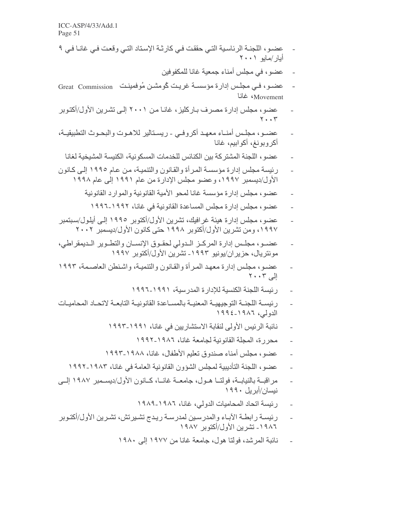- عضـو ، اللجنــة الرئـاسـية التــى حققت فــى كار ثــة الإسـتاد التــى وقعت فــى غانــا فــى ٩ أيار/مايو ٢٠٠١
	- عضو ، في مجلس أمناء جمعبة غانا للمكفو فبن
- عضبو، فبي مجلس إدارة مؤسسة غريت كُومشن مُوفِقينت Great Commission  $\overline{\phantom{a}}$ Movement؛ غانا
- عضو ، مجلس إدار ة مصر ف بـار كليز ، غانـا مـن ٢٠٠١ إلـى تشـر ين الأول/أكتـوبر  $Y \cdot \cdot Y$
- عضـو، مجلـس أمنـاء معهـد أكروفـي ريسـتالير للاهـوت والبحـوث التطبيقيـة، أكر وبونغ، أكو ابيم، غانا
	- عضو ، اللجنة المشتركة بين الكنائس للخدمات المسكونية، الكنيسة المشيخية لغانا
- رِ بُيسة مجلس إدار ة مؤسسة المر أة والقانون والتنمية، من عام ١٩٩٥ إلى كانون الأول/ديسمبر ١٩٩٧، وعضو مجلس الإدارة من عام ١٩٩١ إلى عام ١٩٩٨
	- عضو، مجلس إدارة مؤسسة غانا لمحو الأمية القانونية والموارد القانونية
		- عضو ، مجلس إدار ة مجلس المساعدة القانو نية في غانا، ١٩٩٢-١٩٩٦
- عضو ، مجلس إدار ة هيئة غرافيك، تشرين الأول/أكتوبر ١٩٩٥ إلىي أيلول/سبتمبر ١٩٩٧، ومن تشرين الأول/أكتوبر ١٩٩٨ حتى كانون الأول/ديسمبر ٢٠٠٢
- عضــو، مجلــس إدارة المركــز الــدولي لحقــوق الإنســان والنطــوير الــديمقراطي، مونتريال، حزيران/يونيو ١٩٩٣- تشرين الأول/أكتوبر ١٩٩٧
- عضو، مجلس إدارة معهد المرأة والقانون والتنمية، واشنطن العاصمة، ١٩٩٣  $Y \cdot Y$ الم
	- رِ ئِيسة اللَّجِنة الكنسية للإدار ة المدر سية، ١٩٩١-١٩٩٦
- ر ئبســة اللجنــة التو جبـهيــة المعنيــة بالمســاعدة القانو نبــة التابعــة لاتحــاد المحامبــات الدولي، ١٩٨٦-١٩٩٤
	- نائبة الرئيس الأولى لنقابة الاستشاريين في غانا، ١٩٩١-١٩٩٣
		- محر ر ة، المجلة القانو نية لجامعة غانا، ١٩٨٦-١٩٩٢
	- عضو، مجلس أمناء صندوق تعليم الأطفال، غانا، ١٩٨٨-١٩٩٣
	- عضو ، اللجنة التأديبية لمجلس الشؤون القانونية العامة في غانا، ١٩٨٣-١٩٩٢
- مراقبــة بالنيابــة، فولتــا هــول، جامعــة غانــا، كــانون الأول/ديســمبر ١٩٨٧ إلــي نبسان/أبريل ١٩٩٠
	- ر ئيسة اتحاد المحاميات الدولي، غانا، ١٩٨٦-١٩٨٩
- رئيسة رابطة الأباء والمدرسين لمدرسة ريدج تشيرتش، تشرين الأول/أكتوبر ١٩٨٦ ـ تشرين الأول/أكتوبر ١٩٨٧
	- نائبة المرشد، فولتا هول، جامعة غانا من ١٩٧٧ إلى ١٩٨٠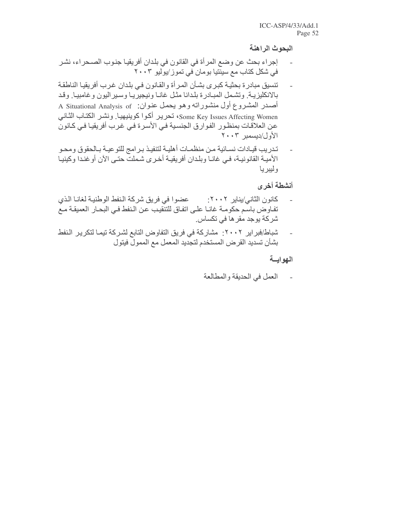البحوث الراهنة

- إجراء بحث عن وضع المرأة في القانون في بلدان أفريقيا جنوب الصـحراء، نشر في شكل كتاب مع سبِنّتيا بو مان في تمو ز /يولّيو ٢٠٠٣
- تنسيق مبادرة بحثية كبرى بشأن المرأة والقانون في بلدان غرب أفريقيا الناطقة بالانكليزية وتشمل المبادرة بلدانا مثل غانا ونيجيريا وسيراليون وغامبيا وقد أصدر المشروع أول منشوراته وهو يحمل عنوان: A Situational Analysis of Some Key Issues Affecting Women، تحرير أكوا كوينيهيا. ونشر الكتاب الثاني عن العلاقات بمنظور الفوارق الجنسية في الأسرة في غرب أفريقيا في كانون الأول/ديسمبر ٢٠٠٣
- تدريب قيـادات نسـائية مـن منظمـات أهليـة لتنفيـذ بـرامج للتوعيـة بـالحقوق ومحـو الأميـة القانونيـة، فـي غانـا وبلدان أفريقيـة أخـري شـملت حتـي الآن أوخنـدا وكينيـا و ليبر يا

أنشطة أخرى

- كانون الثاني/يناير ٢٠٠٢: صحموا في فريق شركة النفط الوطنية لغانا الذي تفاوض باسم حكومـة غانـا علـى اتفـاق للتنقيب عن الـنفط فـى البحـار العميقـة مـع شركة يوجد مقر ها في تكساس.
- شباط/فبراير ٢٠٠٢: مشاركة في فريق التفاوض التابع لشركة تيما لتكرير النفط بشأن تسديد القرض المستخدم لتجديد المعمل مع الممول فيتول

الهوايسة

العمل في الحديقة والمطالعة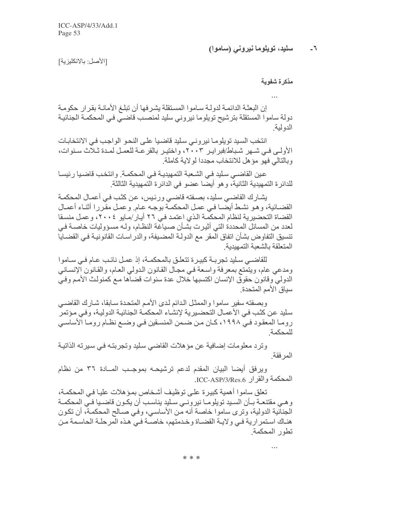#### سلید، تویلوما نیرونی (ساموا)  $-7$

[الأصل: بالانكليزية]

مذكرة شفوية

إن البعثــة الدائمــة لدولــة ســاموا المسنقلـة يشـرفـها أن تبلــغ الأمـانــة بقر ار ـحكومــة دولة ساموا المستقلة بترشيح تويلوما نيروني سليد لمنصب قاضـي فـي المحكمـة الجنائيـة الدو لبة

انتخب السبد تويلومـا نيرونـي سليد قاضـيـا علـي النحـو الواجب فـي الانتخابـات الأولى فـي شـهر شـبـاط/فبر ابـر ٢٠٠٣، و اختيـر بـالقر عــة للعمـل لمـدة ثـلاث سـنو ات، و بالتالي فهو مؤ هل للانتخاب مجددا لو لابة كاملة ٍ

عين القاضـي سليد فـي الشـعبة التمهيديـة فـي المحكمـة. وانتخب قاضـيا رئيسـا للدائر ة التمهيدية الثانية، و هو أيضـا عضو في الدائر ة التمهيدية الثالثة.

يشارك القاضـي سليد، بصـفته قاضـي ورئيس، عن كثب فـي أعمـال المحكمـة القضـائية، وهو نشط أيضـا فـي عمـل المحكمـة بوجـه عـام وعمـل مقررا أثنـاء أعمـال القضـاة التحضـيرية لنظـام المحكمـة الـذي اعتمـد فـي ٢٦ أيـار /مـايو ٤٠٠٤، و عمـل منسـقا لعدد من المسائل المحددة التي أثيرت بشـأن صـياغة النظـام، ولـه مسـؤوليات خاصــة فـي تنسيق التفاوض بشأن اتفاق المقر مع الدولـة المضـيفة، والدراسـات القانونيـة فـي القضـايـا المتعلقة بالشعبة التمهيدية

للقاضـي سـليد تجربــة كبيـرة تتعلـق بالمحكمــة، إذ عمـل نائـب عـام فـي سـاموا ومدعى عام، ويتمتع بمعرفة واسعة في مجال القانون الدولي العام، والقانون الإنساني الدولي وقانون حقوق الإنسان اكتسبها خلال عدة سنوات قضاها مع كمنولث الأمم وفيي سباق الأمم المتحدة

وبصفته سفير ساموا والممثل الدائم لدى الأمم المتحدة سابقا، شارك القاضيي سليد عن كثب في الأعمـال التحضـيرية لإنشـاء المحكمـة الجنائيـة الدوليـة، وفـي مـؤتمر رومـا المعقود فـي ١٩٩٨، كـان مـن ضـمن المنسـقين فـي وضـع نظـام رومـا الأساسـي للمحكمة

وترد معلومات إضافية عن مؤهلات القاضي سليد وتجربته في سيرته الذاتية المر فقة

ويرفق أيضا البيان المقدم لدعم ترشيحه بموجب المسادة ٣٦ من نظام المحكمة والقرار ICC-ASP/3/Res.6.

تعلَّق ساموا أهمية كبيرة على توظيف أشخاص بمؤهلات عليا في المحكمـة، و هـي مقتنعــة بــأن السـيد تويلومــا نيرونــي سـليد يناسـب أن يكـون قاضـيا فـي المحكمــة الْجنانَية الدولية، وترى ساموا خاصة أنه من الأساسي، وفي صـالح المحكمـة، أن تكون هنـاك اسـتمر ارية فـي ولايـة القضـاة وخـدمتهم، خاصـة فـي هـذه المرحلـة الحاسـمة مـن تطور المحكمة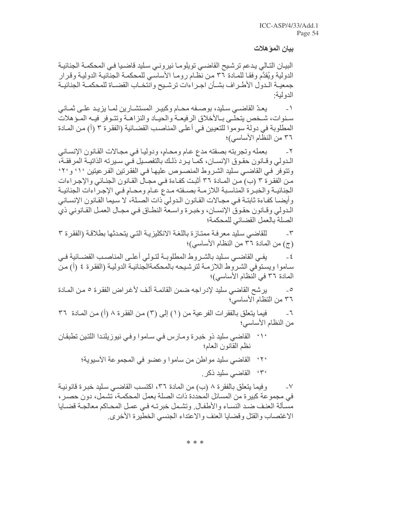بيان المؤهلات

البيان التـالي يدعم ترشيح القاضـي تويلومـا نيرونـي سـليد قاضـيا فـي المحكمـة الجنائيـة الدولية ويُقدَّم وفقـا للمـادة ٣٦ مـن نظَّام رومـا الأساسـي للمحكمـة الجنَّائيـة الدوليـة وقرار جمعيــة الـدول الأطــراف بشــأن اجـراءات ترشـيح وانتخـاب القضــاة للمحكمــة الجنائيــة الدو لبة:

يعدّ القاضـي سـليد، بوصـفه محـام وكبيـر المستشـارين لمـا يزيـد علـي ثمـاني  $-1$ سنوات، شـخص يتحلـى بـالأخلاق الرفيعـة والحيـاد والنز اهـة وتتـوفر فيـه المـؤهلات المطلوبة في دولة سوموا للتعيين في أعلى المناصب القضـائية (الفقر ة ٣ (أ) من المـادة ٣٦ من النظام الأساسي)؛

بعمله وتجربته بصفته مدع عام ومحام، ودوليا في مجالات القانون الإنساني  $-\tau$ الـدولي وقــانون حقـوق الإنســان، كمــا يـرد ذلـك بالتفصــيل فـي سـيرته الذاتيــة المرفقــة، ونتوفر في القاضـي سليد الشروط المنصـوص عليهـا فـي الفقرنين الفرعيتين ٬٬٬ و٬۲٬ من الفقرة ٣ (ب) من المـادة ٣٦ أثبت كفـاءة فـي مجـال القـانون الجنـائي والإجـراءات الجنائيـة والخبـرة المناسـبة اللازمـة بصـفته مـدع عـام ومحـامٍ فـي الإجـراءات الجنائيـة وأيضـا كفـاءة ثابتـة فـي مجـالات القـانون الـدولي ذات الصـلـة، لا سـيما القـانون الإنسـاني الدولي وقـانون حقـوق الإنسـان، وخبـرة واسـعة النطـاق فـي مجـال العمـل القـانوني ذي الصلة بالعمل القضائي للمحكمة؛

للقاضي سليد معرفة ممتاز ة باللغة الانكليزية التي يتحدثها بطلاقة (الفقر ة ٣  $-\tau$ (ج) من المادة ٣٦ من النظام الأساسي)؛

يفي القاضبي سليد بالشر وط المطلوبــة لتـولي أعلــي المناصـب القضــائية فـي  $\epsilon$ ساموا ويستوفي الشروط اللازمـة لترشيحه بالمحكمةالجنائيـة الدوليـة (الفقرة ٤ (أ) مـن المادة ٣٦ في النظام الأساسي)؛

يرشح القاضـي سليد لإدر اجه ضمن القائمـة ألـف لأغـر اض الفقر ة ٥ مـن المـادة  $\circ$ ٣٦ من التظام الأساسي؛

فيما يتعلَّق بالفقرات الفر عية من (١) إلى (٣) من الفقر ة ٨ (أ) من المـادة ٣٦  $\mathcal{L}_{-}$ من النظام الاساسي؛

- ٬۱٬ القاضي سليد ذو خبرة ومارس في ساموا وفي نيوزيلندا اللتين تطبقان نظم القانون العام؛
	- ٢٠، القاضي سليد مواطن من ساموا وعضو في المجموعة الأسيوية؛ ٣٠، القاضي سليد ذكر.

وفيما يتعلَّق بالفقرة ٨ (ب) من المادة ٣٦، اكتسب القاضـي سليد خبـرة قانونيـة  $-<sup>V</sup>$ في مجموعة كبيرة من المسائل المحددة ذات الصلة بعمل المحكمـة، تشمل، دون حصـر ، مسألة العنف ضد النساء والأطفال وتشمل خبرته في عمل المحاكم معالجة قضايا الاغتصاب والقتل وقضايا العنف والاعتداء الجنسى الخطيرة الأخرى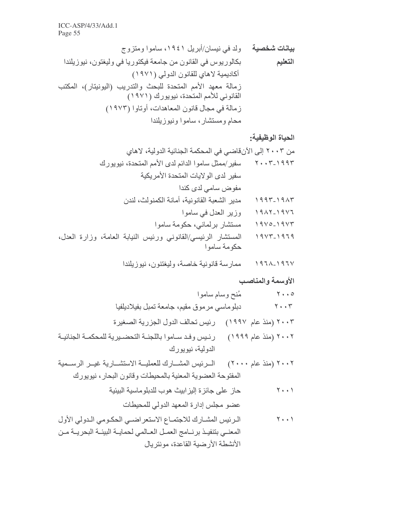الحياة الوظيفية:

# الأوسمة والمناصب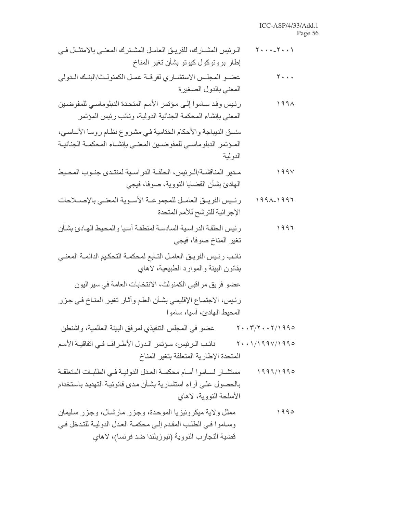| $Y \leftrightarrow * = Y \leftrightarrow Y$ | الـرئيس المشــارك، للفريــق الـعامــل المشــترك المعنــي بـالامتثــال فــي<br>إطار بروتوكول كيوتو بشأن تغير المناخ                                                      |
|---------------------------------------------|-------------------------------------------------------------------------------------------------------------------------------------------------------------------------|
| $\mathbf{y}$                                | عضــو المجلـس الاستشــاري لفرقــة عمــل الكمنولـث/البنــك الــدولي<br>المعني بالدول الصغيرة                                                                             |
| 1991                                        | رئيس وفد ساموا إلى مؤتمر الأمم المتحدة الدبلوماسي للمفوضين<br>المعني بإنشاء المحكمة الجنائية الدولية، ونائب رئيس المؤتمر                                                |
|                                             | منسق الديباجة والأحكام الختامية في مشروع نظـام رومـا الأساسـي،<br>المـؤتمر الدبلوماسـي للمفوضـين المعنـي بإنشـاء المحكمـة الجنائيـة<br>الدولية                          |
| 199V                                        | مـدير المناقشــة/الـرئيس، الحلقــة الدراسـية لمنتـدى جنـوب المحـيط<br>المهادئ بشأن القضايا النووية، صوفا، فيجي                                                          |
| $1991 - 1997$                               | رئـيس الفريـق العامـل للمجموعـة الأسـوية المعنـي بالإصــلاحات<br>الإجرائية للترشح للأمم المتحدة                                                                         |
| 1997                                        | رئيس الحلقة الدراسية السادسة لمنطقة أسيا والمحيط الهادئ بشأن<br>تغير المناخ صوفا، فيجي                                                                                  |
|                                             | نائب رئيس الفريق العامل التـابع لمحكمـة التحكيم الدائمـة المعنـي<br>بقانون البيئة والموارد الطبيعية، لاهاي                                                              |
|                                             | عضو فريق مراقبي الكمنولث، الانتخابات العامة في سير اليون                                                                                                                |
|                                             | رئيس، الاجتماع الإقليمي بشأن العلم وأثـار تغير المنـاخ فـي جـزر<br>المحيط الهادئ، أسيا، ساموا                                                                           |
| $Y \cdot Y / Y \cdot Y / 1990$              | عضو في المجلس التنفيذي لمرفق البيئة العالمية، واشنطن                                                                                                                    |
| $Y$ $1/199V/1990$                           | نائب الرئيس، مؤتمر الدول الأطراف في اتفاقيـة الأمـم<br>المتحدة الإطارية المتعلقة بتغير المناخ                                                                           |
| 1997/1990                                   | مستشــار لســاموا أمــام محكمــة الـعـدل الدوليــة فــى الطلبــات المتعلقــة<br>بالحصول على آراء استشارية بشأن مدى قانونية التهديد باستخدام<br>الأسلحة النووية، لاهاي   |
| 1990                                        | ممثل ولاية ميكرونيزيا الموحدة، وجزر مارشال، وجزر سليمان<br>وساموا في الطلب المقدم إلى محكمة العدل الدولية للتدخل في<br>قضية التجارب النووية (نيوزيلندا ضد فرنسا)، لاهاي |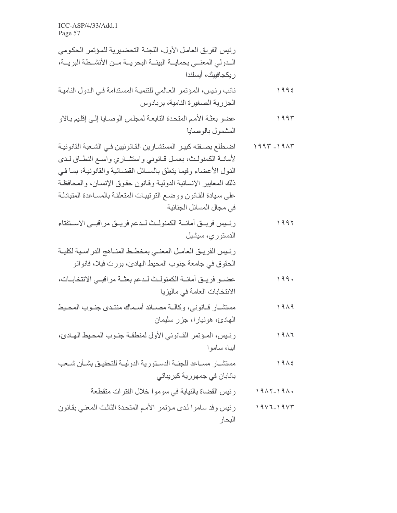| رئيس الفريق العامل الأول، اللجنـة التحضـيرية للمـؤتمر الحكومي<br>الــدولي المعنــي بـحمايـــة البيئـــة البحريـــة مــن الأنشــطة البريـــة،<br>ريكجافييك، أيسلندا                                                                                                                                                                                               |               |  |
|------------------------------------------------------------------------------------------------------------------------------------------------------------------------------------------------------------------------------------------------------------------------------------------------------------------------------------------------------------------|---------------|--|
| نائب رئيس، المؤتمر العالمي للتنمية المستدامة في الدول النامية<br>الجزرية الصغيرة النامية، بربادوس                                                                                                                                                                                                                                                                | 1992          |  |
| عضو بعثة الأمم المتحدة التابعة لمجلس الوصبايا إلىي إقليم بالاو<br>المشمول بالوصايا                                                                                                                                                                                                                                                                               | ۱۹۹۳          |  |
| اضطلع بصـفته كبيـر المستشـارين القـانونيين فـي الشـعبة القانونيـة<br>لأمانية الكمنولث، بعمل قبانوني واستشباري واسبع النطباق لبدي<br>الدول الأعضاء وفيما يتعلق بالمسائل القضائية والقانونية، بما في<br>ذلك المعابير الإنسانية الدولية وقانون حقوق الإنسان، والمحافظة<br>على سيادة القانون ووضع الترتيبات المتعلقة بالمساعدة المتبادلة<br>في مجال المسائل الجنائية | $1997 - 1917$ |  |
| رئــيس فريــق أمانـــة الكمنولــث لــدعم فريــق مراقبــي الاســتفتاء<br>الدستوري، سيشيل                                                                                                                                                                                                                                                                          | ۱۹۹۲          |  |
| رئـيس الفريــق العامــل المعنــي بمخطــط المنــاهج الدر اسـية لكليــة<br>الحقوق في جامعة جنوب المحيط الهادئ، بورت فيلا، فانواتو                                                                                                                                                                                                                                  |               |  |
| عضــو فريــق أمانــة الكمنولـث لــدعم بعثــة مراقبــي الانتخابــات،<br>الانتخابات العامة في ماليزيا                                                                                                                                                                                                                                                              | ۱۹۹۰          |  |
| مستشــار قــانونـي، وكالــة مصـــائد أسـماك منتــدى جنــوب المحــيط<br>المهادئ، هونيارا، جزر سليمان                                                                                                                                                                                                                                                              | ۱۹۸۹          |  |
| رئيس، المؤتمر القانوني الأول لمنطقة جنوب المحيط الهادئ،<br>آبيا، سامو ا                                                                                                                                                                                                                                                                                          | 1917          |  |
| مستشــار مســاعد للجنــة الدسـتورية الدوليــة للتحقيــق بشــأن شــعب<br>بانابان فی جمهوریة کیریباتی                                                                                                                                                                                                                                                              | 1912          |  |
| رئيس القضاة بالنيابة في سوموا خلال الفترات متقطعة                                                                                                                                                                                                                                                                                                                | $1917 - 191.$ |  |
| رئيس وفد ساموا لدى مؤتمر الأمم المتحدة الثالث المعنى بقانون<br>البحار                                                                                                                                                                                                                                                                                            | $19V7-19V7$   |  |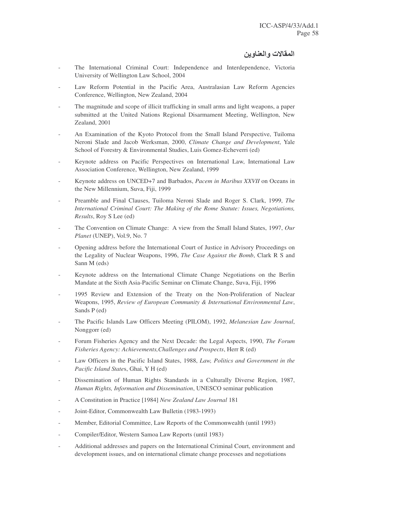# المقالات والعناوين

- The International Criminal Court: Independence and Interdependence, Victoria University of Wellington Law School, 2004
- Law Reform Potential in the Pacific Area, Australasian Law Reform Agencies Conference, Wellington, New Zealand, 2004
- The magnitude and scope of illicit trafficking in small arms and light weapons, a paper submitted at the United Nations Regional Disarmament Meeting, Wellington, New Zealand, 2001
- An Examination of the Kyoto Protocol from the Small Island Perspective, Tuiloma Neroni Slade and Jacob Werksman, 2000, *Climate Change and Development*, Yale School of Forestry & Environmental Studies, Luis Gomez-Echeverri (ed)
- Keynote address on Pacific Perspectives on International Law, International Law Association Conference, Wellington, New Zealand, 1999
- Keynote address on UNCED+7 and Barbados, *Pacem in Maribus XXVII* on Oceans in the New Millennium, Suva, Fiji, 1999
- Preamble and Final Clauses, Tuiloma Neroni Slade and Roger S. Clark, 1999, *The International Criminal Court: The Making of the Rome Statute: Issues, Negotiations, Results*, Roy S Lee (ed)
- The Convention on Climate Change: A view from the Small Island States, 1997, Our *Planet* (UNEP), Vol.9, No. 7
- Opening address before the International Court of Justice in Advisory Proceedings on the Legality of Nuclear Weapons, 1996, *The Case Against the Bomb*, Clark R S and Sann M (eds)
- Keynote address on the International Climate Change Negotiations on the Berlin Mandate at the Sixth Asia-Pacific Seminar on Climate Change, Suva, Fiji, 1996
- 1995 Review and Extension of the Treaty on the Non-Proliferation of Nuclear Weapons, 1995, *Review of European Community & International Environmental Law*, Sands P (ed)
- The Pacific Islands Law Officers Meeting (PILOM), 1992, *Melanesian Law Journal*, Nonggorr (ed)
- Forum Fisheries Agency and the Next Decade: the Legal Aspects, 1990, *The Forum Fisheries Agency: Achievements,Challenges and Prospects*, Herr R (ed)
- Law Officers in the Pacific Island States, 1988, *Law, Politics and Government in the Pacific Island State*s, Ghai, Y H (ed)
- Dissemination of Human Rights Standards in a Culturally Diverse Region, 1987, *Human Rights, Information and Dissemination*, UNESCO seminar publication
- A Constitution in Practice [1984] *New Zealand Law Journal* 181
- Joint-Editor, Commonwealth Law Bulletin (1983-1993)
- Member, Editorial Committee, Law Reports of the Commonwealth (until 1993)
- Compiler/Editor, Western Samoa Law Reports (until 1983)
- Additional addresses and papers on the International Criminal Court, environment and development issues, and on international climate change processes and negotiations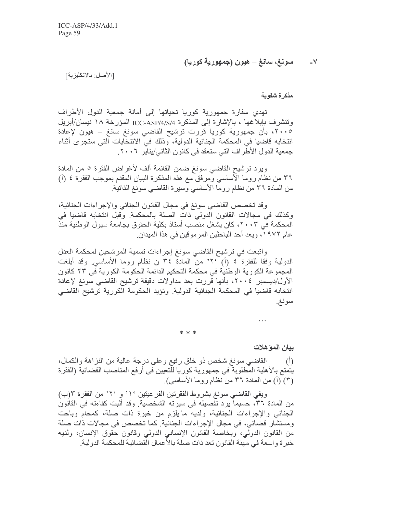سونغ، سانغ \_ هيون (جمهورية كوريا)  $-V$ 

[الأصل: بالانكليزية]

مذكرة شفوية

تهدى سفارة جمهورية كوريا تحياتها إلى أمانة جمعية الدول الأطراف وتتشرف بإبلاغها ، بالإشارة إلى المذكرة ICC-ASP/4/S/4 المؤرخة ١٨ نيسان/أبريل ٢٠٠٥، بأن جمهورية كوريا قررت ترشيح القاضي سونغ سانغ ــ هيون لإعادة انتخابه قاضيا في المحكمة الجنائية الدولية، وذلك في الانتخابات التي ستجرى أثناء جمعية الدول الأطراف التي ستعقد في كانون الثاني/يناير ٢٠٠٦.

ويرد ترشيح القاضي سونغ ضمن القائمة ألف لأغراض الفقرة ٥ من المادة ٣٦ من نظام روما الأساسي ومرفق مع هذه المذكرة البيان المقدم بموجب الفقرة ٤ (أ) من المادة ٣٦ من نظام روما الأساسي وسيرة القاضي سونغ الذاتية.

وقد تخصص القاضي سونغ في مجال القانون الجنائي والإجراءات الجنائية، وكذلك في مجالات القانون الدولي ذات الصلة بالمحكمة وقبل انتخابه قاضيا في المحكمة في ٢٠٠٣، كان يشغل منصب أستاذ بكلية الحقوق بجامعة سيول الوطنية منذ عام ١٩٧٢، ويعد أحد الباحثين المر موقين في هذا الميدان.

واتبعت في ترشيح القاضي سونغ إجراءات تسمية المرشحين لمحكمة العدل الدولية وفقًا للفقرة ٤ (أ) ٢٠' من المادة ٣٤ ن نظام روما الأساسي. وقد أبلغت المجموعة الكورية الوطنية في محكمة التحكيم الدائمة الحكومة الكورية في ٢٣ كانون الأول/ديسمبر ٢٠٠٤، بأنها قررت بعد مداولات دقيقة ترشيح القاضبي سونغ لإعادة انتخابه قاضيا في المحكمة الجنائية الدولية. وتؤيد الحكومة الكورية ترشيح القاضي سونغ

\* \* \*

بيان الموّ هلات

 $\cdot$   $\cdot$   $\cdot$ 

القاضي سونغ شخص ذو خلق رفيع وعلى درجة عالية من النزاهة والكمال،  $(1)$ يتمتع بالأهلية المطلوبة في جمهورية كوريا للتعيين في أرفع المناصب القضائية (الفقرة (٢) (أ) من المادة ٣٦ من نظام روما الأساسي).

ويفي القاضي سونغ بشروط الفقرتين الفرعيتين ١٢ و ٢٠ من الفقرة ٦(ب) من المادة ٣٦، حسبماً يرد تفصيله في سيرته الشخصية. وقد أثبت كفاءته في القانون الجنائي والإجراءات الجنائية، ولديه ما يلزم من خبرة ذات صلة، كمحام وباحث ومستشار قضائي، في مجال الإجراءات الجنائية. كما تخصص في مجالات ذات صلة من القانون الدولي، وبخاصة القانون الإنساني الدولي وقانون حقوق الإنسان، ولديه خبرة واسعة في مهنة القانون تعد ذات صلة بالأعمال القضائية للمحكمة الدولية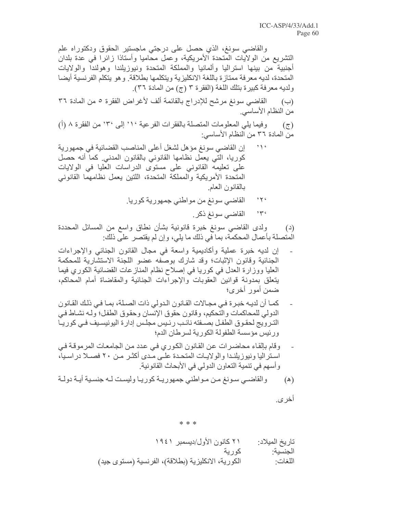والقاضبي سونغ، الذي حصل على درجتي ماجستير الحقوق ودكتوراه علم التشريع من الولايات المتحدة الأمريكية، وعمل محاميا وأستاذا زائرا في عدة بلدان أجنبية من بينها استراليا وألمانيا والمملكة المتحدة ونيوزيلندا وهولندا والولايات المتحدة، لديه معرفة ممتاز ة باللغة الانكليزية ويتكلمها بطلاقة. و هو يتكلم الفرنسية أيضا ولديه معرفة كبيرة بتلك اللغة (الفقرة ٣ (ج) من المادة ٣٦).

القاضي سونغ مرشح للإدراج بالقائمة ألف لأغراض الفقرة ٥ من المادة ٣٦  $(\hookrightarrow)$ من النظام الأساسي

وفيما يلي المعلومات المتصلة بالفقرات الفرعية ١٠ إلى ٣٠ من الفقرة ٨ (أ)  $(\tau)$ من المادة ٣٦ من النظام الأساسي:

- $\rightarrow \gamma$ إن القاضي سونغ مؤهل لشغل أعلى المناصب القضائية في جمهورية كوريا، التي يعمل نظامها القانوني بالقانون المدني كما أنه حصل على تعليمه القانوني على مستوى الدراسات العليا في الولايات المتحدة الأمريكية والمملكة المتحدة، اللتين يعمل نظامهما القانوني بالقانون العام
	- $25$ القاضي سونغ من مواطني جمهورية كوريا.
		- $25$ القاضبي سونغ ذكر ِ

ولدى القاضيي سونغ خبرة قانونية بشأن نطاق واسع من المسائل المحددة  $(4)$ المتصلة بأعمال المحكمة، بما في ذلك ما يلي، وإن لم يقتصر على ذلك:

- إن لديه خبرة عملية وأكاديمية واسعة في مجال القانون الجنائي والإجراءات الْجِنائِية وقانون الإثبات؛ وقد شارك بوصفه عضو اللَّجِنة الإستشارية للمحكمة العليا ووزارة العدل في كوريا في إصلاح نظام المنازعات القضائية الكوري فيما يتعلق بمدونة قوانين العقوبات والإجراءات الجنائية والمقاضاة أمام المحاكم، ضمن أمور أخرى؛
- كمـا أن لديـه خبـرة فـي مجـالات القـانون الـدولي ذات الصـلة، بمـا فـي ذلك القـانون الدولي للمحاكمات والتحكيم، وقانون حقوق الإنسان وحقوق الطفل؛ ولـه نشـاط فـي الترويج لحقوق الطفل بصـفته نائـب رئـيس مجلـس إدارة اليونيسـيف فـي كوريـا ورئيس مؤسسة الطفولة الكورية لسرطان الدم؛
- وقام بالقاء محاضر ات عن القانون الكوري في عدد من الجامعات المرموقة في استر اليا ونيوزيلندا والولايات المتحدة على مدى أكثـر مـن ٢٠ فصـلا دراسـيا، وأسهم في تنمية التعاون الدولي في الأبحاث القانونية

أخر *ي*.

 $* * *$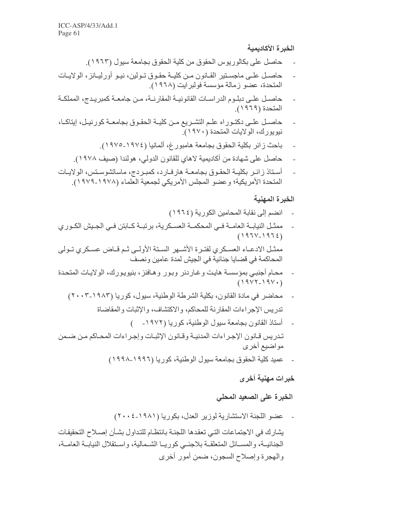# الخبرة الأكاديمية

- حاصل على بكالوريوس الحقوق من كلية الحقوق بجامعة سيول (١٩٦٣).
- حاصـل علـى ماجسـتير القــانون مـن كليــة حقـوق تــولين، نيــو أورليــانز ، الولايــات المتحدة، عضو زمالة مؤسسة فولبرايت (١٩٦٨).
- حاصـل علـى دبلـوم الدر اسـات القانونيــة المقارنــة، مـن جامعــة كمبريـدج، المملكــة المتحدة (١٩٦٩).
- حاصل علـى دكتـوراه علـم التشـريع مـن كليـة الحقـوق بجامعـة كورنيـل، إيتاكـا، نيويورك، الولايات المتحدة (١٩٧٠).
	- باحث زائر بكلية الحقوق بجامعة هامبورغ، ألمانيا (١٩٧٤-١٩٧٥).
	- حاصل على شهادة من أكاديمية لاهاي للقانون الدولي، هولندا (صيف ١٩٧٨).
- أستاذ زائر بكلية الحقوق بجامعة هارفارد، كمبردج، ماساتشوستس، الولايات  $\overline{a}$ المتحدة الأمريكية؛ وعضو المجلس الأمريكي لجمعية العلماء (١٩٧٨-١٩٧٩).

#### الخبرة المهنية

- انضم إلى نقابة المحامين الكورية (١٩٦٤)
- ممثـل النيابــة العامــة فــى المحكمــة العسـكرية، برتبــة كــابتن فــي الجـيش الكـوري  $(1971/1972)$ ممثـل الادعــاء العسـكرى لفتـرة الأشــهر السـتة الأولــي ثـم قــاض عسـكرى تــولى المحاكمة في قضايا جنائية في الجيش لمدة عامين ونصف
- محام أجنبي بمؤسسة هايت وغاردنر وبور وهافنز ، بنيويورك، الولايات المتحدة  $(19YY-19Y)$ 
	- محاضر في مادة القانون، بكلية الشرطة الوطنية، سيول، كوريا (١٩٨٣-٢٠٠٣) تدريس الإجراءات المقارنة للمحاكم، والاكتشاف، والإثبات والمقاضاة
- أستاذ القانون بجامعة سيول الوطنية، كوريا (١٩٧٢- ) تدريس قانون الإجراءات المدنية وقانون الإثبات وإجراءات المحاكم من ضمن
	- مو اضيع أخر ي
		- عميد كلية الحقوق بجامعة سيول الوطنية، كوريا (١٩٩٦-١٩٩٨)

# خبرات مهنية أخرى

# الخبرة على الصعيد المحلي

عضو اللجنة الاستشارية لوزير العدل، بكوريا (١٩٨١-٢٠٠٤) يشارك في الاجتماعات التي تعقدها اللجنة بانتظام للتداول بشأن إصلاح التحقيقات الجنائيــة، والمســائل المنعلقــة بلاجئــي كوريــا الشــمالية، واســتقلال النيابــة العامــة، والهجرة وإصلاح السجون، ضمن أمور أخرى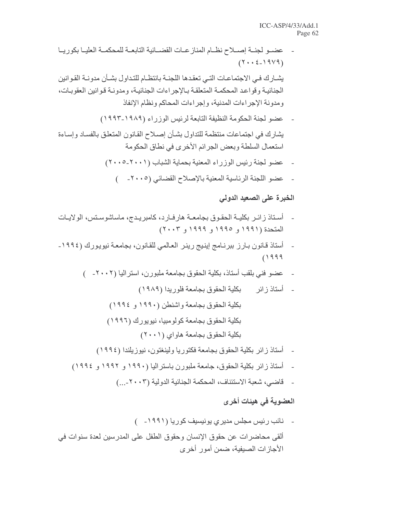- عضـو لجنــة إصــلاح نظــام المناز عــات القضــائية التابعــة للمحكمــة العليــا بكور يــا  $(Y \cdot \cdot \xi - 19V9)$ يشـارك فـي الاجتماعـات التـي تعقدها اللجنــة بـانتظــام للتـداول بشــأن مدونــة القـوانين الجنائية وقواعد المحكمة المتعلقة بالإجراءات الجنائية، ومدونـة قـوانين العقوبـات، ومدونة الإجراءات المدنية، وإجراءات المحاكم ونظام الإنفاذ
	- عضو لجنة الحكومة النظيفة التابعة لرئيس الوزراء (١٩٨٩-١٩٩٣)

يشارك في اجتماعات منتظمة للتداول بشأن إصلاح القانون المتعلق بالفساد وإساءة استعمال السلطة وبعض الجرائم الأخرى في نطاق الحكومة

- عضو لجنة رئيس الوزراء المعنية بحماية الشباب (٢٠٠١-٢٠٠٥)  $\mathbb{R}^2$ 
	- عضو اللجنة الرئاسية المعنية بالإصلاح القضائي (٢٠٠٥- )  $\overline{\phantom{a}}$

# الخبرة على الصعيد الدولي

- أسـتاذ زائـر بكليــة الحقـوق بجامعــة هارفــارد، كامبريـدج، ماساشوسـتس، الولايــات المتحدة (۱۹۹۱ و ۱۹۹۰ و ۱۹۹۹ و ۲۰۰۳)
- أستاذ قانون بـارز ببرنـامج إينيج رينر العـالمي للقـانون، بجامعـة نيويورك (١٩٩٤- $(1999$ 
	- عضو فني بلقب أستاذ، بكلية الحقوق بجامعة ملبورن، استراليا (٢٠٠٢- )
		-

- أستاذ زائر بكلية الحقوق بجامعة فكتوريا ولينغتون، نيوزيلندا (١٩٩٤)
- أستاذ زائر بكلية الحقوق، جامعة ملبورن باستراليا (١٩٩٠ و ١٩٩٢ و ١٩٩٤)
	-

# العضوية في هيئات أخرى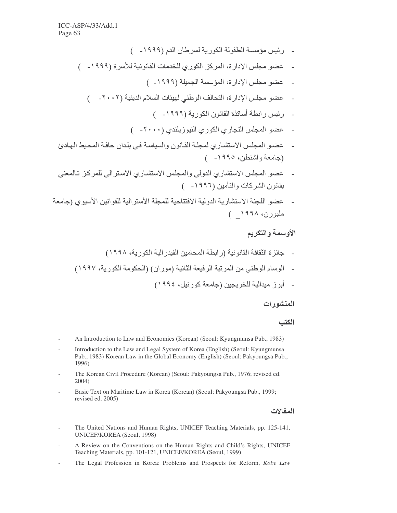- ( ئيس مؤسسة الطفولة الكوربة لسرطان الدم (١٩٩٩- )
- عضو مجلس الإدارة، المركز الكوري للخدمات القانونية للأسرة (١٩٩٩- )
	- عضو مجلس الإدارة، المؤسسة الجميلة (١٩٩٩- )
	- عضو مجلس الإدارة، التحالف الوطني لهيئات السلام الدينية (٢٠٠٢\_ )
		- رئيس رابطة أساتذة القانون الكورية (١٩٩٩- )
		- عضو المجلس التجاري الكوري النيوزيلندي (٢٠٠٠- )
- عضو المجلس الاستشاري لمجلة القانون والسياسة في بلدان حافة المحيط الهادئ (جامعة واشنطن، ١٩٩٥- )
- عضو المجلس الاستشاري الدولي والمجلس الاستشاري الاسترالي للمركز تـالمعنى يقانون الشر كات و التأمين (١٩٩٦ ــــ)
- عضو اللجنة الاستشارية الدولية الافتتاحية للمجلة الأستر الية للقوانين الآسيوي (جامعة ملبورن، ۱۹۹۸ )

# الأوسمة والتكريم

- جائز ة الثقافة القانو نية (ر ابطة المحامين الفيدر الية الكو ر ية، ١٩٩٨)
- الوسام الوطني من المرتبة الرفيعة الثانية (موران) (الحكومة الكورية، ١٩٩٧)
	- أبر ز ميدالية للخر يجين (جامعة كور نيل، ١٩٩٤)

### المنشور ات

#### الكتب

- An Introduction to Law and Economics (Korean) (Seoul: Kyungmunsa Pub., 1983)
- Introduction to the Law and Legal System of Korea (English) (Seoul: Kyungmunsa Pub., 1983) Korean Law in the Global Economy (English) (Seoul: Pakyoungsa Pub., 1996)
- The Korean Civil Procedure (Korean) (Seoul: Pakyoungsa Pub., 1976; revised ed.  $2004)$
- Basic Text on Maritime Law in Korea (Korean) (Seoul; Pakyoungsa Pub., 1999; revised ed. 2005)

#### المقالات

- The United Nations and Human Rights, UNICEF Teaching Materials, pp. 125-141, UNICEF/KOREA (Seoul, 1998)
- A Review on the Conventions on the Human Rights and Child's Rights, UNICEF Teaching Materials, pp. 101-121, UNICEF/KOREA (Seoul, 1999)
- The Legal Profession in Korea: Problems and Prospects for Reform, Kobe Law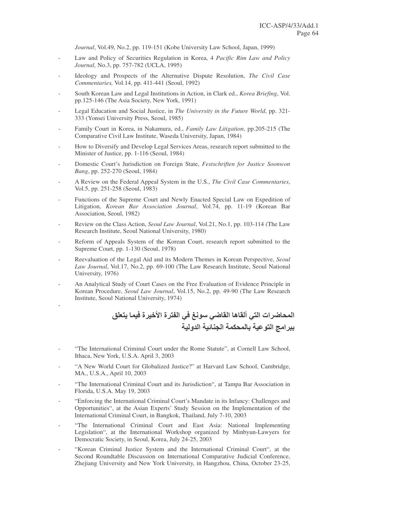*Journal*, Vol.49, No.2, pp. 119-151 (Kobe University Law School, Japan, 1999)

- Law and Policy of Securities Regulation in Korea, 4 *Pacific Rim Law and Policy Journal,* No.3, pp. 757-782 (UCLA, 1995)
- Ideology and Prospects of the Alternative Dispute Resolution, *The Civil Case Commentaries,* Vol.14, pp. 411-441 (Seoul, 1992)
- South Korean Law and Legal Institutions in Action, in Clark ed., *Korea Briefing*, Vol. pp.125-146 (The Asia Society, New York, 1991)
- Legal Education and Social Justice, in *The University in the Future World*, pp. 321- 333 (Yonsei University Press, Seoul, 1985)
- Family Court in Korea, in Nakamura, ed., *Family Law Litigation*, pp.205-215 (The Comparative Civil Law Institute, Waseda University, Japan, 1984)
- How to Diversify and Develop Legal Services Areas, research report submitted to the Minister of Justice, pp. 1-116 (Seoul, 1984)
- Domestic Court's Jurisdiction on Foreign State, *Festschriften for Justice Soonwon Bang*, pp. 252-270 (Seoul, 1984)
- A Review on the Federal Appeal System in the U.S., *The Civil Case Commentaries*, Vol.5, pp. 251-258 (Seoul, 1983)
- Functions of the Supreme Court and Newly Enacted Special Law on Expedition of Litigation, *Korean Bar Association Journal*, Vol.74, pp. 11-19 (Korean Bar Association, Seoul, 1982)
- Review on the Class Action, *Seoul Law Journal*, Vol.21, No.1, pp. 103-114 (The Law Research Institute, Seoul National University, 1980)
- Reform of Appeals System of the Korean Court, research report submitted to the Supreme Court, pp. 1-130 (Seoul, 1978)
- Reevaluation of the Legal Aid and its Modern Themes in Korean Perspective, *Seoul Law Journal*, Vol.17, No.2, pp. 69-100 (The Law Research Institute, Seoul National University, 1976)
- An Analytical Study of Court Cases on the Free Evaluation of Evidence Principle in Korean Procedure, *Seoul Law Journal*, Vol.15, No.2, pp. 49-90 (The Law Research Institute, Seoul National University, 1974)

-

المحاضرات التي ألقاها القاضي سونغ في الفترة الأخيرة فيما يتعلق ـ ببر امج التوعية بالمحكمة الجنانية الدولية

- "The International Criminal Court under the Rome Statute", at Cornell Law School, Ithaca, New York, U.S.A. April 3, 2003
- "A New World Court for Globalized Justice?" at Harvard Law School, Cambridge, MA., U.S.A., April 10, 2003
- "The International Criminal Court and its Jurisdiction", at Tampa Bar Association in Florida, U.S.A. May 19, 2003
- "Enforcing the International Criminal Court's Mandate in its Infancy: Challenges and Opportunities", at the Asian Experts' Study Session on the Implementation of the International Criminal Court, in Bangkok, Thailand, July 7-10, 2003
- "The International Criminal Court and East Asia: National Implementing Legislation", at the International Workshop organized by Minbyun-Lawyers for Democratic Society, in Seoul, Korea, July 24-25, 2003
- "Korean Criminal Justice System and the International Criminal Court", at the Second Roundtable Discussion on International Comparative Judicial Conference, Zhejiang University and New York University, in Hangzhou, China, October 23-25,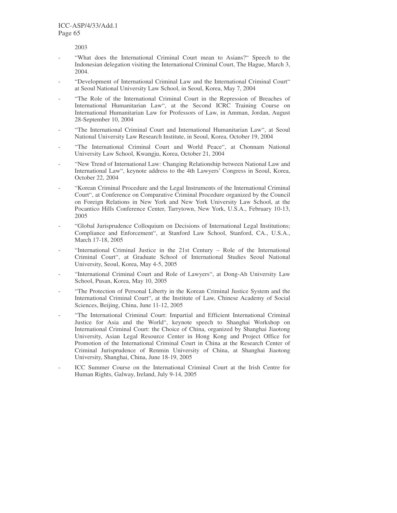2003

- "What does the International Criminal Court mean to Asians?" Speech to the Indonesian delegation visiting the International Criminal Court, The Hague, March 3, 2004.
- "Development of International Criminal Law and the International Criminal Court" at Seoul National University Law School, in Seoul, Korea, May 7, 2004
- "The Role of the International Criminal Court in the Repression of Breaches of International Humanitarian Law", at the Second ICRC Training Course on International Humanitarian Law for Professors of Law, in Amman, Jordan, August 28-September 10, 2004
- "The International Criminal Court and International Humanitarian Law", at Seoul National University Law Research Institute, in Seoul, Korea, October 19, 2004
- "The International Criminal Court and World Peace", at Chonnam National University Law School, Kwangju, Korea, October 21, 2004
- "New Trend of International Law: Changing Relationship between National Law and International Law", keynote address to the 4th Lawyers' Congress in Seoul, Korea, October 22, 2004
- "Korean Criminal Procedure and the Legal Instruments of the International Criminal Court", at Conference on Comparative Criminal Procedure organized by the Council on Foreign Relations in New York and New York University Law School, at the Pocantico Hills Conference Center, Tarrytown, New York, U.S.A., February 10-13, 2005
- "Global Jurisprudence Colloquium on Decisions of International Legal Institutions; Compliance and Enforcement", at Stanford Law School, Stanford, CA., U.S.A., March 17-18, 2005
- "International Criminal Justice in the 21st Century Role of the International Criminal Court", at Graduate School of International Studies Seoul National University, Seoul, Korea, May 4-5, 2005
- "International Criminal Court and Role of Lawyers", at Dong-Ah University Law School, Pusan, Korea, May 10, 2005
- "The Protection of Personal Liberty in the Korean Criminal Justice System and the International Criminal Court", at the Institute of Law, Chinese Academy of Social Sciences, Beijing, China, June 11-12, 2005
- "The International Criminal Court: Impartial and Efficient International Criminal Justice for Asia and the World", keynote speech to Shanghai Workshop on International Criminal Court: the Choice of China, organized by Shanghai Jiaotong University, Asian Legal Resource Center in Hong Kong and Project Office for Promotion of the International Criminal Court in China at the Research Center of Criminal Jurisprudence of Renmin University of China, at Shanghai Jiaotong University, Shanghai, China, June 18-19, 2005
- ICC Summer Course on the International Criminal Court at the Irish Centre for Human Rights, Galway, Ireland, July 9-14, 2005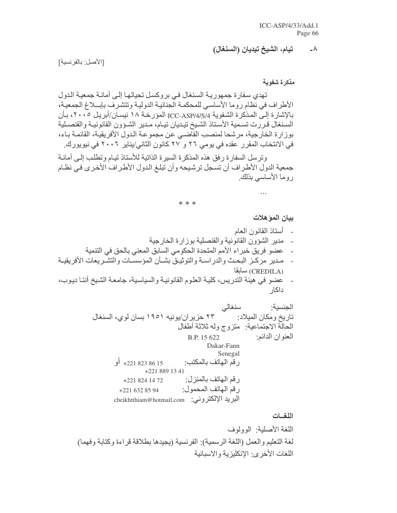#### تيام، الشيخ تيديان (السنغال)

[الأصل: بالفرنسية]

مذكرة شفوية

تهدي سفارة جمهورية السنغال في بروكسل تحياتها إلى أمانـة جمعيـة الدول الأطراف في نظام روما الأساسي للمحكمة الجنائية الدولية وتتشرف بإبلاغ الجمعية، بالإشارة إلى المذكرة الشفوية ICC-ASP/4/S/4 المؤرخة ١٨ نيسـان/أبريل ٢٠٠٥، بـأن السنغال قررت تسمية الأسناذ الشيخ تيديان تيام، مدير الشؤون القانونية والقنصلية بوزارة الخارجية، مرشحا لمنصب القاضي عن مجموعة الدول الأفريقية، القائمة بـاء، في الانتخاب المقرر عقده في يومي ٢٦ و ٢٧ كانون الثاني/يناير ٢٠٠٦ في نيويورك.

وترسل السفارة رفق هذه المذكرة السيرة الذاتية للأستاذ تيام وتطلب إلى أمانـة جمعية الدول الأطر اف أن تسجل ترشيحه و أن تبلغ الدول الأطر اف الأخر ي في نظام روما الأساسي بذلك

#### \* \* \*

بيان الموّ هلات

أستاذ المقانون المعام

 $\ddotsc$ 

- مدير الشؤون القانونية والقنصلية بوزارة الخارجية  $\overline{\phantom{a}}$
- عضو فريق خبراء الأمم المتحدة الحكومي السابق المعنى بالحق في التنمية  $\overline{a}$
- مدير مركـز البحث والدراسـة والتوثيـق بشـأن المؤسسـات والتشـريعات الأفريقيـة  $\sim$ (CREDILA) سابقا
- عضو في هيئة التدريس، كلية العلوم القانونية والسياسية، جامعة الشيخ أنتـا ديوب، داكار

اللغسات

 $-\lambda$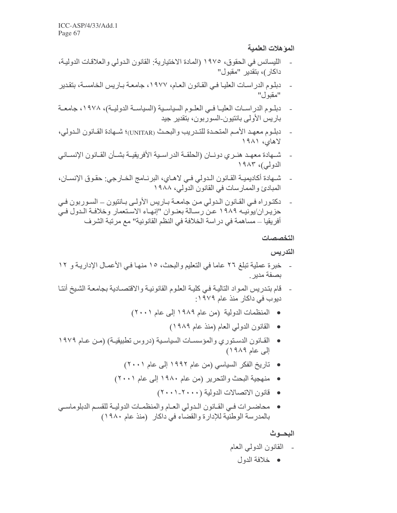المو هلات العلمية

- الليسانس في الحقوق، ١٩٧٥ (المادة الاختيارية: القانون الدولي والعلاقات الدولية، داكار)، بتقدير "مقبول"
- دبلوم الدراسات العليـا فـي القـانون العـام، ١٩٧٧، جامعـة بـاريس الخامسـة، بنقدير  $\overline{\phantom{a}}$ "مقبو ل"
- دبلـوم الدراسـات العليــا فــي العلـوم السياسـية (السياســة الدوليــة)، ١٩٧٨، جامعــة باريس الأولى بانتيون-السوربون، بتقدير جيد
- دبلوم معهد الأمم المتحدة للتدريب والبحث (UNITAR)؛ شـهادة القـانون الـدولي،  $\mathcal{L}_{\mathcal{A}}$ لاهای، ۱۹۸۱
- شـهادة معهـد هنـري دونــان (الحلقــة الدراسـية الأفريقيــة بشــأن القــانون الإنســاني الدولي)، ۱۹۸۳
- شهادة أكاديميـة القـانون الـدولي فـي لاهـاي، البرنـامج الخـارجي: حقـوق الإنسـان، المبادئ والممارسات في القانون الدولي، ١٩٨٨
- دكتوراه في القانون الدولي من جامعة باريس الأولى بانتيون السوربون في  $\overline{a}$ حزيـران/يونيـه ١٩٨٩ عـن رسـالة بعنـوان "إنهـاء الاسـنعمار وخلافـة الـدول فـي أفريقيا ـــ مساهمة في در اسة الخلافة في النظم القانونية'' مع مرتبة الشر ف

التخصصات

التدريس

- خبر ة عملية تبلغ ٢٦ عاما في التعليم والبحث، ١٥ منهـا فـي الأعمـال الإداريـة و ١٢ بصفة مدبر
- قام بتدريس المواد التالية في كلية العلوم القانونية والاقتصـادية بجامعة الشيخ أنتـا  $\mathcal{L}_{\mathcal{A}}$ دیوب فی داکار منذ عام ۱۹۷۹:
	- المنظمات الدولية (من عام ١٩٨٩ إلى عام ٢٠٠١)
		- القانون الدولي العام (منذ عام ١٩٨٩)
- القـانون الدسـتوري والمؤسسـات السياسـية (دروس تطبيقيـة) (مـن عـام ١٩٧٩ إلى عام ١٩٨٩)
	- تاريخ الفكر السياسي (من عام ١٩٩٢ إلى عام ٢٠٠١)
	- منهجية البحث والتحرير (من عام ١٩٨٠ إلى عام ٢٠٠١)
		- قانون الاتصالات الدولية (٢٠٠٠-٢٠٠١)
- محاضـرات فـي القـانون الـدولي العـام والمنظمـات الدوليـة للقسـم الدبلوماسـي بالمدرسة الوطنية للإدارة والقضاء في داكار (منذ عام ١٩٨٠)

# البحسوث

- ۔ القانون الدولمي العام
	- خلافة الدول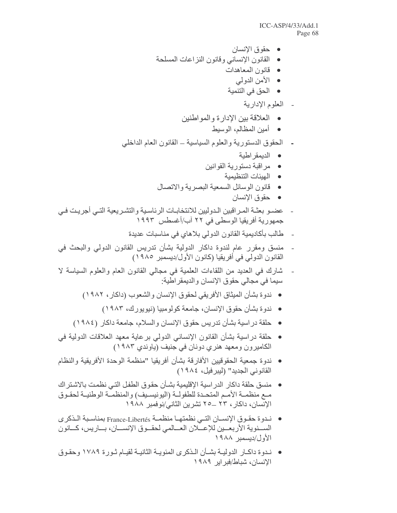- حقوق الإنسان
- القانون الإنساني وقانون النزاعات المسلحة
	- قانون المعاهدات
		- الأمن الدولمي
		- الحق في التنمية
			- العلوم الإدارية
	- العلاقة بين الإدارة والمواطنين
		- أمين المظالم، الوسيط
- الحقوق الدستورية والعلوم السياسية ـ القانون العام الداخلي
	- الديمقر اطية
	- مراقبة دستورية القوانين
		- الهيئات التنظيمية
	- قانون الوسائل السمعية البصرية والاتصال
		- حقوق الإنسان
- عضـو بعثـة المـراقبين الـدوليين للانتخابـات الرئاسـية والتشـريعية التـى أجريـت فـي جمهورية أفريقيا الوسطى في ٢٢ آب/أغسطس ١٩٩٣
	- طالب بأكاديمية القانون الدولي بلاهاي في مناسبات عديدة
- منسق ومقرر عام لندوة داكار الدولية بشأن تدريس القانون الدولي والبحث في  $\overline{a}$ القانون الدولي في أفريقيا (كانون الأول/ديسمبر\_ ١٩٨٥)
- شارك في العديد من اللقاءات العلمية في مجالي القانون العام والعلوم السياسة لا  $\overline{a}$ سيما في مجالي حقوق الإنسان والديمقر اطبة
	- ندوة بشأن الميثاق الأفريقي لحقوق الإنسان والشعوب (داكار ، ١٩٨٢)
		- ندوة بشأن حقوق الإنسان، جامعة كولومبيا (نيويورك، ١٩٨٣)
	- حلقة دراسية بشأن تدريس حقوق الإنسان والسلام، جامعة داكار (١٩٨٤)
- حلقة دراسية بشأن القانون الإنساني الدولي برعاية معهد العلاقات الدولية في الكاميرون ومعهد هنري دونان في جنيف (باوندي ١٩٨٣)
- ندوة جمعية الحقوقيين الأفارقة بشأن أفريقيا "منظمة الوحدة الأفريقية والنظام القانوني الجديد" (ليبر فيل، ١٩٨٤)
- منسق حلقة داكار الدر اسية الإقليمية بشـأن حقوق الطفل التـى نظمت بالاشـتر اك مـع منظمـة الأمـم المتحـدة للطفولـة (اليونيسـيف) والمنظمـة الوطنيـة لحقـوق الإنسان، داكار ، ٢٣ ــ70 تشرين الثاني/نوفمبر ١٩٨٨
- ندوة حقوق الإنسـان التـى نظمتهـا منظمـة France-Libertés بمناسـبة الـذكرى الســنوية الأربعــين للإعــّلان العــالمي لحقــوق الإنســان، بــاريس، كــانون الأول/ديسمبر ١٩٨٨
- نـدوة داكـار الدوليــة بشــأن الـذكر ي المئويــة الثانيــة لقيــام ثـور ة ١٧٨٩ وحقـوق الإنسان، شباط/فبر اير ١٩٨٩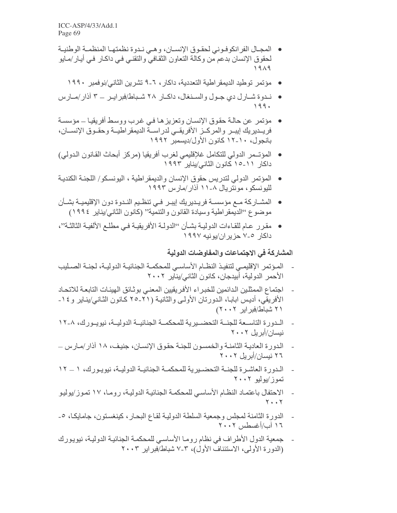- المجـال الفرانكوفـوني لحقـوق الإنسـان، وهـي نـدوة نظمتهـا المنظمـة الوطنيـة لحقوق الإنسان بدعم من وكالة النعاون الثقافي والنقني فيي داكار في أيار/مايو ۱۹۸۹
	- مؤتمر توطيد الديمقر اطية التعددية، داكار ، ٦-٩ تشرين الثاني/نوفمبر ١٩٩٠
- نحوة شــارل دي جـول والســنغال، داكــار ٢٨ شــباط/فبر ايــر ــ ٣ آذار/مــارس 199.
- مؤتمر ٍ عن حالـة حقوق الإنسـان وتعزيز هـا فـي غرب ووسـط أفريقيـا ــ مؤسسـة فريــدير يك إيبــر والمركــز الأفريقــي لدر اســـة الديمقر اطيـــة وحقــوق الإنســـان، بانجول، ١٠-١٢ كانون الأول/ديسمبر ١٩٩٢
- المؤتــمر الدولي للتكامل غلإقليمي لغرب أفريقيا (مركز أبحاث القانون الدولي) داكار ١١-١٥ كانون الثاني/يناير ١٩٩٢
- المؤتمر الدولي لتدر بس حقوق الإنسان والديمقر اطية ، اليونسكو / اللجنـة الكنديـة لليونسكو، مونتريال ٨-١١ آذار/مارس ١٩٩٣
- المشــاركة مــع مؤسســة فريــديريك إيبــر فــى تنظـيم النــدوة دون الإقليميــة بشــأن موضوع ''الديمقر اطية وسيادة القانون والتنمية'' (كانون الثاني/يناير ١٩٩٤)
- مقرر عام للقاءات الدوليـة بشـأن ''الدولـة الأفريقيـة فـي مطلـع الألفيـة الثالثـة''، داکار ۷-۷ حز بر ان/بو نبه ۱۹۹۷

المشاركة في الاجتماعات والمفاوضات الدولية

- المـؤتمر الإقليمـي لتنفيـذ النظـام الأساسـي للمحكمـة الجنائيـة الدوليـة، لجنـة الصـليب الأحمر الدولية، أبيدجان، كانون الثاني/ينآير ٢٠٠٢
- اجتماع الممثلين الدائمين للخبر اء الأفر يقيين المعنى بوثائق الهيئات التابعة للاتحاد الأفريقي، أديس ابابـا، الدورتان الأولـى والثانيـة (٢١-٢٥ كـانون الثـانـي/ينـاير و ١٤-۲۱ شباط/فبر ایر ۲۰۰۲)
- الـدورة التاسـعة للجنــة التحضــيرية للمحكمــة الجنائيــة الدوليــة، نيويــورك، ٨-١٢ نېسان/اُبر بل ۲۰۰۲
- الدورة العادية الثامنة والخمسون للجنة حقوق الإنسان، جنيف، ١٨ آذار/مارس ــ ۲٦ نیسان/أبر پل ۲۰۰۲
- الـدورة العاشـرة للجنـــة التحضــيرية للمحكمــة الجنائيــة الدوليــة، نيويـورك، ١ ـــ ١٢ تموز ⁄يوليو ٢٠٠٢
- الاحتفال باعتماد النظام الأساسي للمحكمة الجنائية الدولية، روما، ١٧ تموز/يوليو  $Y \cdot Y$
- الدورة الثامنة لمجلس وجمعية السلطة الدولية لقاع البحار ، كينغستون، جامايكـا، ٥-١٦ آب/أغسطس ٢٠٠٢
- جمعية الدول الأطراف في نظام روما الأساسي للمحكمة الجنائية الدولية، نيويورك (الدورة الأولى، الاستئناف الأول)، ٣-٧ شباط/فبر ابر ٢٠٠٣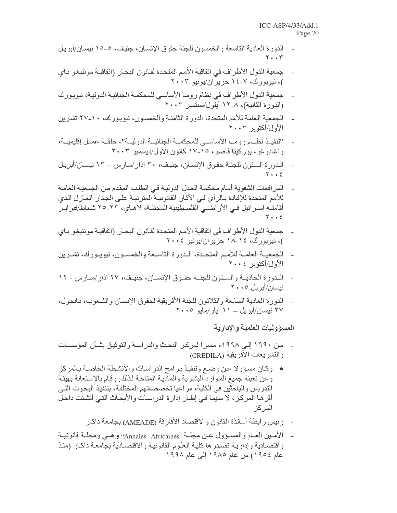- الدورة العادية التاسعة والخمسون للجنة حقوق الإنسان، جنيف، ٥-١٥ نيسان/أبريل  $Y \cdot \cdot Y$
- جمعية الدول الأطراف في اتفاقية الأمم المتحدة لقانون البحار (اتفاقيـة مونتيغو بـاي )، نيويورك، ٧-١٤ حزيران/يونيو ٢٠٠٣
- جمعية الدول الأطراف في نظام روما الأساسي للمحكمة الجنائية الدولية، نيويورك (الدورة الثانية)، ٨-١٢ أيلول/سبتمبر ٢٠٠٣
- الجمعية العامة للأمم المتحدة، الدورة الثامنة والخمسون، نيويورك، ١٠-٢٧ تشرين الأول/أكتوبر ٢٠٠٣
- "تنفيـذ نظـام رومـا الأساسـى للمحكمــة الجنائيــة الدوليــة"، حلقــة عمــل إقليميــة، واغادوغو، بوركينا فاصو، ١٥-١٧ كانون الأول/ديسمبر ٢٠٠٣
- الدوررة السنون للجنــة حقـوق الإنســان، جنيـف، ٣٠ آذار /مــار س ـــ ١٣ نيســان/أبريـل  $\overline{\phantom{a}}$  $Y \cdot Y$
- المرافعات الشفوية أمـام محكمـة العدل الدوليـة فـي الطلب المقدم مـن الجمعيـة العامـة للأمم المتحدة للإفادة بـالر أي فـي الآثـار القانونيـة المترتبـة علـي الجدار العـازل الذي أقامتُه اسـرائيل فـى الأراضــى الفلسـطينية المحتلـة، لاهـاي، ٢٣-٢٥ شـباط/فبرايـر  $Y \cdot \cdot 2$
- جمعية الدول الأطراف في اتفاقية الأمم المتحدة لقانون البحار (اتفاقيـة مونتيغو بـاي )، نيويورك، ١٤-١٨ حزير ان/يونيو ٢٠٠٤
- الجمعيــة العامــة للأمــم المتحـدة، الــدورة التاســعة والخمسـون، نيويـورك، تشــرين  $\overline{a}$ الأول/أكتوبر ٢٠٠٤
- الـدورة الحاديــة والسـتون للجنــة حقــوق الإنســان، جنيــف، ٢٧ آذار/مــارس ١٢ نبسان/أبر بل ۲۰۰۰
- الدورة العادية السابعة والثلاثون للجنة الأفريقية لحقوق الإنسان والشعوب، بـانجول، ۲۷ نیسان/اْبِر بِل ـــ ۱۱ ایار /مایو ۲۰۰۰

المسووليات العلمية والإدارية

- من ١٩٩٠ إلى ١٩٩٨، مديرا لمركز البحث والدراسة والتوثيق بشأن المؤسسات والتشريعات الأفريقية (CREDILA)
- وكان مسؤولا عن وضع وتنفيذ برامج الدراسات والأنشطة الخاصىة بالمركز وعن تعبئة جميع الموارد البشرية والمادية المتاحة لذلك وقام بالاستعانة بهيئة التدريس والباحثين في الكلية، مراعيا تخصصاتهم المختلفة، بتنفيذ البحوث التي أقر ها المركز ، لا سيما في إطار إدارة الدراسات والأبحاث التي أنشئت داخل المر كز
	- ر ئيس ر ابطـة أساتذة القانون و الاقتصـاد الأفار قـة (AMEADE) بجامعة داكار
- الأمـين العـام والمسـؤول عـن مجلّـة "Annales Africaines" وهـي ومجلّـة قانونيــة واقتصـادية وإداريـة تصدر ها كليـة العلوم القانونيـة والاقتصـادية بجامعـة داكـار (منذ عام ١٩٥٤) من عام ١٩٨٥ إلى عام ١٩٩٨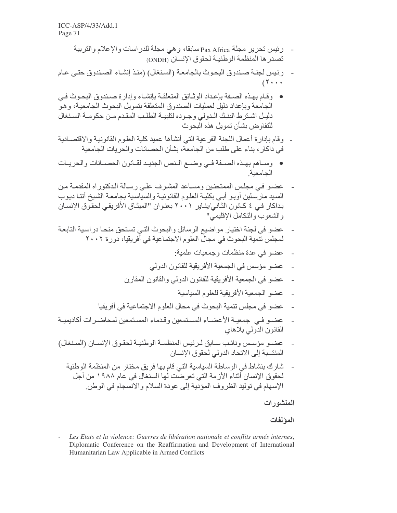- رئيس تحرير مجلة Pax Africa سابقا، و هي مجلة للدراسات والإعلام والتربية تصدر ها المنظمة الوطنيـة لحقوق الإنسان (ONDH)
- رِ نِيسٍ لجنةٍ صندوق البحوث بالجامعة (السنغال) (منذ إنشاء الصندوق حتى عام  $\sim$  $(1 \cdot \cdot \cdot$
- وقيام بهذه الصيغة بإعداد الوثبائق المتعلقية بإنشياء وإدار ة صيندوق البحوث في الجامعة وبإعداد دليل لعمليات الصندوق المتعلقة بتمويل البحوث الجامعية، وهوَّ دليل اشترط البنك الدولي وجوده لتلبية الطلب المقدم من حكومة السنغال للتفاو ض بشأن تمويل هذه البحوث
- وقام بإدارة أعمال اللجنة الفرعية التي أنشأها عميد كلية العلوم القانونية والاقتصـادية في داكار ، بناء على طلب من الجامعة، بشأن الحصانات و الحريات الجامعية
- وساهم بهذه الصمفة في وضمع النص الجديد لقانون الحصمانات والحريات الحامعنة
- عضبو في مجلس الممتحنين ومساعد المشرف على رسالة الدكتوراه المقدمة من السيد مارسلين أوبو أبي بكلية العلوم القانونية والسياسية بجامعة الشيخ أنتـا ديوب بداكار في ٤ كانون الثاني/يناير ٢٠٠١ بعنوان "الميثاق الأفريقي لحقوق الإنسان والشعوب والنكامل الإقليمي"
- عضو في لجنة اختيار مواضيع الرسائل والبحوث التي تستحق منحا دراسية التابعة لمجلس تنمية البحوث في مجال العلوم الاجتماعية في أفريقيا، دور ة ٢٠٠٢
	- عضو في عدة منظمات وجمعيات علمية:
	- عضو مؤسس في الجمعية الأفريقية للقانون الدولي
	- عضو في الجمعية الأفر يقية للقانون الدولي و القانون المقار ن
		- عضو الجمعية الأفر يقية للعلوم السياسية  $\sim$   $\sim$
	- عضو في مجلس تنمية البحوث في محال العلوم الاجتماعية في أفريقيا
- عضـو فـي جمعيـة الأعضـاء المستمعين وقدماء المستمعين لمحاضـرات أكاديميـة  $\overline{a}$ القانون الدولي بلاهاي
- عضبو مؤسس ونائب سابق لرئيس المنظمة الوطنية لحقوق الإنسان (السنغال) المنتسبة إلى الاتحاد الدولي لحقوق الانسان
	- شارك بنشاط في الوساطة السياسية التي قام بها فريق مختار من المنظمة الوطنية لحقوق الإنسان َّأَتْناء الأز مة التي تعريضَت لها السنغال في عام ١٩٨٨ من أجل الإسهام في توليد الظروف المؤدية إلى عودة السلام والانسجام في الوطن.

### المنشور ات

### المؤلفات

Les Etats et la violence: Guerres de libération nationale et conflits armés internes, Diplomatic Conference on the Reaffirmation and Development of International Humanitarian Law Applicable in Armed Conflicts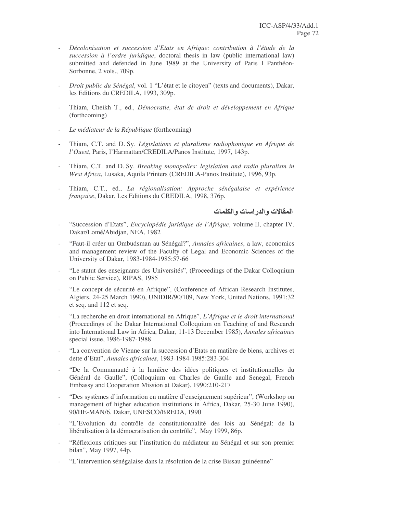- *Décolonisation et succession d'Etats en Afrique: contribution à l'étude de la succession à l'ordre juridique*, doctoral thesis in law (public international law) submitted and defended in June 1989 at the University of Paris I Panthéon-Sorbonne, 2 vols., 709p.
- *Droit public du Sénégal*, vol. 1 "L'état et le citoyen" (texts and documents), Dakar, les Editions du CREDILA, 1993, 309p.
- Thiam, Cheikh T., ed., *Démocratie, état de droit et développement en Afrique* (forthcoming)
- *Le médiateur de la République* (forthcoming)
- Thiam, C.T. and D. Sy. *Législations et pluralisme radiophonique en Afrique de l'Ouest*, Paris, l'Harmattan/CREDILA/Panos Institute, 1997, 143p.
- Thiam, C.T. and D. Sy. *Breaking monopolies: legislation and radio pluralism in West Africa*, Lusaka, Aquila Printers (CREDILA-Panos Institute), 1996, 93p.
- Thiam, C.T., ed., *La régionalisation: Approche sénégalaise et expérience française*, Dakar, Les Editions du CREDILA, 1998, 376p.

المقالات و الدر اسات و الكلمات

- "Succession d'Etats", *Encyclopédie juridique de l'Afrique*, volume II, chapter IV. Dakar/Lomé/Abidjan, NEA, 1982
- "Faut-il créer un Ombudsman au Sénégal?", *Annales africaines*, a law, economics and management review of the Faculty of Legal and Economic Sciences of the University of Dakar, 1983-1984-1985:57-66
- "Le statut des enseignants des Universités", (Proceedings of the Dakar Colloquium on Public Service), RIPAS, 1985
- "Le concept de sécurité en Afrique", (Conference of African Research Institutes, Algiers, 24-25 March 1990), UNIDIR/90/109, New York, United Nations, 1991:32 et seq. and 112 et seq.
- "La recherche en droit international en Afrique", *L'Afrique et le droit international* (Proceedings of the Dakar International Colloquium on Teaching of and Research into International Law in Africa, Dakar, 11-13 December 1985), *Annales africaines* special issue, 1986-1987-1988
- "La convention de Vienne sur la succession d'Etats en matière de biens, archives et dette d'Etat", *Annales africaines*, 1983-1984-1985:283-304
- "De la Communauté à la lumière des idées politiques et institutionnelles du Général de Gaulle", (Colloquium on Charles de Gaulle and Senegal, French Embassy and Cooperation Mission at Dakar). 1990:210-217
- "Des systèmes d'information en matière d'enseignement supérieur", (Workshop on management of higher education institutions in Africa, Dakar, 25-30 June 1990), 90/HE-MAN/6. Dakar, UNESCO/BREDA, 1990
- "L'Evolution du contrôle de constitutionnalité des lois au Sénégal: de la libéralisation à la démocratisation du contrôle", May 1999, 86p.
- "Réflexions critiques sur l'institution du médiateur au Sénégal et sur son premier bilan", May 1997, 44p.
- "L'intervention sénégalaise dans la résolution de la crise Bissau guinéenne"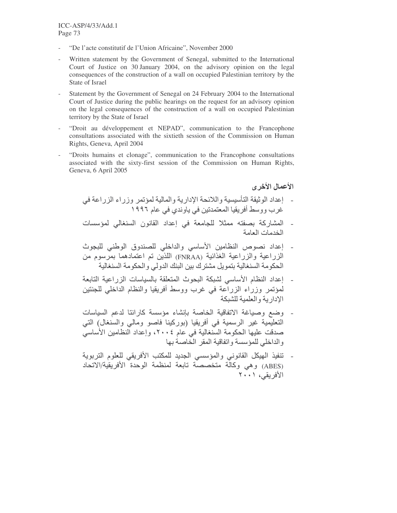- "De l'acte constitutif de l'Union Africaine". November 2000
- Written statement by the Government of Senegal, submitted to the International Court of Justice on 30 January 2004, on the advisory opinion on the legal consequences of the construction of a wall on occupied Palestinian territory by the State of Israel
- Statement by the Government of Senegal on 24 February 2004 to the International Court of Justice during the public hearings on the request for an advisory opinion on the legal consequences of the construction of a wall on occupied Palestinian territory by the State of Israel
- "Droit au développement et NEPAD", communication to the Francophone consultations associated with the sixtieth session of the Commission on Human Rights, Geneva, April 2004
- "Droits humains et clonage", communication to the Francophone consultations associated with the sixty-first session of the Commission on Human Rights, Geneva, 6 April 2005

#### الأعمال الأخر ي

- إعداد الوثيقة التأسيسية واللائحة الإدارية والمالية لمؤتمر وزراء الزراعة في .<br>غر ب و وسط أفريقيا المعتمدتين في ياوندي في عام ١٩٩٦.
- المشاركة بصفته ممثلا للجامعة في إعداد القانون السنغالي لمؤسسات الخدمات العامة
- إعداد نصوص النظامين الأساسي والداخلي للصندوق الوطني للبجوث الزراعية والزراعية الغذائية (FNRAA) اللذين تم اعتمادهما بمرسوم من الحكو مة السنغالبة بنمو بل مشتر ك ببن البنك الدو لي و الحكو مة السنغالبة
- إعداد النظام الأساسي لشبكة البحوث المتعلقة بالسباسات الزر اعبة التابعة لمؤتمر وزراء الزرآعة في غرب ووسط أفريقيا والنظام الداخلي للجنتين الادار بة و العلمبة للشبكة
- وضع وصباغة الاتفاقية الخاصة بإنشاء مؤسسة كارانتا لدعم السباسات التعليمية غير الرسمية في أفريقيا (بوركينا فاصو ومالي والسنغال) التي صدقت عليها الحكومة السَّنغالية في عام ٢٠٠٤، وإعداد النظامين الأساسي والداخلي للمؤسسة واتفاقية المقر الخاصبة بها
- تنفيذ الهيكل القانوني والمؤسسي الجديد للمكتب الأفريقي للعلوم التربوية (ABES) وهي وكالَّة متخصصة تابعة لمنظمة الوحدة الأفريقية/الآتحاد الأفريقي، ٢٠٠١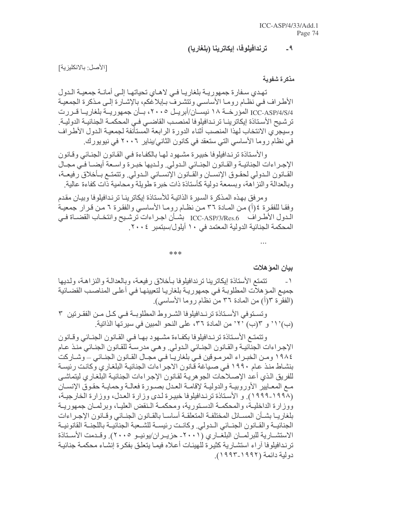#### ترندافيلوفا، إيكاترينا (بلغاريا)  $-9$

[الأصل: بالانكليزية]

مذكر ة شفوية

تهدي سفارة جمهوريـة بلغاريـا فـي لاهـاي تحياتهـا إلـي أمانـة جمعيـة الـدول الأطراف في نظام روما الأساسي وتتشرف بإبلاغكم، بالإشارة إلى مذكرة الجمعية ICC-ASP/4/S/4 المؤرخــة ١٨ نيســان/أبريــل ٢٠٠٥، بــأن جمهوريــة بلغاريــا قــررت ترشيح الأستاذة إيكاترينــا ترنـدافيلوفا لمنصـب القاضــي فـي المحكمــة الجنائيــة الدوليــة ِ وسيجرى الانتخاب لهذا المنصب أثناء الدورة الرابعة المستأنفة لجمعية الدول الأطراف في نظام روما الأساسي التي ستعقد في كانون الثاني/يناير ٢٠٠٦ في نيويورك.

و الأستاذة تر نـدافيلو فا خبيـر ة مشـهو د لـهـا بـالكفـاءة فـي القـانو ن الـجنـائـي و قـانو ن الإجراءات الجنائيـة والقـانون الجنـائي الـدولي ولـديها خبـرة واسـعة أيضـا فـي مجـال القـانون الـدولي لحقـوق الإنسـان والقـانون الإنسـاني الـدولي. ونتمتـع بـأخلاق رفيعـة، وبالعدالة والنز آهة، وبسمعة دولية كأسناذة ذات خبرة طويلة ومحامية ذات كفاءة عالية

ومرفق بهذه المذكرة السيرة الذاتية للأستاذة إيكاترينا ترندافيلوفا وبيان مقدم وفقـا للفقرة ٤(أ) مـن المـادة ٣٦ مـن نظـام رومـا الأساسـي والفقرة ٦ مـن قرار جمعيـة الدول الأطراف ICC-ASP/3/Res.6 بشـأن اجـراءات ترشـيح وانتخـاب القضـاة فـي المحكمة الجنائية الدولية المعتمد في ١٠ أيلول/سبتمبر ٢٠٠٤.

\*\*\*

بيان المو هلات

تتمتع الأستاذة إيكاترينا ترندافيلوفا بأخلاق رفيعة، وبالعدالة والنزاهة، ولديها  $-1$ جميع المؤهلات المطلوبـة فـي جمهوريـة بلغاريـا لتعيينهـا فـي أعلـي المناصـب القضـائية (الفقرة ٣(أ) من المادة ٣٦ من نظام روما الأساسي).

وتستوفي الأستاذة ترندافيلوفا الشروط المطلوبة في كل من الفقرتين ٣ (ب)' ` و ٣(ب) ' ٢' من المادة ٣٦، على النحو المبين في سيرتها الذاتية.

وتتمتع الأستاذة ترندافيلوفا بكفاءة مشهود بها فيي القانون الجنائي وقانون الإجراءات الجنائية والقانون الجنائي الدولي وهي مدرسة للقانون الجنائي منذ عام ١٩٨٤ ومن الخبراء المرموقين في بلغاريـا فـي مجـال القـانون الجنـائي ــ وشـاركت بنشاط منذ عام ١٩٩٠ في صياغة قانون الاجراءات الجنائية البلغاري وكانت رئيسة للفريق الذى أعد الإصلاحات الجوهرية لقانون الإجراءات الجنائية البلغاري ليتماشى مع المعايير الأوروبيـة والدوليـة لإقامـة العدل بصـورة فعالـة وحمايـة حقوق الإنسـان (١٩٩٨-١٩٩٩). و الأستاذة ترندافيلوفا خبيرة لدى وزارة العدل، ووزارة الخارجيــة، ووزارة الداخليـة، والمحكمـة الدسـتورية، ومحكمـة الـنقض العليـا، وبرلمـان جمهوريـة بلغاريـا بشـأن المسـائل المختلفـة المتعلقـة أساسـا بالقـانون الجنـائي وقـانون الإجـراءات الجنائيـة والقـانون الجنـائي الـدولي وكانـت رئيسـة للشـعبة الجنائيـة باللجنــة القانونيـة الاستشــارية للبرلمــان البلغــاري (٢٠٠١- حزيــران/يونيــو ٢٠٠٥). وقــدمت الأســتاذة ترندافيلوفا آراء استشارية كثيرة للهيئات أعلاه فيما يتعلق بفكرة إنشاء محكمة جنائية دولية دائمة (١٩٩٢-١٩٩٣).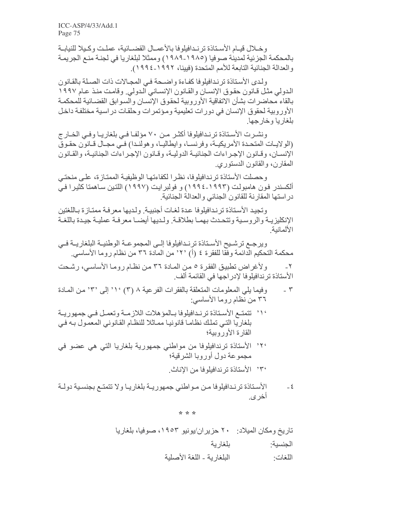وخلال فيام الأسناذة ترندافيلوفا بالأعمىال القضبائية، عملت وكبلا للنيابية بالمحكمة الجزئية لمدينة صوفيا (١٩٨٥-١٩٨٩) وممثلا لبلغاريا في لجنـة منـع الجريمـة و العدالة الجنائية التابعة للأمم المتحدة (فيينا، ١٩٩٢-١٩٩٤).

ولدى الأستاذة ترندافيلوفا كفاءة واضحة في المجالات ذات الصلة بالقانون الدولي مثل قـانون حقوق الإنسـان والقـانون الإنسـاني الـدولي. وقامت منـذ عـام ١٩٩٧ بالقاء محاضرات بشأن الاتفاقية الأوروبية لحقوق الإنسان والسوابق القضائية للمحكمة الأوروبية لحقوق الإنسان في دورات تعليمية ومؤتمرات وحلقات دراسية مختلفة داخل بلغار با وخار جها

ونشرت الأستاذة ترندافيلوفا أكثر من ٧٠ مؤلفا في بلغاريا وفي الخارج (الولايــات المتحـدة الأمريكيــة، وفرنســا، وايطـاليــا، وهولنــدا) فــى مجــال قــانون حقـوق الإنســان، وقــانون الإجـراءات الجنائيــة الدوليــة، وقــانون الإجـراءات الـجنائيــة، والقــانون المقارن، والقانون الدستوري

وحصلت الأستاذة ترندافيلوفا، نظر الكفاءتها الوظيفية الممتازة، على منحتى ألكسندر فون هامبولت (١٩٩٣-١٩٩٤) و فولبرايت (١٩٩٧) اللتين سـاهمنا كثيرا فـي در استها المقارنة للقانون الجنائي والعدالة الجنائية

وتجيد الأستاذة تر ندافيلوفا عدة لغات أجنبية. ولديها معرفة ممتازة باللغتين الإنكليزيية والروسية وتتحدث بهما بطلاقة ولديها أيضا معرفة عملية جيدة باللغة الألمانية

ويرجع ترشيح الأستاذة ترنـدافيلوفا إلـى المجموعـة الوطنيـة البلغاريــة فـي محكمة التحكيم الدائمة وفقا للفقرة ٤ (أ) ٢٠' من المادة ٣٦ من نظام روما الأساسي.

ولأغراض تطبيق الفقرة ٥ من المادة ٣٦ من نظام روما الأساسى، رشحت  $-\tau$ الأستاذة ترندافيلوفا لإدراجها في القائمة ألف ِ

- وفيما يلي المعلومات المتعلقة بالفقرات الفرعية ٨ (٣) ١٠ إلى ٣٠ من المادة  $\mathsf{r}$ ٣٦ من نظام روما الأساسي:
- ٬۱٬ تتمتـع الأسـتاذة تر نـدافيلوفا بـالمؤهلات اللازمـة وتعمـل فـى جمهوريـة بلغاريا التي تملك نظاما قانونيا مماثلا للنظام القانوني المعمول بـه فـي القارة الأوروبية؛
- ٬۲٬ الأستاذة ترندافيلوفا من مواطني جمهورية بلغاريا التي هي عضو في مجمو عة دو ل أو ر و بـا الشر قية؛ °۳، الأستاذة تر ندافلو فا من الإناث
	-
- الأستاذة ترندافيلوفا من مواطني جمهوريـة بلغاريـا ولا تتمتـع بجنسـية دولـة  $-\epsilon$ أخر ي.

\* \* \*

تاريخ ومكان الميلاد: ٢٠ حزير ان/يونيو ١٩٥٣، صوفيا، بلغار يا بلغار ية الجنسية: الْبِلْغَارِ بِهْ - الْلُّغَةِ الأَصْلِيةِ اللغات·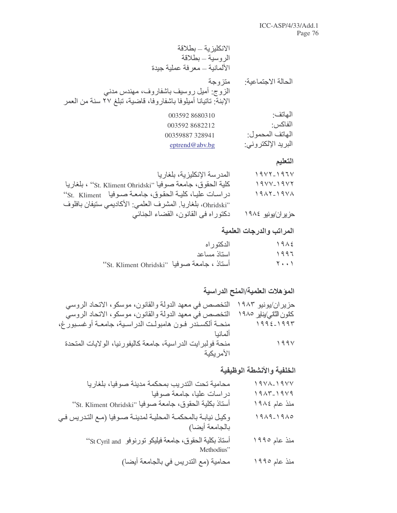| الانكليزية ــ بطلاقة           |  |
|--------------------------------|--|
| الروسية – بطلاقة               |  |
| الألمانية ـــ معرفة عملية جيدة |  |

الحالة الاجتماعية: متزوجة .<br>الزوج: أميل روسيف باشفاروف، مهندس مدني<br>الإبنة: تاتيانا أميلوفا باشفاروفا، قاضية، تبلغ ٢٧ سنة من العمر  $-4 - \pi$ 

| 003592 8680310 | الهانف·            |
|----------------|--------------------|
| 0035928682212  | الفاكس:            |
| 00359887328941 | الهاتف المحمو ل:   |
| eptrend@abv.bg | البريد الإلكتروني: |

### التعليم

| المدرسة الإنكليزية، بلغاريا                                  | $19YY-197Y$       |
|--------------------------------------------------------------|-------------------|
| كلية الحقوق، جامعة صوفيا "St. Kliment Ohridski" ، بلغاريا    | $19YV-19YY$       |
| در اسـات عليـا، كليـة الحقوق، جامعـة صـوفيا    St.  Kliment' | $1917 - 1917$     |
| `Ohridski'، بلغاريا. المشرف العلمي: الأكاديمي ستيفان بافلوف  |                   |
| دكتوراه في القانون، القضاء الجنائي                           | حزیران/یونیو ۱۹۸٤ |

## المراتب والدرجات العلمية

|                                                     | الدكتو ر اه | $19 \wedge 5$ |
|-----------------------------------------------------|-------------|---------------|
|                                                     | استاذ مساعد | $3997$        |
| "St. Kliment Ohridski" صوفيا "St. Kliment Ohridski" |             | Y \           |

### المؤهلات العلمية/المنح الدراسية

| حزیران/یونیو ۱۹۸۳      | التخصص في معهد الدولة والقانون، موسكو ، الاتحاد الروسي     |
|------------------------|------------------------------------------------------------|
| كلون الثاني/يناير ١٩٨٥ | التخصص في معهد الدولة والقانون، موسكو، الاتحاد الروسي      |
| $1992 - 1997$          | منحـة ألكسـندر فـون هامبولـت الدراسـية، جامعـة أوغسـبورغ،  |
| ألمانيا                |                                                            |
| 199V                   | منحة فولبرايت الدراسية، جامعة كاليفورنيا، الولايات المتحدة |
|                        | الأمريكية                                                  |

### الخلفية والأنشطة الوظيفية

| $19YA-19YV$   | محامية تحت التدريب بمحكمة مدينة صوفيا، بلغاريا                            |
|---------------|---------------------------------------------------------------------------|
| $1917 - 1919$ | دراسات عليا، جامعة صوفيا                                                  |
| منذ عام ١٩٨٤  | 'St. Kliment Ohridski'' صوفيا ''St. Kliment Ohridski''                    |
| $1919 - 1910$ | وكيل نيابة بالمحكمة المحلية لمدينة صوفيا (مع التدريس في<br>بالجامعة أيضا) |
| منذ عام ١٩٩٥  | أستاذ بكلية الحقوق، جامعة فيليكو تورنوفو St Cyril and'<br>Methodius"      |
| منذ عام ١٩٩٥  | محامية (مع التدريس في بالجامعة أيضا)                                      |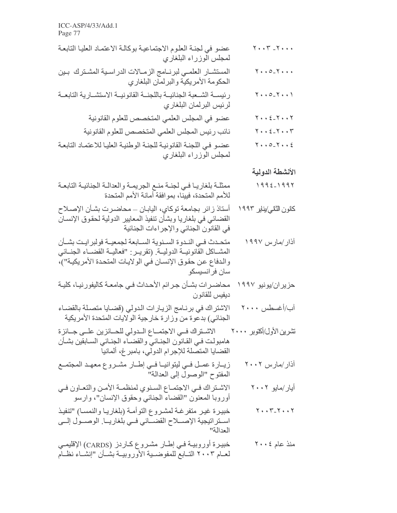| عضو في لجنة العلوم الاجتماعية بوكالة الاعتماد العليا التابعة<br>لمجلس الوزراء البلغاري                   | $\mathbf{Y} \leftrightarrow \mathbf{Y} - \mathbf{Y} \leftrightarrow \star$ |
|----------------------------------------------------------------------------------------------------------|----------------------------------------------------------------------------|
| المستشــار العلمــي لبرنــامج الزمــالات الدراسـية المشـترك بـين<br>الحكومة الأمريكية والبرلمان البلغاري | $Y \cdot \cdot 0 - Y \cdot \cdot \cdot$                                    |
| رئيســة الشــعبة الجنائيــة باللجنــة القانونيــة الاستشــارية التابعــة<br>لرئيس البرلمان البلغاري      | $Y \cdot \cdot \circ_{-} Y \cdot \cdot \cdot Y$                            |
| عضو في المجلس العلمي المتخصص للعلوم القانونية                                                            | $Y \cdot \cdot \xi - Y \cdot \cdot Y$                                      |
| نائب رئيس المجلس العلمي المتخصص للعلوم القانونية                                                         | $Y \cdot \cdot \xi - Y \cdot \cdot Y$                                      |
| عضىو في اللجنة القانونية للجنة الوطنية العليا للاعتماد التابعة<br>لمجلس الوزراء البلغاري                 | $Y \cdot \cdot 0 - Y \cdot \cdot \xi$                                      |
|                                                                                                          | الأنشطة الدولية                                                            |
| ممثلة بلغاريبا فبي لجنبة منبع الجريمية والعدالية الجنائيية التابعية                                      | $1992 - 1997$                                                              |

- كانون الثاني/يناير ١٩٩٣ أستاذ زائر بجامعة توكاي، اليابـان ــ محاضـرت بشـأن الإصــلاح القضائي في بلغاريا وبشأن تنفيذ المعايير الدولية لحقوق الإنسان في القانون الجنائي والإجراءات الجنائية
- متحدث فـي النـدوة السـنوية السـابعة لجمعيــة فولبر ايـت بشــأن آذار /مارس ۱۹۹۷ المشـاكل القّانونيــة الدوليــة. (تقريــر : "فعاليــة القضــاء الجنــائي والدفاع عن حقوق الإنسان في الولايات المتحدة الأمريكية")، سان فر انسیسکو
- حزير إن/يونيو ١٩٩٧ محاضـر ات بشـأن جـر ائم الأحـداث فـي جامعـة كاليفورنيـا، كليـة دبفبس للقانو ن
- الاشتراك في برنامج الزيارات الدولي (قضايا متصلة بالقضاء آب/أغسطس ۲۰۰۰ الجنائي) بدعوة من وزار ة خار جية الولايات المتحدة الأمر يكية
- تشرين الأول/أكتوبر ٢٠٠٠ الاشــتراك فــي الاجتمــاع الــدولي للحــائزين علــي جــائز ة هامبولت في القانون الجنائي والقضباء الجنائي السابقين بشأن القضايا المتصلة للإجرام الدولّي، بامبر غ، ألمانياً
- زيــارة عمــل فــي ليتوانيــا فــي إطــار مشــروع معهــد المجتمــع<br>المفتوح "الوصـول إلـي العدالة" آذار/مارس ۲۰۰۲
- الاشتراك في الاجتماع السنوي لمنظمة الأمن والتعاون في أيار/مايو ٢٠٠٢ أوروبا المعنون "القضاء الجنائي وحقوق الإنسان"، وارسو
- خبيرة غير متفرغة لمشروع التوأمة (بلغاريا والنمسا) "تنفيذ  $Y \cdot Y - Y \cdot Y$ اســتراتيجية الإصـــلاح القضــائي فــي بلغاريــا. الوصــول إلــي  $\|\ddot{a}\|_{\infty}$
- خبيرة أوروبيـة فـي إطــار مشـروع كــاردز (CARDS) الإقليمـي منذ عام ٢٠٠٤ لعبام ٢٠٠٣ التبابع للمفوضيية الأوروبيية بشبأن "إنشباء نظبام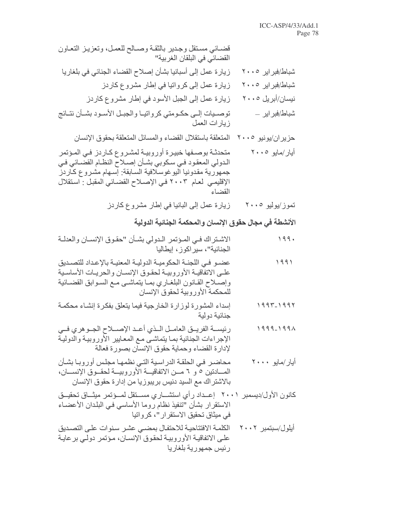| قضــائي مسـتقل وجـدير بالثقـة وصــالح للعمـل، وتعزيـز التعـاون<br>القضـائي في البلقان الـغربية''                                                                                                                                                              |
|---------------------------------------------------------------------------------------------------------------------------------------------------------------------------------------------------------------------------------------------------------------|
| زيارة عمل إلى أسبانيا بشأن إصلاح القضاء الجنائي في بلغاريا                                                                                                                                                                                                    |
| زيارة عمل إلى كرواتيا في إطار مشروع كاردز                                                                                                                                                                                                                     |
| زيارة عمل إلى الجبل الأسود في إطار مشروع كاردز                                                                                                                                                                                                                |
| توصـيات إلــي حكـومتي كرواتيـا والجبـل الأسـود بشـأن نتـائج<br>زيارات العمل                                                                                                                                                                                   |
| المتعلقة باستقلال القضاء والمسائل المتعلقة بحقوق الإنسان                                                                                                                                                                                                      |
| متحدثـة بوصــفها خبيـرة أوروبيــة لمشـروع كــاردز فــي المـؤتمر<br>الـدولي المعقود فـي سكوبي بشـأن إصـلاح النظـام القضـائي فـي<br>جمهورية مقدونيا اليوغوسلافية السابقة: إسهام مشروع كاردز<br>الإقليمي لعام ٢٠٠٣ في الإصلاح القضائي المقبل : استقلال<br>القضاء |
|                                                                                                                                                                                                                                                               |

تموز/يوليو ۲۰۰۰ زيارة عمل إلى البانيا في إطار مشروع كاردز

### الأنشطة في مجال حقوق الإنسان والمحكمة الجنائية الدولية

- الاشتراك في المؤتمر الدولي بشأن "حقوق الإنسان والعدلة  $199.$ الجنائية"، سيراكوز، إيطاليا
- عضـو فـي اللجنـة الحكوميـة الدوليـة المعنيـة بالإعداد للتصـديق 1991 علـى الاتفاقيــة الأوروبيــة لحقـوق الإنســان والحريــات الأساسـية وإصلاح القـانون البلغـاري بمـا يتماشـي مـع السـوابق القضـائية للمحكمة الأور وبية لحقوق الإنسان
- إسداء المشورة لوزارة الخارجية فيما يتعلق بفكرة إنشاء محكمة  $1997 - 1997$ جنائبة دولبة
- رئيســة الفريــق العامــل الــذي أعــد الإصـــلاح الجــوهري فــي  $1999 - 1991$ الإجراءات الجنائية بمـا يتماشـي مـع المعـايير الأوروبيـة والدوليـة لإدارة القضاء وحماية حقوق الإنسان بصورة فعالة
- محاضر في الحلقة الدراسية التي نظمها مجلس أوروبا بشأن أيار/مايو ٢٠٠٠ المسادتين ٥ و ٦ مــن الاتفاقيـــة الأوروبيـــة لحقــوق الإنســـان، بالاشتر اك مع السيد دنيس بر يبو ز يا من إدار ة حقو ق الإنسان
- كانون الأول/ديسمبر ٢٠٠١ إعــداد رأى استشــارى مســتقل لمــؤتمر ميثــاق تحقيــق الاستقرار بشأن "تنفيذ نظام روما الأساسي في البلدان الأعضـاء في ميثاق تحقيق الاستقرار "، كرواتيا
- الكلمة الافتتاحية للاحتفال بمضيى عشر سنوات على التصديق أيلول/سبتمبر ٢٠٠٢ علـى الاتفاقيـة الأوروبيـة لحقوق الإنسـان، مـؤتمر دولـى برعايـة رئيس جمهورية بلغاريا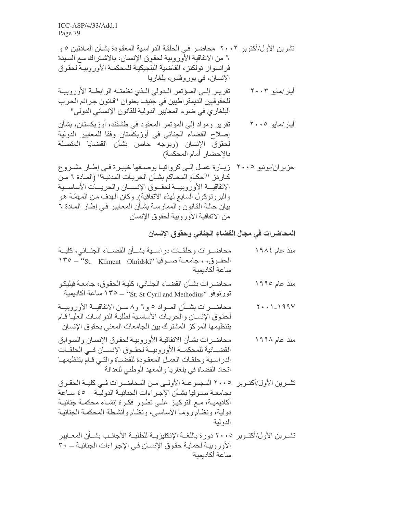- تقريـر إلـى المـؤتمر الـدولي الـذي نظمتـه الرابطـة الأوروبيـة أيار/مايو ٢٠٠٣ للحقوقيين الديمقر اطيين في جنيف بعنوان "قانون جرائم الحرب البلغار ي في ضوء المعايير الدولية للقانون الإنساني الدولي"
- تقرير ومواد إلى المؤتمر المعقود في طشقند، أوزبكستان، بشأن أيار/مايو ٢٠٠٥ إصلاح القضاء الجنائي في أوزبكستان وفقا للمعايير الدولية لحقوق الإنسان (وبوجه خاص بشأن القضايا المنصلة بالإحضار أمام المحكمة)

### المحاضرات فى مجال القضاء الجنائي وحقوق الإنسان

- محاضــرات وحلقــات دراســية بشــأن القضــاء الجنــائي، كليــة منذ عام ١٩٨٤ ساعة أكادبمبة
- محاضرات بشأن القضاء الجنائي، كلية الحقوق، جامعة فيليكو منذ عام ۱۹۹۰ تورنوفو ''St. St Cyril and Methodius'' — ° 1 ° ساعة أكاديمية
- محاضــرات بشــأن المــواد ٥ و ٦ و ٨ مــن الاتفاقيــة الأوروبيــة  $Y \cdot \cdot 1 - 199V$ لحقوق الإنسان والحريات الأساسية لطلبة الدراسات العليا قام بتنظيمها المركز المشترك بين الجامعات المعنى بحقوق الإنسان
- محاضر ات بشأن الاتفاقيـة الأور وبيـة لحقوق الإنسـان و السـو ابق منذ عام ۱۹۹۸ القضــائية للمحكمــة الأوروبيــة لحقـوق الإنســان فــى الحلقــات الدر اسبية وحلقات العمل المعقودة للقضاة والتبى قام بتنظيمها اتحاد القضاة في بلغاريا والمعهد الوطني للعدالة
- تشـرين الأول/أكتـوبر ٢٠٠٥ المجموعــة الأولــي مـن المحاضـرات فــي كليــة الحقـوق بجامعــة صــوفيا بشــأن الإجـر اءات الجنائيــة الدو ليــة ـــ ٤٥ ســاعة أكاديميــة، مــع التركيــز علــى تطــور فكــرة إنشــاء محكمــة جنائيــة دولية، ونظام روما الأساسي، ونظام وأنشطة المحكمة الجنائية الدو لبة
- تشـرين الأول/أكتـوبر ٢٠٠٥ دورة باللغــة الإنكليزيــة للطلبــة الأجانــب بشــأن المعــايير الأوروبية لحماية حقوق الإنسان في الإجراءات الجنائية ـــ ٣٠ ساعة أكاديمية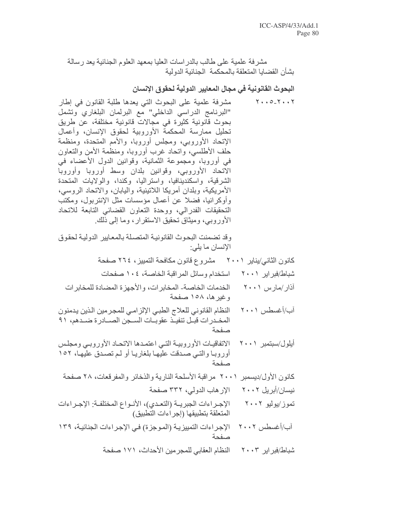مشرفة علمية علىي طالب بالدراسات العليا بمعهد العلوم الجنائية يعد رسالة بشأن القضبابا المتعلقة بالمحكمة الجنائية الدولية

البحوث القانونية في مجال المعايير الدولية لحقوق الإنسان

مشرفة علمية على البحوث التي يعدها طلبة القانون في إطار  $Y \cdot 0 - Y \cdot 1Y$ "البرنامج الدراسي الداخلي" مع البرلمان البلغاري وتشمل بحوث قانونية كثيرة في مجالات قانونية مختلفة، عن طريق تحليل ممارسة المحكمة الأوروبية لحقوق الإنسان، وأعمال الإتحاد الأوروبي، ومجلس أوروبا، والأمم المتحدة، ومنظمة حلف الأطلسي، وإنحاد غرب أوروبا، ومنظمة الأمن والنعاون في أوروبا، ومجموعة الثمانية، وقوانين الدول الأعضاء في الاتحاد الأوروبي، وقوانين بلدان وسط أوروبا وأوروبا الشرقية، واسكندينافيا، واستراليا، وكندا، والولايات المتحدة الأمريكية، وبلدان أمريكا اللاتينية، واليابان، والاتحاد الروسي، وأوكر انيا، فضلاً عن أعمال مؤسسات مثل الإنتربول، ومكتب التحقيقات الفدرالي، ووحدة التعاون القضائي التابعة للاتحاد الأوروبي، وميثاق تحقيق الاستقرار ، وما إلى ذلك. وقد تضمنت البحوث القانونية المتصلة بالمعايير الدولية لحقوق الإنسان ما يلي: كانون الثاني/يناير ٢٠٠١ مشروع قانون مكافحة التمييز ، ٢٦٤ صفحة شباط/فبر اير ( ۲۰۰ استخدام وسائل المر اقبة الخاصة، ٤ • ١ صفحات الخدمات الخاصة- المخابر ات، و الأجهز ة المضادة للمخابر ات آذار /مار س ۲۰۰۱ وغيرها، ١٥٨ صفحة النظام القانوني للعلاج الطبي الإلزامي للمجرمين الذين يدمنون آب/أغسطس ٢٠٠١ المخـدر ات قبـل تنفيـذ عقوبـات السـجن الصــادرة ضـدهم، ٩١ صفحة الاتفاقيات الأوروبيــة التــى اعتمـدها الاتحـاد الأوروبــى ومجلس أيلول/سبتمبر ٢٠٠١ أوروبـا والتـى صـدقت عليهـا بلغاريـا أو لـم تصـدق عليهـا، ١٥٢ صفحة كانون الأول/ديسمبر ٢٠٠١ مر اقبة الأسلحة النارية والذخائر والمفر قعات، ٢٨ صفحة نيسان/أبريل ٢٠٠٢ الإر هاب الدولي، ٣٣٢ صفحة الإجـراءات الجبريــة (التعـدي)، الأنـواع المختلفـة: الإجـراءات تموز/يوليو ٢٠٠٢ المتعلقة بتطبيقها (إجراءات التطبيق) الإجراءات التمييزيـة (المـوجزـة) فـي الإجـراءات الجنائيـة، ١٣٩ أب/أغسطس ٢٠٠٢ صفحة النظام العقابي للمجرمين الأحداث، ١٧١ صفحة شباط/فبراير ۲۰۰۳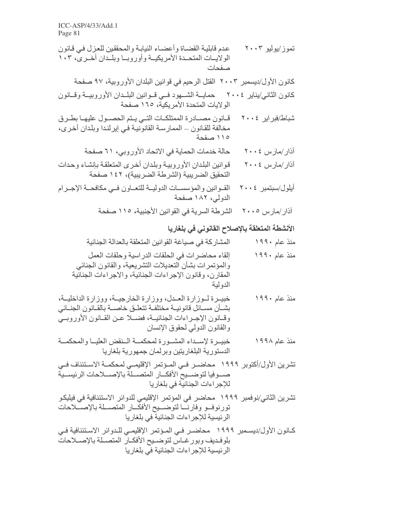- قانون مصادرة الممتلكات التي يتم الحصول عليها بطرق شباط/فبر ابر ٢٠٠٤ مخالفة للقانون ــ الممارسـة القانونيـة فـي إيرلندا وبلدان أخرى، ١١٥ صفحة
	- حالة خدمات الحماية في الاتحاد الأوروبي، ٦١ صفحة آذار ⁄مارس ٤ . ٢٠
- قوانين البلدان الأوروبية وبلدان أخرى المتعلقة بإنشاء وحدات آذار /مار س ٤ . ٢٠ التحقيق الضريبية (الشرطة الضريبية)، ١٤٢ صفحة
- القوانين والمؤسسات الدولية للتعاون في مكافحة الإجرام أيلول/سبتمبر ٢٠٠٤ الدولي، ١٨٢ صفحة
	- آذار /مار س ٢٠٠٥ الشر طة السرية في القوانين الأجنبية، ١١٥ صفحة

#### الأنشطة المتعلقة بالإصلاح القانوني في بلغاريا

- المشاركة في صباغة القوانين المتعلقة بالعدالة الجنائية منذ عام ۱۹۹۰
- إلقاء محاضرات في الحلقات الدراسية وحلقات العمل منذ عام ۱۹۹۰ والمؤتمرات بشأن التعديلات التشريعية، والقانون الجنائي المقارن، وقانون الإجراءات الجنائية، والاجراءات الجنائية الدو لية
- خبيرة لوزارة العدل، ووزارة الخارجيــة، ووزارة الداخليــة، منذ عام ۱۹۹۰ بشــأن مســائل قانونيــة مختلفــة تتعلــق خاصـــة بالقــانون الـجنــائـي وقبانون الإجراءات الجنائيية، فضبلا عين القبانون الأوروبي والقانون الدولي لحقوق الإنسان
- خبيـرة لإسـداء المشـورة لمحكمــة الـنقض العليــا والمحكمــة منذ عام ۱۹۹۸ الدستورية البلغاريتين وبرلمان جمهورية بلغاريا
- تشرين الأول/أكتوبر ١٩٩٩ محاضــر فــي المــؤتمر الإقليمــي لمحكمــة الاســتئناف فــي صدوفيا لتوضديح الأفكسار المتصطة بالإصطلاحات الرئيسية للإجراءات الجنائية في بلغاريا
- تشرين الثاني/نوفمبر ١٩٩٩ محاضر في المؤتمر الإقليمي للدوائر الاستئنافية في فيليكو تورنوفسو وفارنسا لتوضسيح الأفكسار المتصسلة بالإصسلاحات الرئيسية للإجراءات الجنائية في بلغاريا
- كـانون الأول/ديسـمبر ١٩٩٩ محاضـر فـي المـؤتمر الإقليمـي للـدوائر الاسـتئنافية فـي بلوفديف وبور غـاس لتوضـيح الأفكـار المتصـلة بالإصــلاحات الرئيسية للإجراءات الجنائية في بلغاريا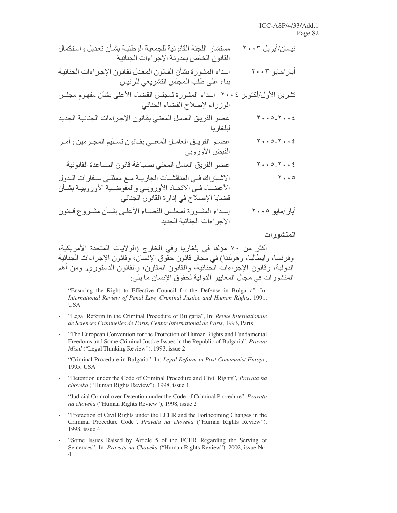| مستشار اللجنة القانونية للجمعية الوطنية بشأن تعديل واستكمال<br>القانون الخاص بمدونة الإجراءات الجنائية                                                                  | نیسان/أبریل ۲۰۰۳                      |
|-------------------------------------------------------------------------------------------------------------------------------------------------------------------------|---------------------------------------|
| اسداء المشورة بشأن القانون المعدل لقانون الإجراءات الجنائية<br>بناء على طلب المجلس التشريعي للرئيس                                                                      | أبار/مابو ۲۰۰۳                        |
| تشرين الأول/أكتوبر ٢٠٠٤  اسداء المشورة لمجلس القضاء الأعلى بشأن مفهوم مجلس<br>الوزراء لإصلاح القضاء الجنائي                                                             |                                       |
| عضو الفريق العامل المعني بقانون الإجراءات الجنائية الجديد<br>لبلغاريا                                                                                                   | $Y \cdot \cdot 0 - Y \cdot \cdot \xi$ |
| عضمو الفريـق العامـل المعنـي بقـانون تسـليم المجـرمين وأمـر<br>القبض الأوروبي                                                                                           | $Y \cdot \cdot 0 - Y \cdot \cdot \xi$ |
| عضو الفريق العامل المعني بصباغة قانون المساعدة القانونية                                                                                                                | $Y \cdot \cdot 0 - Y \cdot \cdot \xi$ |
| الاشتراك في المناقشات الجاريـة مـع ممثلـي سـفارات الـدول<br>الأعضــاء فـي الاتحــاد الأوروبــي والمفوضــية الأوروبيــة بشــأن<br>قضايا الإصلاح في إدارة القانون الجنائي | $\mathbf{Y} \cdot \cdot \mathbf{0}$   |
| إسداء المشورة لمجلس القضـاء الأعلـى بشـأن مشـروع قـانون<br>الإجراءات الجنائية الجديد                                                                                    | أبار/مايو ۲۰۰۵                        |

المنشورات

أكثر من ٧٠ مؤلفا في بلغاريا وفي الخارج (الولايات المتحدة الأمريكية، وفرنسا، وايطاليا، وهولندا) في مجال قانون حقَّوق الإنسان، وقانون الإجراءات الجنائية الدولية، وقانون الإجراءات الْجنائية، والقانون المقارن، والقانون الدستوري ومن أهم المنشورات في مجال المعايير الدولية لحقوق الإنسان ما يلي:

- "Ensuring the Right to Effective Council for the Defense in Bulgaria". In: International Review of Penal Law, Criminal Justice and Human Rights, 1991, **USA**
- "Legal Reform in the Criminal Procedure of Bulgaria", In: Revue Internationale de Sciences Criminelles de Paris, Center International de Paris, 1993, Paris
- "The European Convention for the Protection of Human Rights and Fundamental Freedoms and Some Criminal Justice Issues in the Republic of Bulgaria", Pravna Misul ("Legal Thinking Review"), 1993, issue 2
- "Criminal Procedure in Bulgaria". In: Legal Reform in Post-Communist Europe, 1995, USA
- "Detention under the Code of Criminal Procedure and Civil Rights", Pravata na choveka ("Human Rights Review"), 1998, issue 1
- "Judicial Control over Detention under the Code of Criminal Procedure", Pravata na choveka ("Human Rights Review"), 1998, issue 2
- "Protection of Civil Rights under the ECHR and the Forthcoming Changes in the  $\overline{a}$ Criminal Procedure Code", Pravata na choveka ("Human Rights Review"), 1998, issue 4
- "Some Issues Raised by Article 5 of the ECHR Regarding the Serving of Sentences". In: Pravata na Choveka ("Human Rights Review"), 2002, issue No.  $\overline{4}$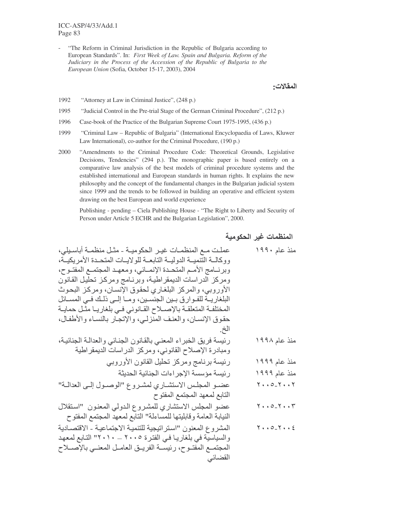"The Reform in Criminal Jurisdiction in the Republic of Bulgaria according to European Standards". In: First Week of Law. Spain and Bulgaria. Reform of the Judiciary in the Process of the Accession of the Republic of Bulgaria to the European Union (Sofia, October 15-17, 2003), 2004

المقالات:

- 1992 "Attorney at Law in Criminal Justice", (248 p.)
- 1995 "Judicial Control in the Pre-trial Stage of the German Criminal Procedure", (212 p.)
- 1996 Case-book of the Practice of the Bulgarian Supreme Court 1975-1995, (436 p.)
- 1999 "Criminal Law – Republic of Bulgaria" (International Encyclopaedia of Laws, Kluwer) Law International), co-author for the Criminal Procedure, (190 p.)
- "Amendments to the Criminal Procedure Code: Theoretical Grounds, Legislative 2000 Decisions, Tendencies" (294 p.). The monographic paper is based entirely on a comparative law analysis of the best models of criminal procedure systems and the established international and European standards in human rights. It explains the new philosophy and the concept of the fundamental changes in the Bulgarian judicial system since 1999 and the trends to be followed in building an operative and efficient system drawing on the best European and world experience

Publishing - pending - Ciela Publishing House - "The Right to Liberty and Security of Person under Article 5 ECHR and the Bulgarian Legislation", 2000.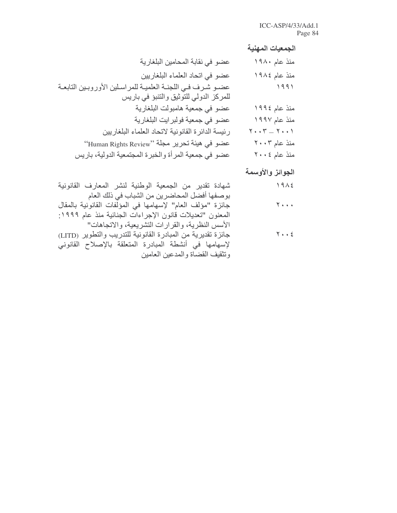## الجمعيات المهنية

| عضو في نقابة المحامين البلغارية                                  | منذ عام ۱۹۸۰                                                            |
|------------------------------------------------------------------|-------------------------------------------------------------------------|
| عضو في اتحاد العلماء البلغاريين                                  | منذ عام ١٩٨٤                                                            |
| عضـو شـرف فـي اللجنــة العلميــة للمراسـلين الأوروبـين التابعــة | 1991                                                                    |
| للمركز الدولي للتوثيق والتنبؤ في باريس                           |                                                                         |
| عضو في جمعية هامبولت البلغارية                                   | منذ عام ١٩٩٤                                                            |
| عضو في جمعية فولبرايت البلغارية                                  | منذ عام ۱۹۹۷                                                            |
| رئيسة الدائرة القانونية لاتحاد العلماء البلغاريين                | $\mathbf{Y} \cdot \cdot \mathbf{Y} = \mathbf{Y} \cdot \cdot \mathbf{Y}$ |
| عضو في هيئة تحرير مجلة ''Human Rights Review''                   | منذ عام ۲۰۰۳                                                            |
| عضو في جمعية المرأة والخبرة المجتمعية الدولية، باريس             | منذ عام ٢٠٠٤                                                            |
|                                                                  |                                                                         |

# الجوائز والأوسمة

| شهادة تقدير من الجمعية الوطنية لنشر المعارف القانونية          | 1912                  |
|----------------------------------------------------------------|-----------------------|
| بوصفها أفضل المحاضرين من الشباب في ذلك العام                   |                       |
| جائزة "مؤلف العام" لإسهامها في المؤلفات القانونية بالمقال      | $Y \cdot \cdot \cdot$ |
| المعنون "تعديلات قانون الإجراءات الجنائية منذ عام ١٩٩٩:        |                       |
| الأسس النظرية، والقرارات التشريعية، والاتجاهات"                |                       |
| جائز ة تقدير ية من المبادر ة القانونية للتدريب والتطوير (LITD) | $Y \cdot \cdot \xi$   |
| لإسهامها في أنشطة المبادرة المنعلقة بالإصلاح القانوني          |                       |
| وتثقيف القضاة والمدعين العامين                                 |                       |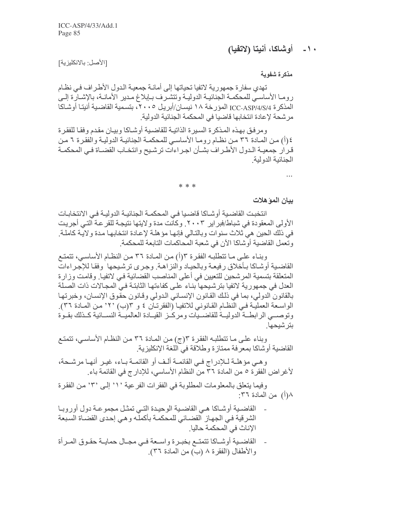### ١٠ - أوشاكا، أنيتا (لاتفيا)

[الأصل: بالانكليزية]

مذكرة شفوية

تهدي سفارة جمهورية لاتفيا تحياتها إلى أمانـة جمعيـة الدول الأطـراف فـي نظـام رومـا الأساسـي للمحكمـة الجنائيـة الدوليـة وتتشـرف بـإبلاغ مـدير الأمانـة، بالإشـارة إلـي الْمذكر ة ICC-ASP/4/S/4 الْمؤرخة ١٨ نيسـان/أبريل ٢٠٠٥، بتسمية القاضية أنينـّا أوشـاكـا مر شحة لإعادة انتخابها قاضيا في المحكمة الجنائية الدولية.

و مر فـق بـهـذه المـذكر ة السـبر ة الذاتبــة للقاضـبـة أو شــاكـا و بيـان مقـدم و فقـا للفقـر ة ٤ (أ) من المـادة ٣٦ مـن نظـام رومـا الأساسـي للمحكمـة الجنائيـة الدوليـة والفقر ة ٦ مـن قرآر جمعيـة الـدول الأطـراف بشـأن اجـراءات ترشـيح وانتخـاب القضـاة فـي المحكمـة الجنائية الدولية

 $* * *$ 

بيان الموّ هلات

انتخبت القاضية أوشـاكا قاضـيا فـي المحكمـة الجنائيـة الدوليـة فـي الانتخابـات الأولى المعقودة في شباط/فبر اير ٢٠٠٣ . وكانت مدة ولايتها نتيجة للقر عة التي أجريت في ذلك الحين هي ثلاث سنوات وبالتالي فإنها مؤهلة لإعادة انتخابها مدة ولاية كاملة. وتعمل القاضية أوشاكا الآن في شعبة المحاكمات التابعة للمحكمة

وبناء على ما تتطلبه الفقرة ٣(أ) من المادة ٣٦ من النظام الأساسي، تتمتع القاضية أوشاكا بأخلاق رفيعة وبالحياد والنزاهة وجرى ترشيحها وفقا للإجراءات المتعلقة بتسمية المرشحين للتعيين في أعلى المناصب القضائية في لاتفيا. وقامت وزارة العدل في جمهورية لاتفيا بترشيحها بناء على كفاءتها الثابتة في المجالات ذات الصلة بالقانون الدولي، بما في ذلك القانون الإنساني الدولي وقانون حقوق الإنسان، وخبرتها الواسعة العملية في النظـام القـانوني للاتفيـا (الفقرنـان ٤ و ٣(ب) ٢٠' مـن المـادة ٣٦). وتوصسي الرابطــة الدوليــة للقاضــيات ومركــز القيــادة العالميــة النســائية كــذلك بقــوة ىتر شېخها

وبناء على ما تتطلبه الفقرة ٣(ج) من المـادة ٣٦ من النظـام الأساسـي، تتمتـع القاضية أوشاكا بمعرفة ممتازة وطلاقة في اللغة الإنكليزية

و هـي مؤ هلــة لــلإدراج فــي القائمــة ألـف أو القائمــة بــاء، غيـر أنـهــا مرشــحة، لأغراض الفقرة ٥ من المادة ٣٦ من النظام الأساسي، للإدارج في القائمة باء.

وفيما يتعلَّق بالمعلومات المطلوبة في الفقرات الفرعية ' ١ ْ' إلى ' ٣ ْ من الفقر ة ٨(أ) من المادة ٣٦:

- القاضية أوشاكا هي القاضية الوحيدة التي تمثل مجموعة دول أوروبا الشرقية في الجهاز القضائي للمحكمة بأكمله وهي إحدى القضاة السبعة الإناث في المحكمة حاليا.
- القاضـية أوشـاكا تتمتـع بخبـرة واسـعة فـي مجـال حمايـة حقـوق المـرأة والأطفال (الفقرة ٨ (ب) من المادة ٣٦).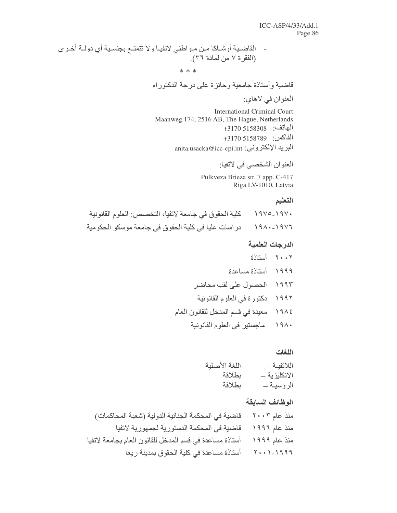- القاضية أوشـاكا مـن مـواطني لاتفيـا ولا تتمتـع بجنسـية أي دولـة أخـري (الفقرة ٧ من لمادة ٣٦).  $* * *$ 

قاضية وأستاذة جامعية وحائزة على درجة الدكتوراه

العنوان في لاهاي:

**International Criminal Court** Maanweg 174, 2516 AB, The Hague, Netherlands الماتف: 5158308 3170+ الفاكس: 158789 3170+ anita.usacka@icc-cpi.int (البريد الإلكتروني:

العنوان الشخصبي في لاتفيا:

Pulkveza Brieza str. 7 app. C-417 Riga LV-1010, Latvia

#### التعليم

كلية الحقوق في جامعة لاتفيا، التخصص: العلوم القانونية  $1910 - 191.$ دراسات عليا في كلية الحقوق في جامعة موسكو الحكومية  $191 - 1917$ 

#### الدرجات العلمية

٢٠٠٢ أستاذة ١٩٩٩ أستاذة مساعدة ١٩٩٣ الحصول على لقب محاضر دكتورة في العلوم القانونية  $3997$ معيدة في قسم المدخل للقانون العام  $19\lambda$ ١٩٨٠ ماجستير في العلوم القانونية

#### اللغات

| اللغة الأصلية | اللاتفية _   |
|---------------|--------------|
| بطلاقة        | الانكليزية _ |
| بطلاقة        | الروسيــة ــ |

#### الوظائف السابقة

| قاضية في المحكمة الجنائية الدولية (شعبة المحاكمات)      | منذ عام ٢٠٠٣   |
|---------------------------------------------------------|----------------|
| قاضية في المحكمة الدستورية لجمهورية لاتفيا              | منذ عام ١٩٩٦   |
| أستاذة مساعدة في قسم المدخل للقانون العام بجامعة لاتفيا | منذ عام ۱۹۹۹   |
| أستاذة مساعدة في كلية الحقوق بمدينة ريغا                | $Y + 1 - 1999$ |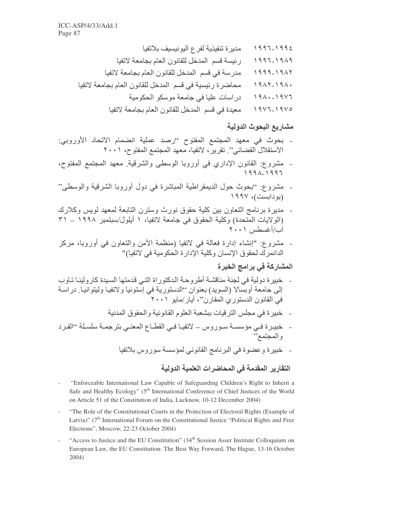معيدة في قسم المدخل للقانون العام بجامعة لاتفيا  $19V7-19V0$ 

#### مشاريع البحوث الدولية

- بحوث في معهد المجتمع المفتوح "رصد عملية انضمام الاتحاد الأوروبي: الاستقلال القضائي". تقريرٌ ، لاتفيا، معهد المجتمع المفتوح، ٢٠٠١
- مشروع: القانون الإداري في أوروبا الوسطى والشرقية. معهد المجتمع المفتوح،
- مشروع: ''بحوث حول الديمقراطية المباشرة في دول أوروبا الشرقية والوسطى'' (بو دايست)، ۱۹۹۷
- مديرة برنامج التعاون بين كلية حقوق نورث وسترن التابعة لمعهد لويس وكلارك (الولايات المُتحدة) وكلية الحقوق في جامعة لاتفيا، ١ أيلول/سبتمبر ١٩٩٨ \_ ٣١ أب/أغسطس ٢٠٠١
- ً مِشْرُوع: "إنشاء إدارة فعالمة في لاتفيا (منظمة الأمن والتعاون في أوروبا، مركز الدانمرك لحقوق الإنسان وكلية الإدارة الحكومية في لاتفيا)"

### المشاركة في برامج الخبرة

- خبيرة دولية في لجنة مناقشة أطروحة الدكتوراة التي قدمتها السبدة كارولينا تاوب إلى جامعة أوبسالا (السويد) بعنوان ''الدستورية في إستونيا ولاتفيا وليتوانيا. دراسة في القانون الدستوريَ المُقَارِنْ''، أيار /مايو ٢٠٠١
	- خبيرة في مجلس الترقيات ببشعبة العلوم القانونية والحقوق المدنية
- خبيرة فـي مؤسسـة سـوروس ــ لاتفيـا فـي القطـاع المعنـي بترجمـة سلسـلة ''الفـرد و المجتمع'
	- خبيرة وعضوة في البرنامج القانوني لمؤسسة سوروس بلاتفيا

### التقارير المقدمة في المحاضر ات العلمية الدولية

- "Enforceable International Law Capable of Safeguarding Children's Right to Inherit a Safe and Healthy Ecology" (5<sup>th</sup> International Conference of Chief Justices of the World on Article 51 of the Constitution of India, Lucknow, 10-12 December 2004)
- "The Role of the Constitutional Courts in the Protection of Electoral Rights (Example of Latvia)" ( $7<sup>th</sup>$  International Forum on the Constitutional Justice "Political Rights and Free Elections", Moscow, 22-23 October 2004)
- "Access to Justice and the EU Constitution" (34<sup>th</sup> Session Asser Institute Colloquium on European Law, the EU Constitution: The Best Way Forward, The Hague, 13-16 October  $2004)$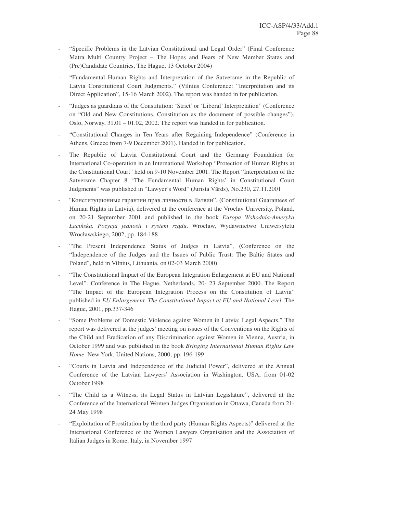- "Specific Problems in the Latvian Constitutional and Legal Order" (Final Conference Matra Multi Country Project – The Hopes and Fears of New Member States and (Pre)Candidate Countries, The Hague, 13 October 2004)
- "Fundamental Human Rights and Interpretation of the Satversme in the Republic of Latvia Constitutional Court Judgments." (Vilnius Conference: "Interpretation and its Direct Application", 15-16 March 2002). The report was handed in for publication.
- "Judges as guardians of the Constitution: 'Strict' or 'Liberal' Interpretation" (Conference on "Old and New Constitutions. Constitution as the document of possible changes"). Oslo, Norway,  $31.01 - 01.02$ ,  $2002$ . The report was handed in for publication.
- "Constitutional Changes in Ten Years after Regaining Independence" (Conference in Athens, Greece from 7-9 December 2001). Handed in for publication.
- The Republic of Latvia Constitutional Court and the Germany Foundation for International Co-operation in an International Workshop "Protection of Human Rights at the Constitutional Court" held on 9-10 November 2001. The Report "Interpretation of the Satversme Chapter 8 'The Fundamental Human Rights' in Constitutional Court Judgments" was published in "Lawyer's Word" (Jurista Vārds), No.230, 27.11.2001
- "Конституционные гарантии прав личности в Латвии". (Constitutional Guarantees of Human Rights in Latvia), delivered at the conference at the Vroclav University, Poland, on 20-21 September 2001 and published in the book *Europa Wshodnia-Ameryka Łaciska. Pozycja jednosti i system rz*-*du*. Wrocław, Wydawnictwo Uniwersytetu Wrocławskiego, 2002, pp. 184-188
- "The Present Independence Status of Judges in Latvia", (Conference on the "Independence of the Judges and the Issues of Public Trust: The Baltic States and Poland", held in Vilnius, Lithuania, on 02-03 March 2000)
- "The Constitutional Impact of the European Integration Enlargement at EU and National Level". Conference in The Hague, Netherlands, 20- 23 September 2000. The Report "The Impact of the European Integration Process on the Constitution of Latvia" published in *EU Enlargement. The Constitutional Impact at EU and National Level*. The Hague, 2001, pp.337-346
- "Some Problems of Domestic Violence against Women in Latvia: Legal Aspects." The report was delivered at the judges' meeting on issues of the Conventions on the Rights of the Child and Eradication of any Discrimination against Women in Vienna, Austria, in October 1999 and was published in the book *Bringing International Human Rights Law Home*. New York, United Nations, 2000; pp. 196-199
- "Courts in Latvia and Independence of the Judicial Power", delivered at the Annual Conference of the Latvian Lawyers' Association in Washington, USA, from 01-02 October 1998
- "The Child as a Witness, its Legal Status in Latvian Legislature", delivered at the Conference of the International Women Judges Organisation in Ottawa, Canada from 21- 24 May 1998
- "Exploitation of Prostitution by the third party (Human Rights Aspects)" delivered at the International Conference of the Women Lawyers Organisation and the Association of Italian Judges in Rome, Italy, in November 1997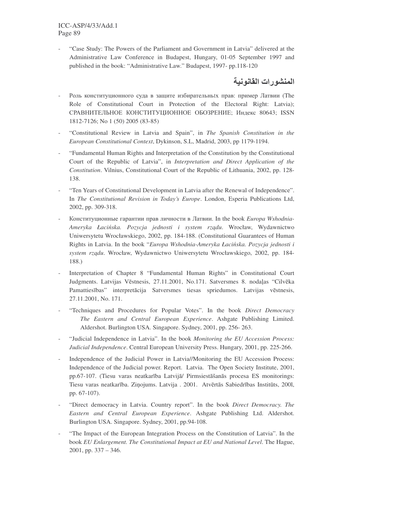"Case Study: The Powers of the Parliament and Government in Latvia" delivered at the Administrative Law Conference in Budapest, Hungary, 01-05 September 1997 and published in the book: "Administrative Law." Budapest, 1997- pp.118-120

### المنشورات القانونية

- Роль конституционного суда в защите избирательны х прав: пример Латвии (The Role of Constitutional Court in Protection of the Electoral Right: Latvia); СРАВНИТЕЛЬНОЕ КОНСТИТУЦИОННОЕ ОБОЗРЕНИЕ: Индекс 80643; ISSN 1812-7126; No 1 (50) 2005 (83-85)
- "Constitutional Review in Latvia and Spain", in *The Spanish Constitution in the European Constitutional Context*, Dykinson, S.L, Madrid, 2003, pp 1179-1194.
- "Fundamental Human Rights and Interpretation of the Constitution by the Constitutional Court of the Republic of Latvia", in *Interpretation and Direct Application of the Constitution*. Vilnius, Constitutional Court of the Republic of Lithuania, 2002, pp. 128- 138.
- "Ten Years of Constitutional Development in Latvia after the Renewal of Independence". In *The Constitutional Revision in Today's Europe*. London, Esperia Publications Ltd, 2002, pp. 309-318.
- Конституционные гарантии прав личности в Латвии. In the book *Europa Wshodnia-Ameryka Łaciska. Pozycja jednosti i system rz*-*du*. Wrocław, Wydawnictwo Uniwersytetu Wrocławskiego, 2002, pp. 184-188. (Constitutional Guarantees of Human Rights in Latvia. In the book "*Europa Wshodnia-Ameryka Łaciska. Pozycja jednosti i system rz*-*du*. Wrocław, Wydawnictwo Uniwersytetu Wrocławskiego, 2002, pp. 184- 188.)
- Interpretation of Chapter 8 "Fundamental Human Rights" in Constitutional Court Judgments. Latvijas Vēstnesis, 27.11.2001, No.171. Satversmes 8. nodaļas "Cilvēka Pamattiesības" interpretācija Satversmes tiesas spriedumos. Latvijas vēstnesis, 27.11.2001, No. 171.
- "Techniques and Procedures for Popular Votes". In the book *Direct Democracy The Eastern and Central European Experience*. Ashgate Publishing Limited. Aldershot. Burlington USA. Singapore. Sydney, 2001, pp. 256- 263.
- "Judicial Independence in Latvia". In the book *Monitoring the EU Accession Process: Judicial Independence*. Central European University Press. Hungary, 2001, pp. 225-266.
- Independence of the Judicial Power in Latvia//Monitoring the EU Accession Process: Independence of the Judicial power. Report. Latvia. The Open Society Institute, 2001, pp.67-107. (Tiesu varas neatkarība Latvijā/ Pirmsiestāšanās procesa ES monitorings: Tiesu varas neatkarība. Ziņojums. Latvija . 2001. Atvērtās Sabiedrības Institūts, 2001, pp. 67-107).
- "Direct democracy in Latvia. Country report". In the book *Direct Democracy. The Eastern and Central European Experience*. Ashgate Publishing Ltd. Aldershot. Burlington USA. Singapore. Sydney, 2001, pp.94-108.
- "The Impact of the European Integration Process on the Constitution of Latvia". In the book *EU Enlargement. The Constitutional Impact at EU and National Level*. The Hague, 2001, pp. 337 – 346.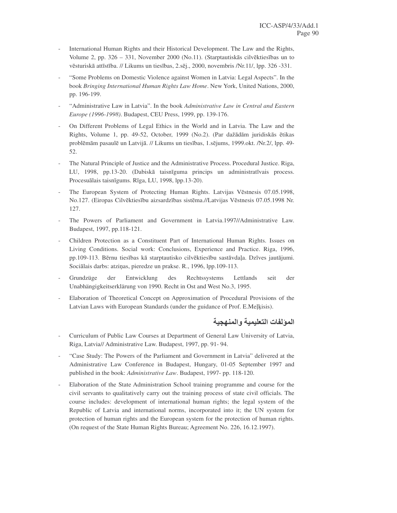- International Human Rights and their Historical Development. The Law and the Rights, Volume 2, pp. 326 – 331, November 2000 (No.11). (Starptautiskās cilvēktiesības un to vēsturiskā attīstība. // Likums un tiesības, 2.sēj., 2000, novembris /Nr.11/, lpp. 326 -331.
- "Some Problems on Domestic Violence against Women in Latvia: Legal Aspects". In the book *Bringing International Human Rights Law Home*. New York, United Nations, 2000, pp. 196-199.
- "Administrative Law in Latvia". In the book *Administrative Law in Central and Eastern Europe (1996-1998)*. Budapest, CEU Press, 1999, pp. 139-176.
- On Different Problems of Legal Ethics in the World and in Latvia. The Law and the Rights, Volume 1, pp. 49-52, October, 1999 (No.2). (Par dažādām juridiskās ētikas problēmām pasaulē un Latvijā. // Likums un tiesības, 1.sējums, 1999.okt. /Nr.2/, lpp. 49-52.
- The Natural Principle of Justice and the Administrative Process. Procedural Justice. Riga, LU, 1998, pp.13-20. (Dabiskā taisnīguma princips un administratīvais process. Procesuālais taisnīgums. Rīga, LU, 1998, lpp.13-20).
- The European System of Protecting Human Rights. Latvijas Vēstnesis 07.05.1998, No.127. (Eiropas Cilvēktiesību aizsardzības sistēma.//Latvijas Vēstnesis 07.05.1998 Nr. 127.
- The Powers of Parliament and Government in Latvia.1997//Administrative Law. Budapest, 1997, pp.118-121.
- Children Protection as a Constituent Part of International Human Rights. Issues on Living Conditions. Social work: Conclusions, Experience and Practice. Riga, 1996, pp.109-113. Bērnu tiesības kā starptautisko cilvēktiesību sastāvdaļa. Dzīves jautājumi. Sociālais darbs: atziņas, pieredze un prakse. R., 1996, lpp.109-113.
- Grundzüge der Entwicklung des Rechtssystems Lettlands seit der Unabhängigkeitserklärung von 1990. Recht in Ost and West No.3, 1995.
- Elaboration of Theoretical Concept on Approximation of Procedural Provisions of the Latvian Laws with European Standards (under the guidance of Prof. E.Melkisis).

المولفات التعليمية والمنهجية

- Curriculum of Public Law Courses at Department of General Law University of Latvia, Riga, Latvia// Administrative Law. Budapest, 1997, pp. 91- 94.
- "Case Study: The Powers of the Parliament and Government in Latvia" delivered at the Administrative Law Conference in Budapest, Hungary, 01-05 September 1997 and published in the book: *Administrative Law*. Budapest, 1997- pp. 118-120.
- Elaboration of the State Administration School training programme and course for the civil servants to qualitatively carry out the training process of state civil officials. The course includes: development of international human rights; the legal system of the Republic of Latvia and international norms, incorporated into it; the UN system for protection of human rights and the European system for the protection of human rights. (On request of the State Human Rights Bureau; Agreement No. 226, 16.12.1997).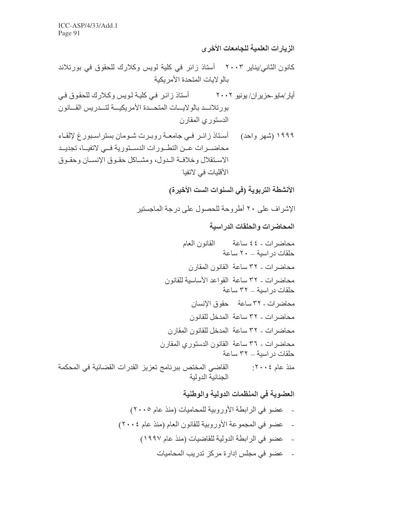الزيارات العلمية للجامعات الأخرى

كانون الثاني/يناير ٢٠٠٣ أستاذ زائر في كلية لويس وكلارك للحقوق في بورتلاند بالو لإبات المتحدة الأمر بكبة

أيار /مايو حز بر ان/ يونيو ٢٠٠٢ أستاذ ز ائـر ِ فـي كليـة لـو يس و كـلار ك للحقو ق فـي بورتلاند بالولايات المتحدة الأمريكية لتدريس القانون الدستوري المقارن

١٩٩٩ (شهر واحد) مستاذ زائـر فـي جامعــة روبـرت شـومان بستراسـبور غ لإلقـاء محاضــرات عــن التطــورات الدســتورية فــى لاتفيــا، تجديــد الاستقلال وخلافية البدل، ومشباكل حقبوق الإنسيان وحقبوق الأقلبات في لاتفبا

الأنشطة التربوية (في السنوات الست الأخيرة)

الإشراف على ٢٠ أطروحة للحصول على درجة الماجستير

المحاضرات والحلقات الدر اسية

محاضر ات - ٤٤ ساعة القانون العام حلقات در اسبة - ٢٠ ساعة محاضرات ـ ٣٢ ساعة القانون المقارن محاضر ات - ٣٢ ساعة القواعد الأساسية للقانون حلقات در اسية ـ ٣٢ ساعة محاضر ات - ٣٢ ساعة محقوق الإنسان محاضرات - ٣٢ ساعة المدخل للقانون محاضر ات - ٣٢ ساعة المدخل للقانون المقارن محاضرات ـ ٣٦ ساعة القانون الدستوري المقارن حلقات در اسبة ــ ٣٢ ساعة منذ عام ٢٠٠٤: القاضي المختص ببرنامج تعزيز القدرات القضائية في المحكمة الجنائية الدولية

> العضوية في المنظمات الدولية والوطنية - عضو في الرابطة الأوروبية للمحاميات (منذ عام ٢٠٠٥) - عضو في المجموعة الأوروبية للقانون العام (منذ عام ٢٠٠٤) - عضو في الرابطة الدولية للقاضيات (منذ عام ١٩٩٧)

> > - عضو في مجلس إدار ة مركز تدريب المحاميات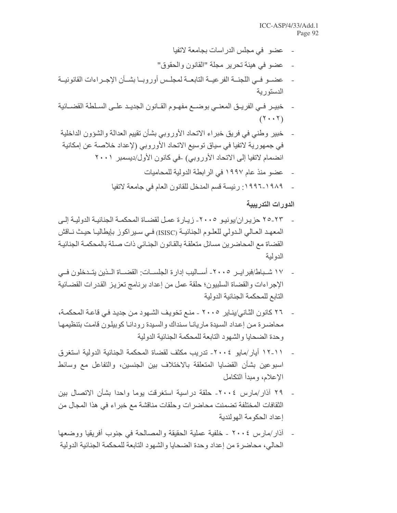- عضو في مجلس الدر اسات بجامعة لاتفيا
- عضو في هيئة تحرير مجلة "القانون والحقوق"
- عضــو فــي اللجنــة الفر عيــة التابعــة لمجلــس أوروبــا بشــأن الإجــراءات القانونيــة الدستورية
- خبيـر فـي الفريـق المعنـي بوضــع مفهـوم القــانون الجديـد علــي السـلطـة القضــائية  $(1 \cdot \cdot \cdot)$
- خبير وطني في فريق خبراء الاتحاد الأوروبي بشأن تقييم العدالة والشؤون الداخلية  $\overline{a}$ في جمهورية لاتفيا في سياق توسيع الاتحاد الأوروبي (لإعداد خلاصة عن إمكانية انضمام لاتفيا إلى الاتحاد الأوروبي) -في كانون الأول/ديسمبر ٢٠٠١
	- عضو منذ عام ١٩٩٧ في الرابطة الدولية للمحاميات
	- ١٩٨٩-١٩٩٦ : رئيسة قسم المدخل للقانون العام في جامعة لاتفيا

الدور ات التدر ببية

- ٢٣-٢٥ حزير ان/يونيو ٢٠٠٥- زيـار ة عمـل لقضـاة المحكمـة الجنائيـة الدوليـة إلـي المعهد العـالي الـدولي للعلـوم الجنائيــة (ISISC) فـي سـبر اكو ز\_ بايطاليــا حيـث نــاقش القضاة مع المحاضرين مسائل متعلقة بالقانون الجنائي ذات صلة بالمحكمة الجنائية الدولية
- ١٧ شـباط/فبرايـر ٢٠٠٥- أســاليب إدارة الجلســات: القضـــاة الــذين يتــدخلون فــى الإجراءات والقضاة السلبيون؛ حلقة عمل من إعداد برنامج تعزيز القدرات القضائية التابع للمحكمة الجنائبة الدولبة
- ٢٦ كانون الثاني/يناير ٢٠٠٥ منع تخويف الشهود من جديد في قاعة المحكمة، محاضررة من إعداد السيدة ماريانـا سنداك والسيدة رودانـا كوبيلون قامت بتنظيمهـا و حدة الضحايا و الشهو د التابعة للمحكمة الجنائية الدو لية
- ١١-١٢ أيار /مايو ٢٠٠٤- تدريب مكثف لقضاة المحكمة الجنائية الدولية استغرق اسبوعين بشأن القضايا المتعلقة بالاختلاف بين الجنسين، والتفاعل مع وسائط الإعلام، و مبدأ التكامل
- ٢٩ أذار/مارس ٢٠٠٤- حلقة دراسية استغرقت يوما واحدا بشأن الاتصال بين الثقافات المختلفة تضمنت محاضرات وحلقات مناقشة مع خبراء في هذا المجال من إعداد الحكومة الهولندية
- أذار/مارس ٢٠٠٤ ـ خلفية عملية الحقيقة والمصالحة في جنوب أفريقيا ووضعها الحالي، محاضر ة من إعداد و حدة الضحابا و الشهو د التابعة للمحكمة الجنائبة الدولبة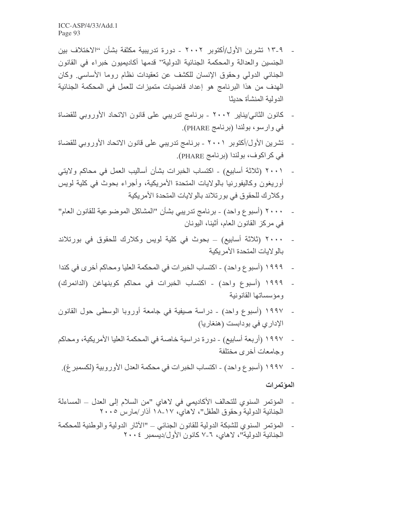- ١٣-٩ تشرين الأول/أكتوبر ٢٠٠٢ دور ة تدريبية مكثفة بشأن "الاختلاف بين الجنسين والعدالة والمحكمة الجنائية الدولية" قدمها أكاديميون خبراء في القانون الْجِنَائِي الْدُولِي وحقوق الإنسان للكشف عن تعقيدات نظام روما الأساسي وكان الهدف من هذا البرنامج هو إعداد قاضيات متميزات للعمل في المحكمة الجنائية الدولية المنشأة حديثا
- كانون الثاني/يناير ٢٠٠٢ برنامج تدريبي على قانون الاتحاد الأوروبي للقضاة في وارسو، بولندا (برنامج PHARE).
- تشرين الأول/أكتوبر ٢٠٠١ برنامج تدريبي على قانون الاتحاد الأوروبي للقضاة في كراكوف، بولندا (برنامج PHARE).
- ـ ( ٢٠٠١ (ثلاثة أسابيع) ـ اكتساب الخبرات بشأن أساليب العمل في محاكم ولايتي أوريغون وكاليفورنيا بالولايات المتحدة الأمريكية، وأجراء بحوث في كلية لويس وكلارك للحقوق في بورتلاند بالولايات المتحدة الأمريكية
- (أسبوع واحد) ـ برنامج تدريبي بشأن "المشاكل الموضوعية للقانون العام" في مركز القانون العام، أثينا، اليونان
- ٢٠٠٠ (ثلاثة أسابيع) ــ بحوث في كلية لويس وكلارك للحقوق في بورتلاند بالو لابات المتحدة الأمر بكبة
- ١٩٩٩ (أسبو ع واحد) اكتساب الخبر ات في المحكمة العليا ومحاكم أخرى في كندا
- ۔ ١٩٩٩ (أسبوع واحد) ۔ اكتساب الخبرات في محاكم كوبنهاغن (الدانمرك) ومؤسساتها القانونية
- 1997 (أسبوع واحد) دراسة صبغية في جامعة أوروبا الوسطى حول القانون الإداري في بودابست (هنغاريا)
- ـ 1997 (أربعة أسابيع) دورة در اسية خاصة في المحكمة العليا الأمريكية، ومحاكم و جامعات أخر ي مختلفة
- ـ 1997 (أسبو ع واحد) اكتساب الخبر ات في محكمة العدل الأور وبية (لكسمبر غ).

#### المؤتمرات

- المؤتمر السنوي للتحالف الأكاديمي في لاهاي "من السلام إلى العدل ـ المساءلة الجنائية الدولية وحقوق الطفل"، لاهاي، ١٧-١٨ آذار/مارس ٢٠٠٥
- المؤتمر السنوى للشبكة الدولية للقانون الجنائي "الآثار الدولية والوطنية للمحكمة الْجِنَائِيةِ الَّذِو لَبِهَ"، لاهاي، ٦-٧ كانون الأول/ديسمبر ٢٠٠٤